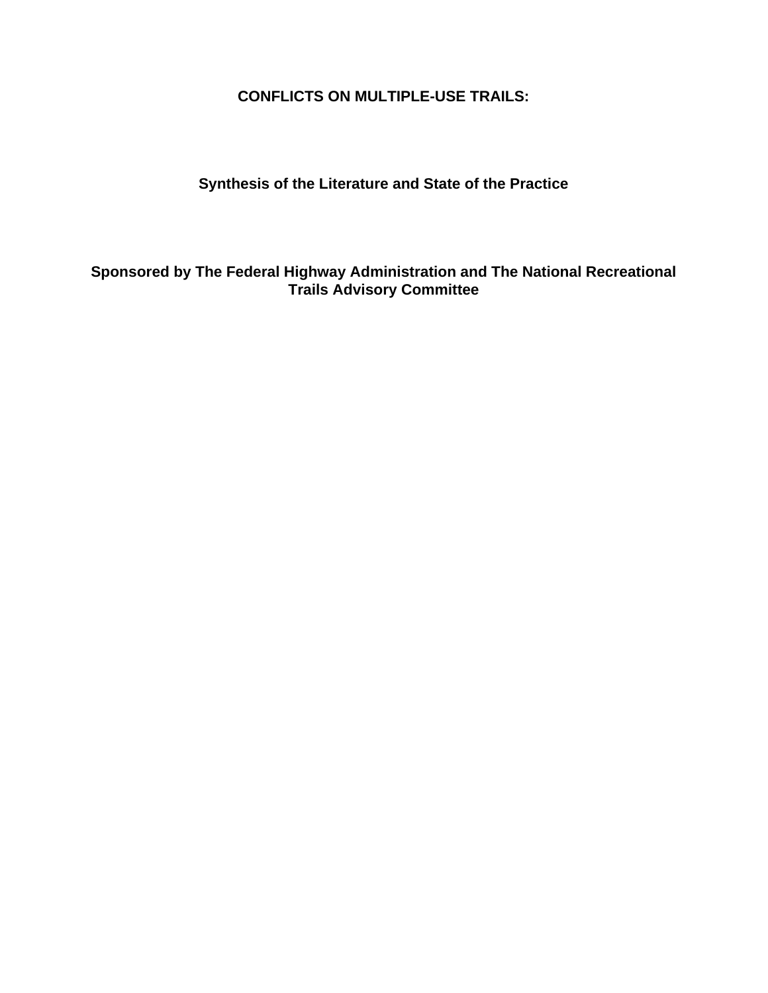**CONFLICTS ON MULTIPLE-USE TRAILS:**

**Synthesis of the Literature and State of the Practice**

**Sponsored by The Federal Highway Administration and The National Recreational Trails Advisory Committee**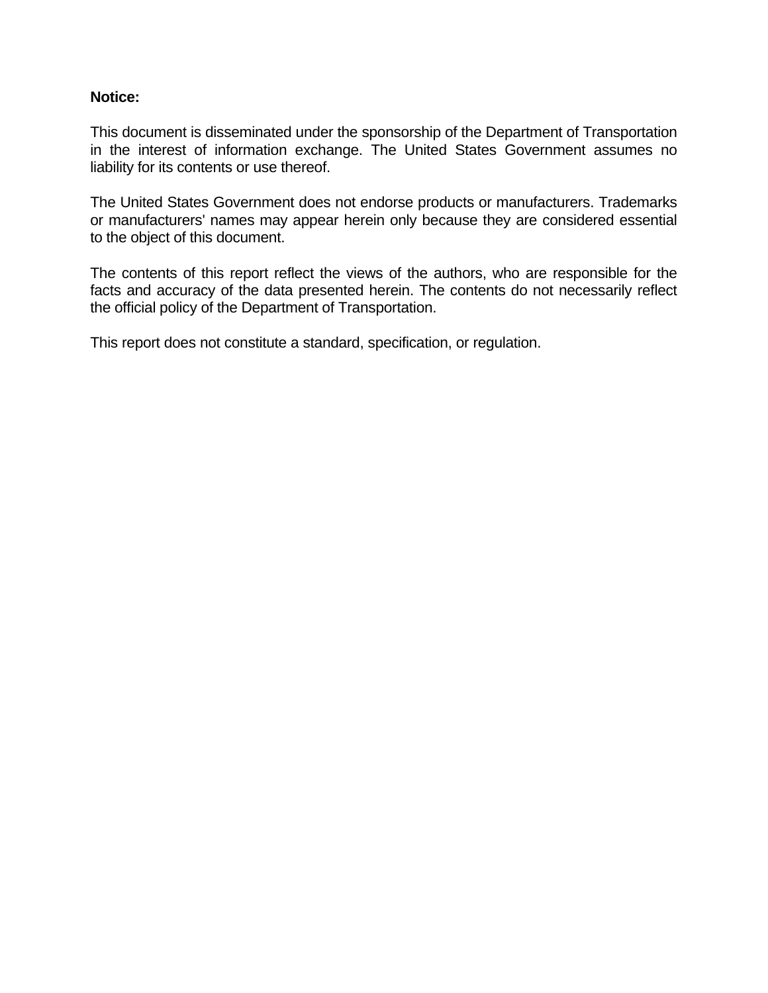### **Notice:**

This document is disseminated under the sponsorship of the Department of Transportation in the interest of information exchange. The United States Government assumes no liability for its contents or use thereof.

The United States Government does not endorse products or manufacturers. Trademarks or manufacturers' names may appear herein only because they are considered essential to the object of this document.

The contents of this report reflect the views of the authors, who are responsible for the facts and accuracy of the data presented herein. The contents do not necessarily reflect the official policy of the Department of Transportation.

This report does not constitute a standard, specification, or regulation.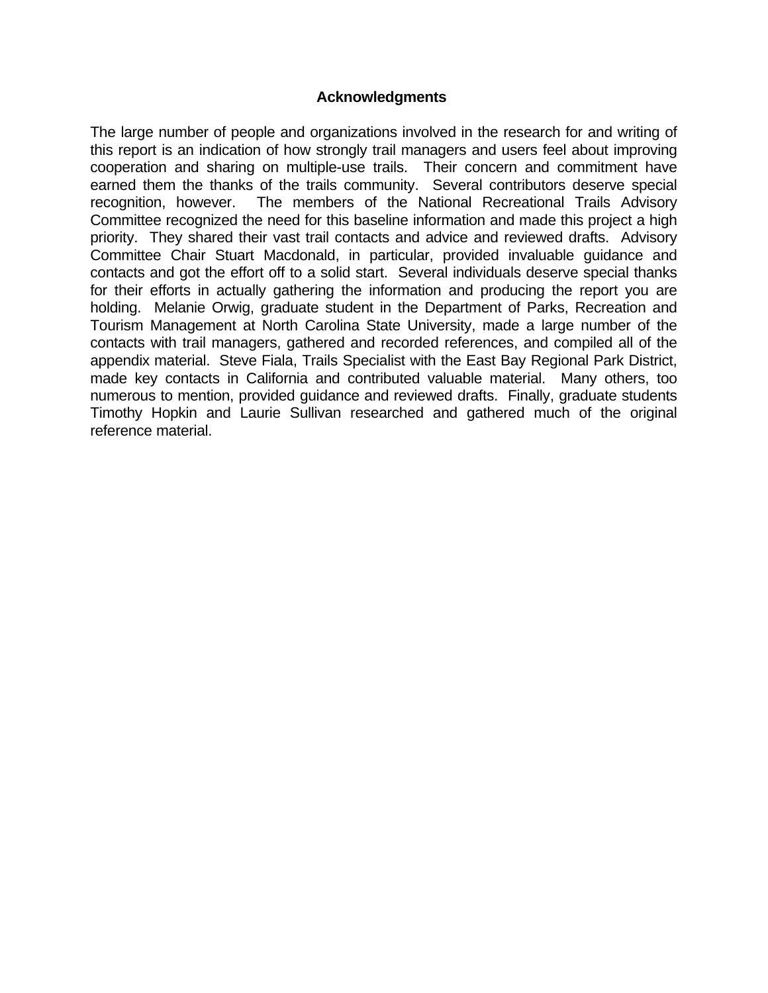### **Acknowledgments**

The large number of people and organizations involved in the research for and writing of this report is an indication of how strongly trail managers and users feel about improving cooperation and sharing on multiple-use trails. Their concern and commitment have earned them the thanks of the trails community. Several contributors deserve special recognition, however. The members of the National Recreational Trails Advisory Committee recognized the need for this baseline information and made this project a high priority. They shared their vast trail contacts and advice and reviewed drafts. Advisory Committee Chair Stuart Macdonald, in particular, provided invaluable guidance and contacts and got the effort off to a solid start. Several individuals deserve special thanks for their efforts in actually gathering the information and producing the report you are holding. Melanie Orwig, graduate student in the Department of Parks, Recreation and Tourism Management at North Carolina State University, made a large number of the contacts with trail managers, gathered and recorded references, and compiled all of the appendix material. Steve Fiala, Trails Specialist with the East Bay Regional Park District, made key contacts in California and contributed valuable material. Many others, too numerous to mention, provided guidance and reviewed drafts. Finally, graduate students Timothy Hopkin and Laurie Sullivan researched and gathered much of the original reference material.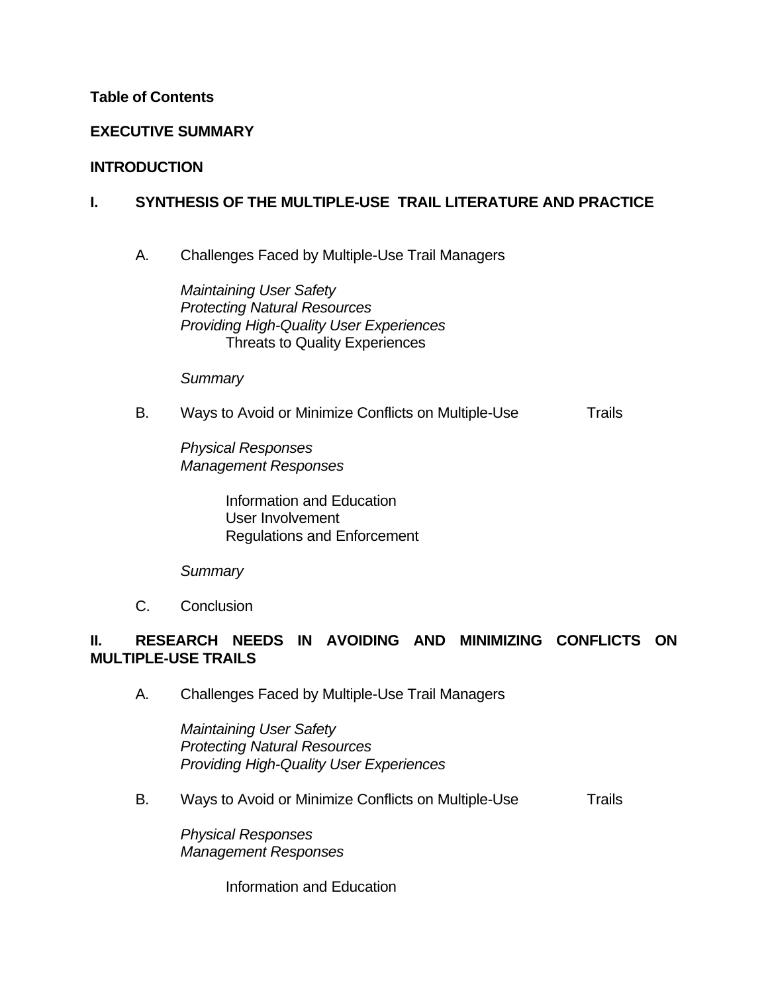### **Table of Contents**

## **EXECUTIVE SUMMARY**

### **INTRODUCTION**

## **I. SYNTHESIS OF THE MULTIPLE-USE TRAIL LITERATURE AND PRACTICE**

A. Challenges Faced by Multiple-Use Trail Managers

*Maintaining User Safety Protecting Natural Resources Providing High-Quality User Experiences* Threats to Quality Experiences

*Summary*

### B. Ways to Avoid or Minimize Conflicts on Multiple-Use Trails

*Physical Responses Management Responses*

> Information and Education User Involvement Regulations and Enforcement

### *Summary*

C. Conclusion

## **II. RESEARCH NEEDS IN AVOIDING AND MINIMIZING CONFLICTS ON MULTIPLE-USE TRAILS**

A. Challenges Faced by Multiple-Use Trail Managers

*Maintaining User Safety Protecting Natural Resources Providing High-Quality User Experiences*

B. Ways to Avoid or Minimize Conflicts on Multiple-Use Trails

*Physical Responses Management Responses*

Information and Education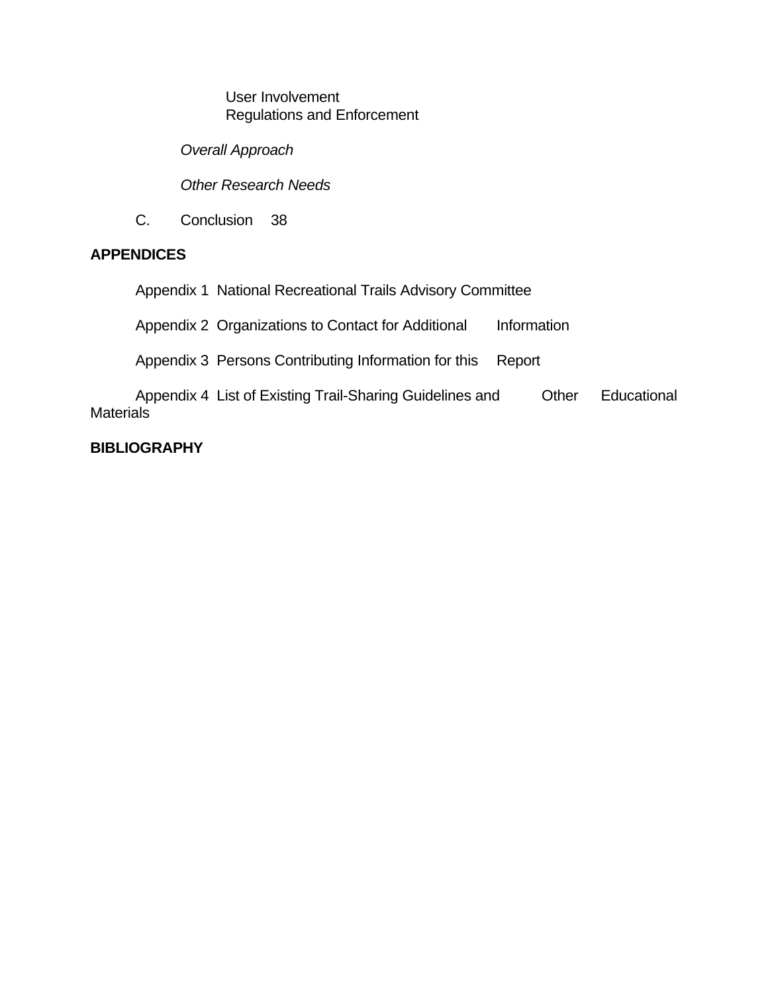User Involvement Regulations and Enforcement

*Overall Approach*

*Other Research Needs*

C. Conclusion 38

## **APPENDICES**

Appendix 1 National Recreational Trails Advisory Committee

Appendix 2 Organizations to Contact for Additional Information

Appendix 3 Persons Contributing Information for this Report

Appendix 4 List of Existing Trail-Sharing Guidelines and Other Educational **Materials** 

## **BIBLIOGRAPHY**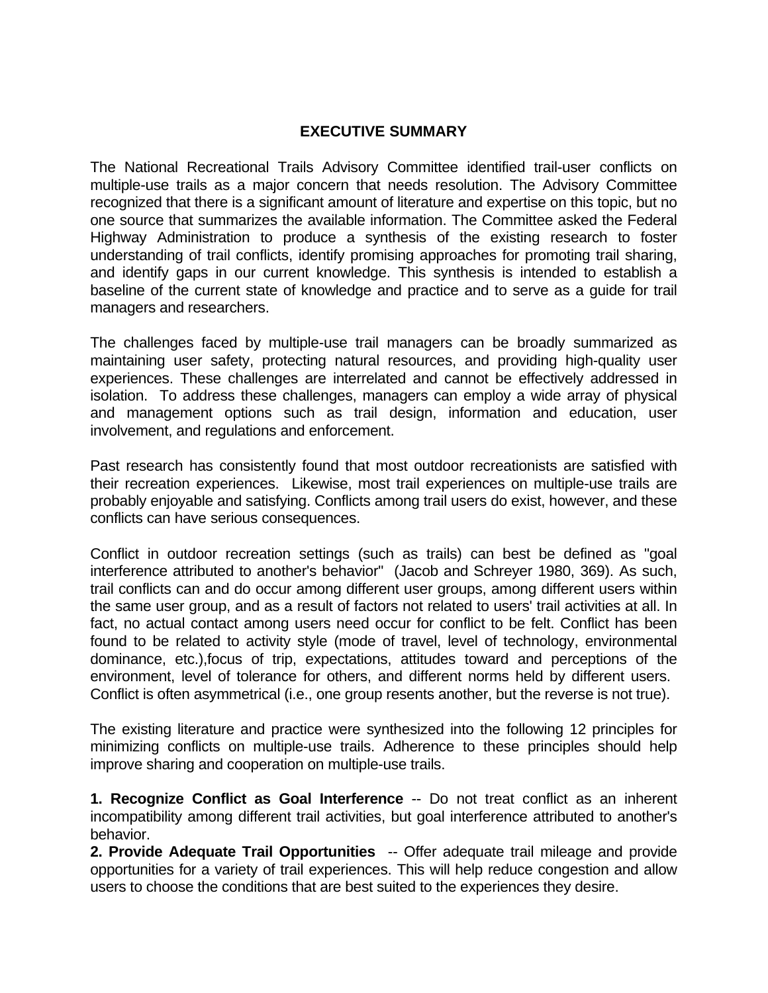## **EXECUTIVE SUMMARY**

The National Recreational Trails Advisory Committee identified trail-user conflicts on multiple-use trails as a major concern that needs resolution. The Advisory Committee recognized that there is a significant amount of literature and expertise on this topic, but no one source that summarizes the available information. The Committee asked the Federal Highway Administration to produce a synthesis of the existing research to foster understanding of trail conflicts, identify promising approaches for promoting trail sharing, and identify gaps in our current knowledge. This synthesis is intended to establish a baseline of the current state of knowledge and practice and to serve as a guide for trail managers and researchers.

The challenges faced by multiple-use trail managers can be broadly summarized as maintaining user safety, protecting natural resources, and providing high-quality user experiences. These challenges are interrelated and cannot be effectively addressed in isolation. To address these challenges, managers can employ a wide array of physical and management options such as trail design, information and education, user involvement, and regulations and enforcement.

Past research has consistently found that most outdoor recreationists are satisfied with their recreation experiences. Likewise, most trail experiences on multiple-use trails are probably enjoyable and satisfying. Conflicts among trail users do exist, however, and these conflicts can have serious consequences.

Conflict in outdoor recreation settings (such as trails) can best be defined as "goal interference attributed to another's behavior" (Jacob and Schreyer 1980, 369). As such, trail conflicts can and do occur among different user groups, among different users within the same user group, and as a result of factors not related to users' trail activities at all. In fact, no actual contact among users need occur for conflict to be felt. Conflict has been found to be related to activity style (mode of travel, level of technology, environmental dominance, etc.),focus of trip, expectations, attitudes toward and perceptions of the environment, level of tolerance for others, and different norms held by different users. Conflict is often asymmetrical (i.e., one group resents another, but the reverse is not true).

The existing literature and practice were synthesized into the following 12 principles for minimizing conflicts on multiple-use trails. Adherence to these principles should help improve sharing and cooperation on multiple-use trails.

**1. Recognize Conflict as Goal Interference** -- Do not treat conflict as an inherent incompatibility among different trail activities, but goal interference attributed to another's behavior.

**2. Provide Adequate Trail Opportunities -- Offer adequate trail mileage and provide** opportunities for a variety of trail experiences. This will help reduce congestion and allow users to choose the conditions that are best suited to the experiences they desire.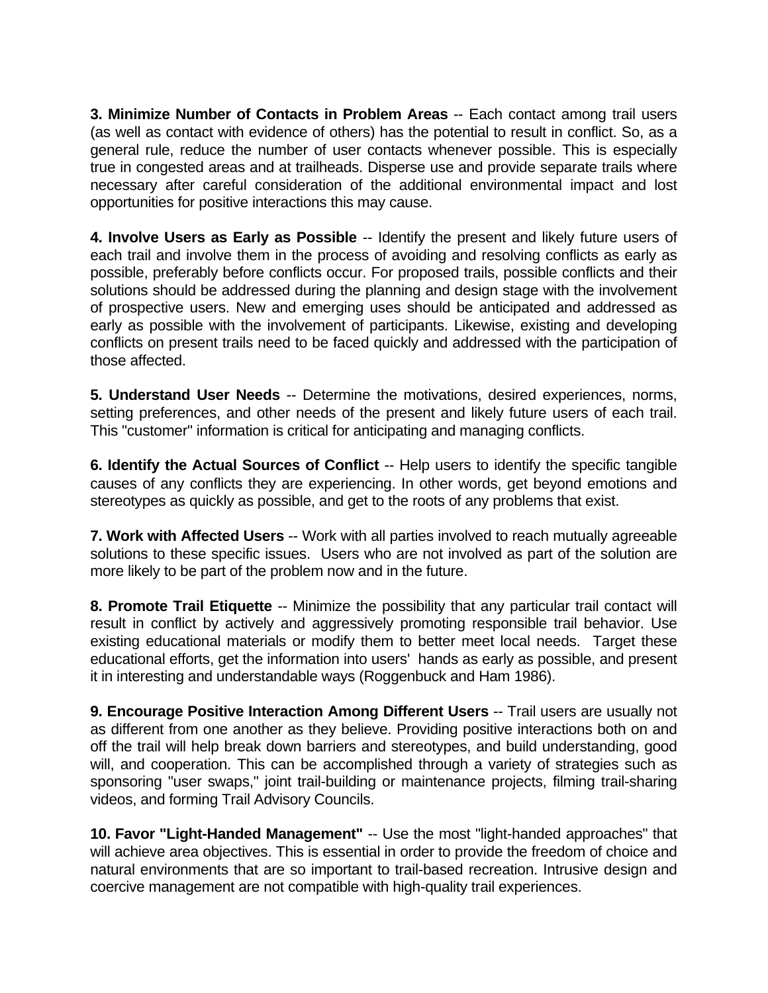**3. Minimize Number of Contacts in Problem Areas** -- Each contact among trail users (as well as contact with evidence of others) has the potential to result in conflict. So, as a general rule, reduce the number of user contacts whenever possible. This is especially true in congested areas and at trailheads. Disperse use and provide separate trails where necessary after careful consideration of the additional environmental impact and lost opportunities for positive interactions this may cause.

**4. Involve Users as Early as Possible** -- Identify the present and likely future users of each trail and involve them in the process of avoiding and resolving conflicts as early as possible, preferably before conflicts occur. For proposed trails, possible conflicts and their solutions should be addressed during the planning and design stage with the involvement of prospective users. New and emerging uses should be anticipated and addressed as early as possible with the involvement of participants. Likewise, existing and developing conflicts on present trails need to be faced quickly and addressed with the participation of those affected.

**5. Understand User Needs** -- Determine the motivations, desired experiences, norms, setting preferences, and other needs of the present and likely future users of each trail. This "customer" information is critical for anticipating and managing conflicts.

**6. Identify the Actual Sources of Conflict** -- Help users to identify the specific tangible causes of any conflicts they are experiencing. In other words, get beyond emotions and stereotypes as quickly as possible, and get to the roots of any problems that exist.

**7. Work with Affected Users** -- Work with all parties involved to reach mutually agreeable solutions to these specific issues. Users who are not involved as part of the solution are more likely to be part of the problem now and in the future.

**8. Promote Trail Etiquette** -- Minimize the possibility that any particular trail contact will result in conflict by actively and aggressively promoting responsible trail behavior. Use existing educational materials or modify them to better meet local needs. Target these educational efforts, get the information into users' hands as early as possible, and present it in interesting and understandable ways (Roggenbuck and Ham 1986).

**9. Encourage Positive Interaction Among Different Users** -- Trail users are usually not as different from one another as they believe. Providing positive interactions both on and off the trail will help break down barriers and stereotypes, and build understanding, good will, and cooperation. This can be accomplished through a variety of strategies such as sponsoring "user swaps," joint trail-building or maintenance projects, filming trail-sharing videos, and forming Trail Advisory Councils.

**10. Favor "Light-Handed Management"** -- Use the most "light-handed approaches" that will achieve area objectives. This is essential in order to provide the freedom of choice and natural environments that are so important to trail-based recreation. Intrusive design and coercive management are not compatible with high-quality trail experiences.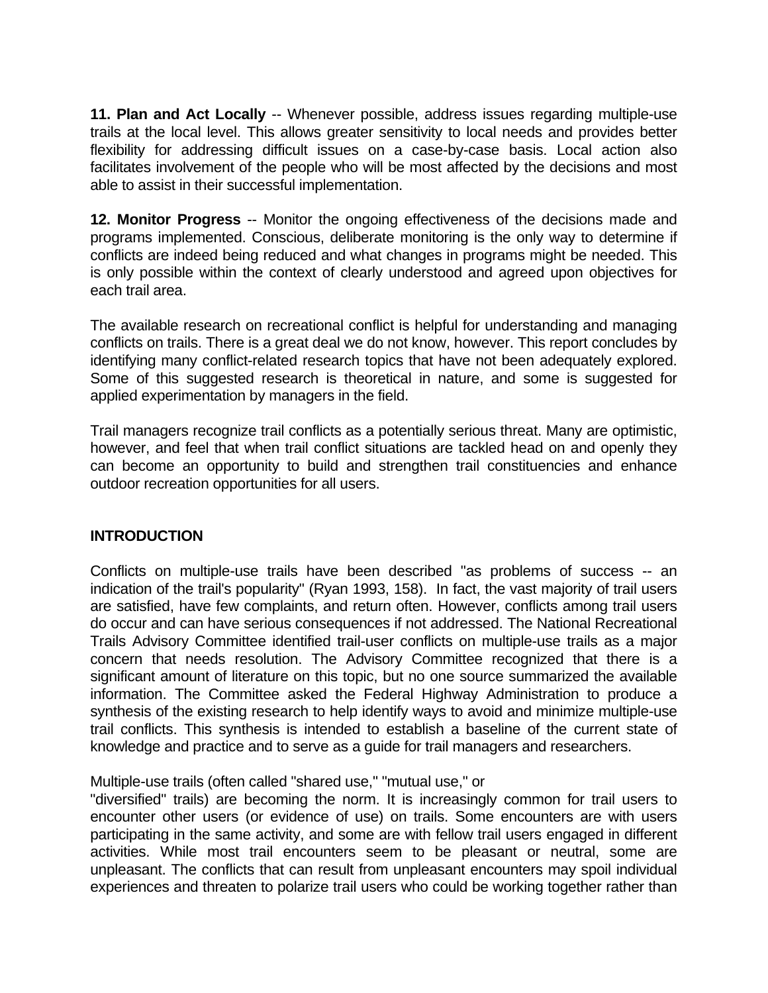**11. Plan and Act Locally** -- Whenever possible, address issues regarding multiple-use trails at the local level. This allows greater sensitivity to local needs and provides better flexibility for addressing difficult issues on a case-by-case basis. Local action also facilitates involvement of the people who will be most affected by the decisions and most able to assist in their successful implementation.

**12. Monitor Progress** -- Monitor the ongoing effectiveness of the decisions made and programs implemented. Conscious, deliberate monitoring is the only way to determine if conflicts are indeed being reduced and what changes in programs might be needed. This is only possible within the context of clearly understood and agreed upon objectives for each trail area.

The available research on recreational conflict is helpful for understanding and managing conflicts on trails. There is a great deal we do not know, however. This report concludes by identifying many conflict-related research topics that have not been adequately explored. Some of this suggested research is theoretical in nature, and some is suggested for applied experimentation by managers in the field.

Trail managers recognize trail conflicts as a potentially serious threat. Many are optimistic, however, and feel that when trail conflict situations are tackled head on and openly they can become an opportunity to build and strengthen trail constituencies and enhance outdoor recreation opportunities for all users.

## **INTRODUCTION**

Conflicts on multiple-use trails have been described "as problems of success -- an indication of the trail's popularity" (Ryan 1993, 158). In fact, the vast majority of trail users are satisfied, have few complaints, and return often. However, conflicts among trail users do occur and can have serious consequences if not addressed. The National Recreational Trails Advisory Committee identified trail-user conflicts on multiple-use trails as a major concern that needs resolution. The Advisory Committee recognized that there is a significant amount of literature on this topic, but no one source summarized the available information. The Committee asked the Federal Highway Administration to produce a synthesis of the existing research to help identify ways to avoid and minimize multiple-use trail conflicts. This synthesis is intended to establish a baseline of the current state of knowledge and practice and to serve as a guide for trail managers and researchers.

Multiple-use trails (often called "shared use," "mutual use," or

"diversified" trails) are becoming the norm. It is increasingly common for trail users to encounter other users (or evidence of use) on trails. Some encounters are with users participating in the same activity, and some are with fellow trail users engaged in different activities. While most trail encounters seem to be pleasant or neutral, some are unpleasant. The conflicts that can result from unpleasant encounters may spoil individual experiences and threaten to polarize trail users who could be working together rather than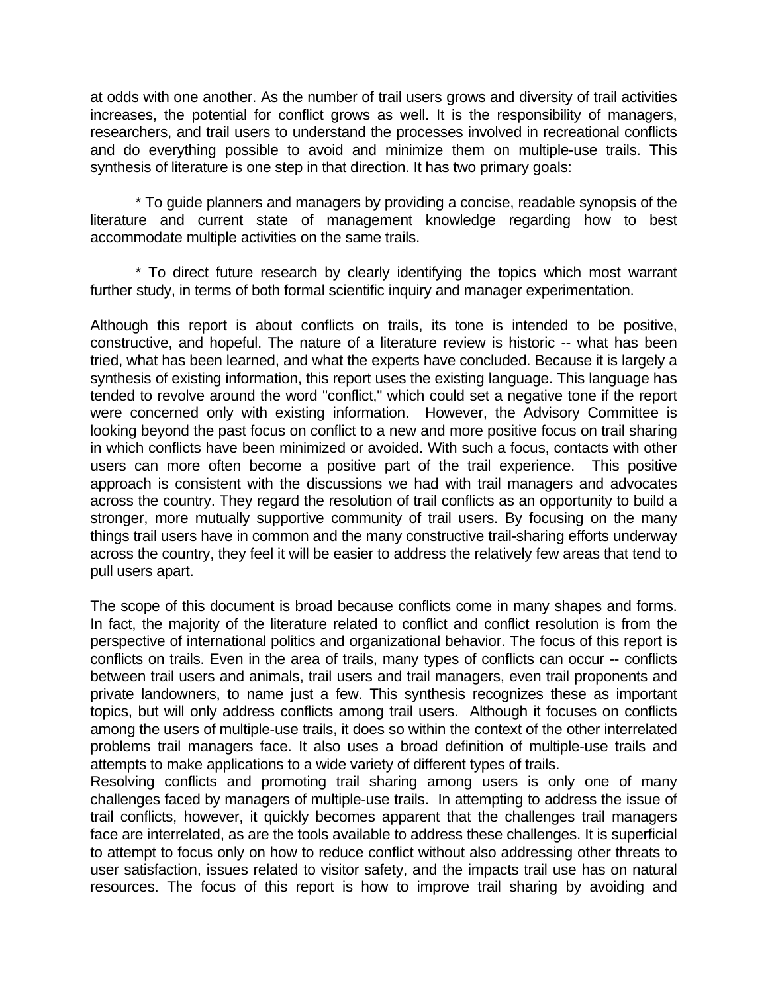at odds with one another. As the number of trail users grows and diversity of trail activities increases, the potential for conflict grows as well. It is the responsibility of managers, researchers, and trail users to understand the processes involved in recreational conflicts and do everything possible to avoid and minimize them on multiple-use trails. This synthesis of literature is one step in that direction. It has two primary goals:

\* To guide planners and managers by providing a concise, readable synopsis of the literature and current state of management knowledge regarding how to best accommodate multiple activities on the same trails.

\* To direct future research by clearly identifying the topics which most warrant further study, in terms of both formal scientific inquiry and manager experimentation.

Although this report is about conflicts on trails, its tone is intended to be positive, constructive, and hopeful. The nature of a literature review is historic -- what has been tried, what has been learned, and what the experts have concluded. Because it is largely a synthesis of existing information, this report uses the existing language. This language has tended to revolve around the word "conflict," which could set a negative tone if the report were concerned only with existing information. However, the Advisory Committee is looking beyond the past focus on conflict to a new and more positive focus on trail sharing in which conflicts have been minimized or avoided. With such a focus, contacts with other users can more often become a positive part of the trail experience. This positive approach is consistent with the discussions we had with trail managers and advocates across the country. They regard the resolution of trail conflicts as an opportunity to build a stronger, more mutually supportive community of trail users. By focusing on the many things trail users have in common and the many constructive trail-sharing efforts underway across the country, they feel it will be easier to address the relatively few areas that tend to pull users apart.

The scope of this document is broad because conflicts come in many shapes and forms. In fact, the majority of the literature related to conflict and conflict resolution is from the perspective of international politics and organizational behavior. The focus of this report is conflicts on trails. Even in the area of trails, many types of conflicts can occur -- conflicts between trail users and animals, trail users and trail managers, even trail proponents and private landowners, to name just a few. This synthesis recognizes these as important topics, but will only address conflicts among trail users. Although it focuses on conflicts among the users of multiple-use trails, it does so within the context of the other interrelated problems trail managers face. It also uses a broad definition of multiple-use trails and attempts to make applications to a wide variety of different types of trails.

Resolving conflicts and promoting trail sharing among users is only one of many challenges faced by managers of multiple-use trails. In attempting to address the issue of trail conflicts, however, it quickly becomes apparent that the challenges trail managers face are interrelated, as are the tools available to address these challenges. It is superficial to attempt to focus only on how to reduce conflict without also addressing other threats to user satisfaction, issues related to visitor safety, and the impacts trail use has on natural resources. The focus of this report is how to improve trail sharing by avoiding and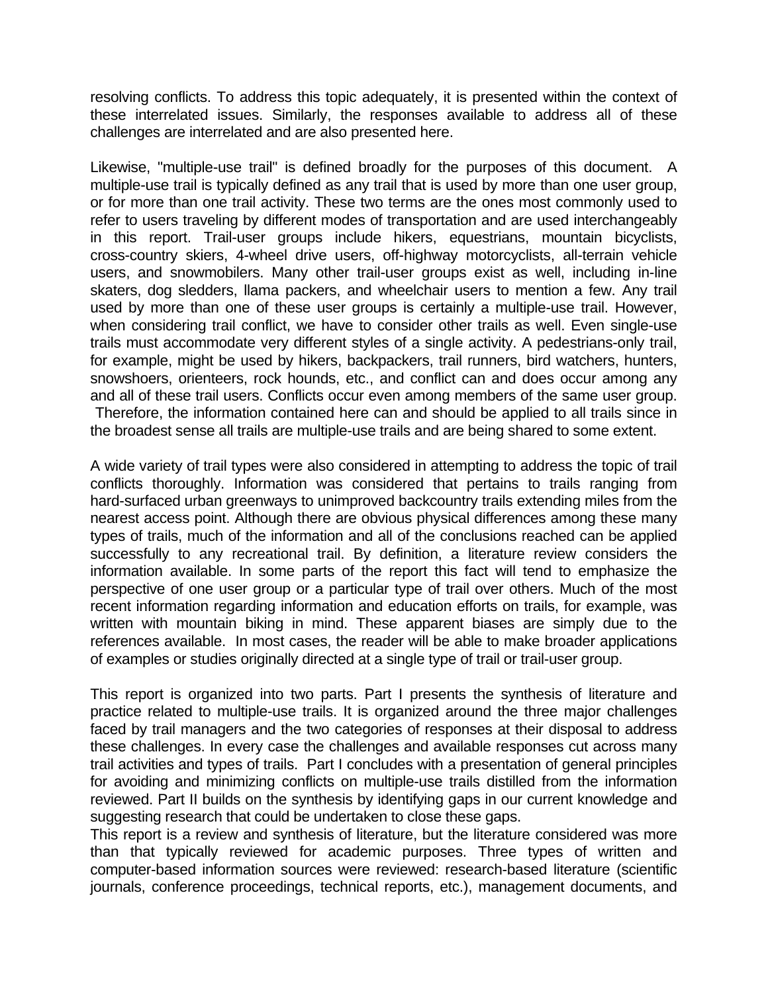resolving conflicts. To address this topic adequately, it is presented within the context of these interrelated issues. Similarly, the responses available to address all of these challenges are interrelated and are also presented here.

Likewise, "multiple-use trail" is defined broadly for the purposes of this document. A multiple-use trail is typically defined as any trail that is used by more than one user group, or for more than one trail activity. These two terms are the ones most commonly used to refer to users traveling by different modes of transportation and are used interchangeably in this report. Trail-user groups include hikers, equestrians, mountain bicyclists, cross-country skiers, 4-wheel drive users, off-highway motorcyclists, all-terrain vehicle users, and snowmobilers. Many other trail-user groups exist as well, including in-line skaters, dog sledders, llama packers, and wheelchair users to mention a few. Any trail used by more than one of these user groups is certainly a multiple-use trail. However, when considering trail conflict, we have to consider other trails as well. Even single-use trails must accommodate very different styles of a single activity. A pedestrians-only trail, for example, might be used by hikers, backpackers, trail runners, bird watchers, hunters, snowshoers, orienteers, rock hounds, etc., and conflict can and does occur among any and all of these trail users. Conflicts occur even among members of the same user group. Therefore, the information contained here can and should be applied to all trails since in the broadest sense all trails are multiple-use trails and are being shared to some extent.

A wide variety of trail types were also considered in attempting to address the topic of trail conflicts thoroughly. Information was considered that pertains to trails ranging from hard-surfaced urban greenways to unimproved backcountry trails extending miles from the nearest access point. Although there are obvious physical differences among these many types of trails, much of the information and all of the conclusions reached can be applied successfully to any recreational trail. By definition, a literature review considers the information available. In some parts of the report this fact will tend to emphasize the perspective of one user group or a particular type of trail over others. Much of the most recent information regarding information and education efforts on trails, for example, was written with mountain biking in mind. These apparent biases are simply due to the references available. In most cases, the reader will be able to make broader applications of examples or studies originally directed at a single type of trail or trail-user group.

This report is organized into two parts. Part I presents the synthesis of literature and practice related to multiple-use trails. It is organized around the three major challenges faced by trail managers and the two categories of responses at their disposal to address these challenges. In every case the challenges and available responses cut across many trail activities and types of trails. Part I concludes with a presentation of general principles for avoiding and minimizing conflicts on multiple-use trails distilled from the information reviewed. Part II builds on the synthesis by identifying gaps in our current knowledge and suggesting research that could be undertaken to close these gaps.

This report is a review and synthesis of literature, but the literature considered was more than that typically reviewed for academic purposes. Three types of written and computer-based information sources were reviewed: research-based literature (scientific journals, conference proceedings, technical reports, etc.), management documents, and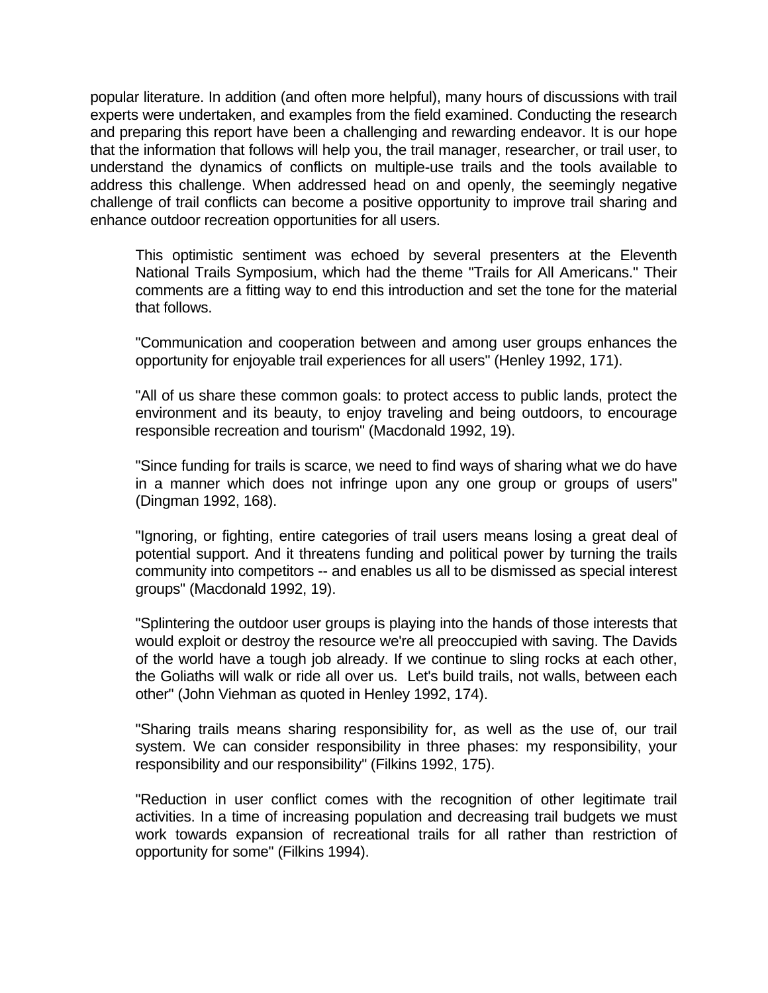popular literature. In addition (and often more helpful), many hours of discussions with trail experts were undertaken, and examples from the field examined. Conducting the research and preparing this report have been a challenging and rewarding endeavor. It is our hope that the information that follows will help you, the trail manager, researcher, or trail user, to understand the dynamics of conflicts on multiple-use trails and the tools available to address this challenge. When addressed head on and openly, the seemingly negative challenge of trail conflicts can become a positive opportunity to improve trail sharing and enhance outdoor recreation opportunities for all users.

This optimistic sentiment was echoed by several presenters at the Eleventh National Trails Symposium, which had the theme "Trails for All Americans." Their comments are a fitting way to end this introduction and set the tone for the material that follows.

"Communication and cooperation between and among user groups enhances the opportunity for enjoyable trail experiences for all users" (Henley 1992, 171).

"All of us share these common goals: to protect access to public lands, protect the environment and its beauty, to enjoy traveling and being outdoors, to encourage responsible recreation and tourism" (Macdonald 1992, 19).

"Since funding for trails is scarce, we need to find ways of sharing what we do have in a manner which does not infringe upon any one group or groups of users" (Dingman 1992, 168).

"Ignoring, or fighting, entire categories of trail users means losing a great deal of potential support. And it threatens funding and political power by turning the trails community into competitors -- and enables us all to be dismissed as special interest groups" (Macdonald 1992, 19).

"Splintering the outdoor user groups is playing into the hands of those interests that would exploit or destroy the resource we're all preoccupied with saving. The Davids of the world have a tough job already. If we continue to sling rocks at each other, the Goliaths will walk or ride all over us. Let's build trails, not walls, between each other" (John Viehman as quoted in Henley 1992, 174).

"Sharing trails means sharing responsibility for, as well as the use of, our trail system. We can consider responsibility in three phases: my responsibility, your responsibility and our responsibility" (Filkins 1992, 175).

"Reduction in user conflict comes with the recognition of other legitimate trail activities. In a time of increasing population and decreasing trail budgets we must work towards expansion of recreational trails for all rather than restriction of opportunity for some" (Filkins 1994).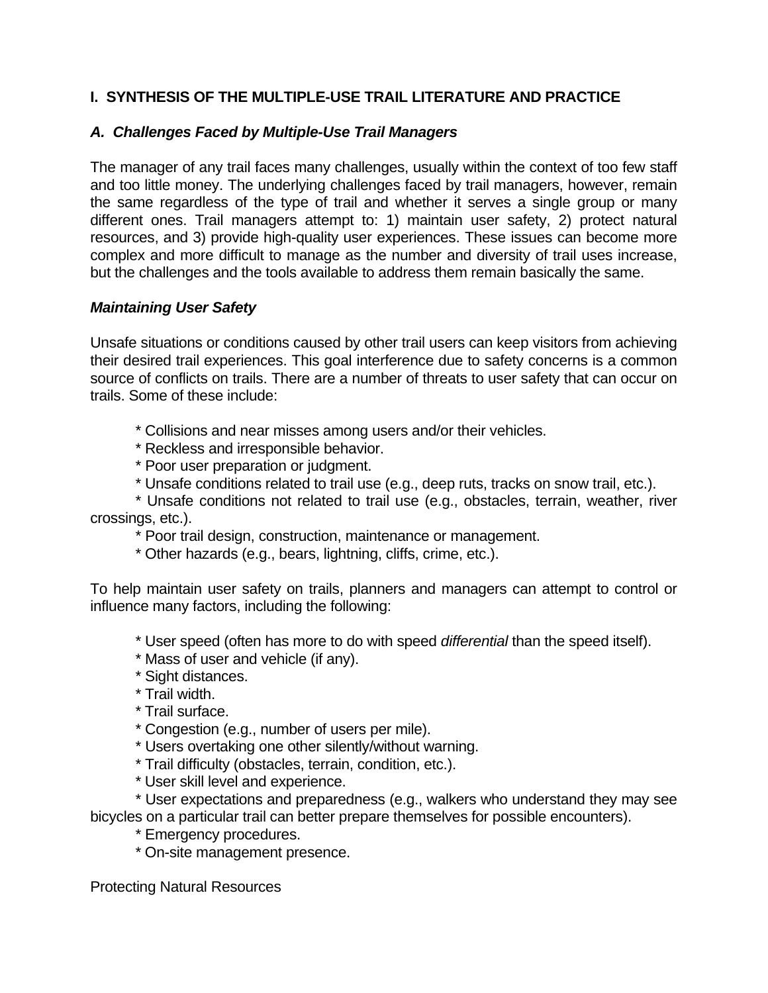## **I. SYNTHESIS OF THE MULTIPLE-USE TRAIL LITERATURE AND PRACTICE**

### *A. Challenges Faced by Multiple-Use Trail Managers*

The manager of any trail faces many challenges, usually within the context of too few staff and too little money. The underlying challenges faced by trail managers, however, remain the same regardless of the type of trail and whether it serves a single group or many different ones. Trail managers attempt to: 1) maintain user safety, 2) protect natural resources, and 3) provide high-quality user experiences. These issues can become more complex and more difficult to manage as the number and diversity of trail uses increase, but the challenges and the tools available to address them remain basically the same.

### *Maintaining User Safety*

Unsafe situations or conditions caused by other trail users can keep visitors from achieving their desired trail experiences. This goal interference due to safety concerns is a common source of conflicts on trails. There are a number of threats to user safety that can occur on trails. Some of these include:

- \* Collisions and near misses among users and/or their vehicles.
- \* Reckless and irresponsible behavior.
- \* Poor user preparation or judgment.
- \* Unsafe conditions related to trail use (e.g., deep ruts, tracks on snow trail, etc.).

\* Unsafe conditions not related to trail use (e.g., obstacles, terrain, weather, river crossings, etc.).

\* Poor trail design, construction, maintenance or management.

\* Other hazards (e.g., bears, lightning, cliffs, crime, etc.).

To help maintain user safety on trails, planners and managers can attempt to control or influence many factors, including the following:

\* User speed (often has more to do with speed *differential* than the speed itself).

- \* Mass of user and vehicle (if any).
- \* Sight distances.
- \* Trail width.
- \* Trail surface.
- \* Congestion (e.g., number of users per mile).
- \* Users overtaking one other silently/without warning.
- \* Trail difficulty (obstacles, terrain, condition, etc.).
- \* User skill level and experience.

\* User expectations and preparedness (e.g., walkers who understand they may see bicycles on a particular trail can better prepare themselves for possible encounters).

- \* Emergency procedures.
- \* On-site management presence.

Protecting Natural Resources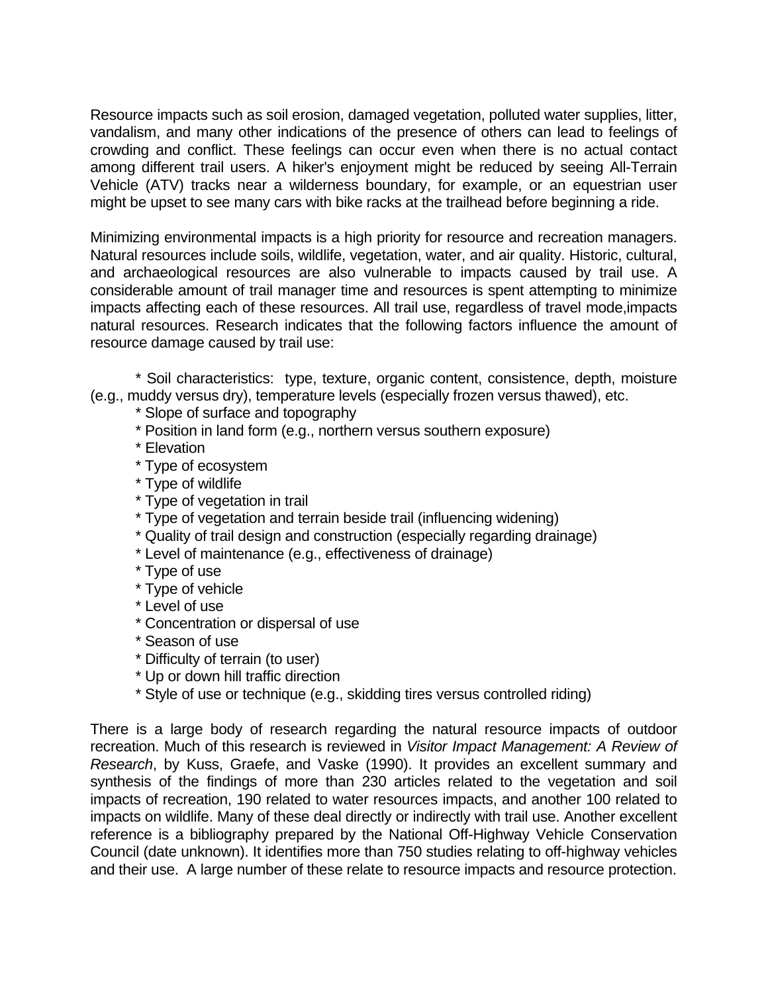Resource impacts such as soil erosion, damaged vegetation, polluted water supplies, litter, vandalism, and many other indications of the presence of others can lead to feelings of crowding and conflict. These feelings can occur even when there is no actual contact among different trail users. A hiker's enjoyment might be reduced by seeing All-Terrain Vehicle (ATV) tracks near a wilderness boundary, for example, or an equestrian user might be upset to see many cars with bike racks at the trailhead before beginning a ride.

Minimizing environmental impacts is a high priority for resource and recreation managers. Natural resources include soils, wildlife, vegetation, water, and air quality. Historic, cultural, and archaeological resources are also vulnerable to impacts caused by trail use. A considerable amount of trail manager time and resources is spent attempting to minimize impacts affecting each of these resources. All trail use, regardless of travel mode,impacts natural resources. Research indicates that the following factors influence the amount of resource damage caused by trail use:

\* Soil characteristics: type, texture, organic content, consistence, depth, moisture (e.g., muddy versus dry), temperature levels (especially frozen versus thawed), etc.

- \* Slope of surface and topography
- \* Position in land form (e.g., northern versus southern exposure)
- \* Elevation
- \* Type of ecosystem
- \* Type of wildlife
- \* Type of vegetation in trail
- \* Type of vegetation and terrain beside trail (influencing widening)
- \* Quality of trail design and construction (especially regarding drainage)
- \* Level of maintenance (e.g., effectiveness of drainage)
- \* Type of use
- \* Type of vehicle
- \* Level of use
- \* Concentration or dispersal of use
- \* Season of use
- \* Difficulty of terrain (to user)
- \* Up or down hill traffic direction
- \* Style of use or technique (e.g., skidding tires versus controlled riding)

There is a large body of research regarding the natural resource impacts of outdoor recreation. Much of this research is reviewed in *Visitor Impact Management: A Review of Research*, by Kuss, Graefe, and Vaske (1990). It provides an excellent summary and synthesis of the findings of more than 230 articles related to the vegetation and soil impacts of recreation, 190 related to water resources impacts, and another 100 related to impacts on wildlife. Many of these deal directly or indirectly with trail use. Another excellent reference is a bibliography prepared by the National Off-Highway Vehicle Conservation Council (date unknown). It identifies more than 750 studies relating to off-highway vehicles and their use. A large number of these relate to resource impacts and resource protection.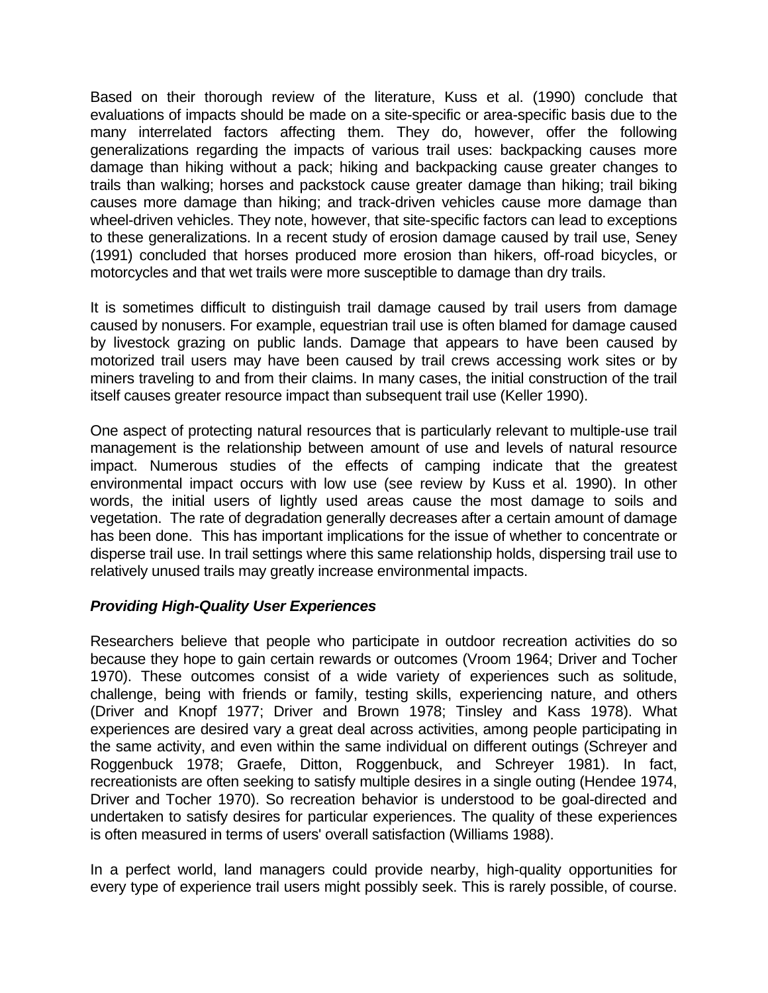Based on their thorough review of the literature, Kuss et al. (1990) conclude that evaluations of impacts should be made on a site-specific or area-specific basis due to the many interrelated factors affecting them. They do, however, offer the following generalizations regarding the impacts of various trail uses: backpacking causes more damage than hiking without a pack; hiking and backpacking cause greater changes to trails than walking; horses and packstock cause greater damage than hiking; trail biking causes more damage than hiking; and track-driven vehicles cause more damage than wheel-driven vehicles. They note, however, that site-specific factors can lead to exceptions to these generalizations. In a recent study of erosion damage caused by trail use, Seney (1991) concluded that horses produced more erosion than hikers, off-road bicycles, or motorcycles and that wet trails were more susceptible to damage than dry trails.

It is sometimes difficult to distinguish trail damage caused by trail users from damage caused by nonusers. For example, equestrian trail use is often blamed for damage caused by livestock grazing on public lands. Damage that appears to have been caused by motorized trail users may have been caused by trail crews accessing work sites or by miners traveling to and from their claims. In many cases, the initial construction of the trail itself causes greater resource impact than subsequent trail use (Keller 1990).

One aspect of protecting natural resources that is particularly relevant to multiple-use trail management is the relationship between amount of use and levels of natural resource impact. Numerous studies of the effects of camping indicate that the greatest environmental impact occurs with low use (see review by Kuss et al. 1990). In other words, the initial users of lightly used areas cause the most damage to soils and vegetation. The rate of degradation generally decreases after a certain amount of damage has been done. This has important implications for the issue of whether to concentrate or disperse trail use. In trail settings where this same relationship holds, dispersing trail use to relatively unused trails may greatly increase environmental impacts.

### *Providing High-Quality User Experiences*

Researchers believe that people who participate in outdoor recreation activities do so because they hope to gain certain rewards or outcomes (Vroom 1964; Driver and Tocher 1970). These outcomes consist of a wide variety of experiences such as solitude, challenge, being with friends or family, testing skills, experiencing nature, and others (Driver and Knopf 1977; Driver and Brown 1978; Tinsley and Kass 1978). What experiences are desired vary a great deal across activities, among people participating in the same activity, and even within the same individual on different outings (Schreyer and Roggenbuck 1978; Graefe, Ditton, Roggenbuck, and Schreyer 1981). In fact, recreationists are often seeking to satisfy multiple desires in a single outing (Hendee 1974, Driver and Tocher 1970). So recreation behavior is understood to be goal-directed and undertaken to satisfy desires for particular experiences. The quality of these experiences is often measured in terms of users' overall satisfaction (Williams 1988).

In a perfect world, land managers could provide nearby, high-quality opportunities for every type of experience trail users might possibly seek. This is rarely possible, of course.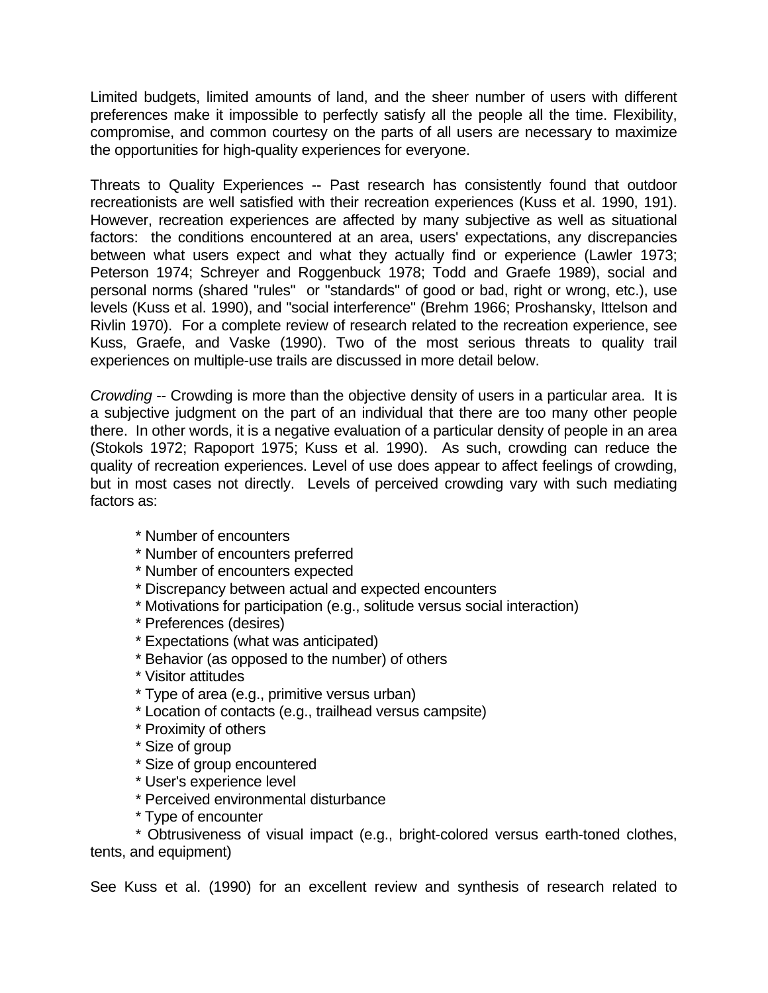Limited budgets, limited amounts of land, and the sheer number of users with different preferences make it impossible to perfectly satisfy all the people all the time. Flexibility, compromise, and common courtesy on the parts of all users are necessary to maximize the opportunities for high-quality experiences for everyone.

Threats to Quality Experiences -- Past research has consistently found that outdoor recreationists are well satisfied with their recreation experiences (Kuss et al. 1990, 191). However, recreation experiences are affected by many subjective as well as situational factors: the conditions encountered at an area, users' expectations, any discrepancies between what users expect and what they actually find or experience (Lawler 1973; Peterson 1974; Schreyer and Roggenbuck 1978; Todd and Graefe 1989), social and personal norms (shared "rules" or "standards" of good or bad, right or wrong, etc.), use levels (Kuss et al. 1990), and "social interference" (Brehm 1966; Proshansky, Ittelson and Rivlin 1970). For a complete review of research related to the recreation experience, see Kuss, Graefe, and Vaske (1990). Two of the most serious threats to quality trail experiences on multiple-use trails are discussed in more detail below.

*Crowding* -- Crowding is more than the objective density of users in a particular area. It is a subjective judgment on the part of an individual that there are too many other people there. In other words, it is a negative evaluation of a particular density of people in an area (Stokols 1972; Rapoport 1975; Kuss et al. 1990). As such, crowding can reduce the quality of recreation experiences. Level of use does appear to affect feelings of crowding, but in most cases not directly. Levels of perceived crowding vary with such mediating factors as:

- \* Number of encounters
- \* Number of encounters preferred
- \* Number of encounters expected
- \* Discrepancy between actual and expected encounters
- \* Motivations for participation (e.g., solitude versus social interaction)
- \* Preferences (desires)
- \* Expectations (what was anticipated)
- \* Behavior (as opposed to the number) of others
- \* Visitor attitudes
- \* Type of area (e.g., primitive versus urban)
- \* Location of contacts (e.g., trailhead versus campsite)
- \* Proximity of others
- \* Size of group
- \* Size of group encountered
- \* User's experience level
- \* Perceived environmental disturbance
- \* Type of encounter

\* Obtrusiveness of visual impact (e.g., bright-colored versus earth-toned clothes, tents, and equipment)

See Kuss et al. (1990) for an excellent review and synthesis of research related to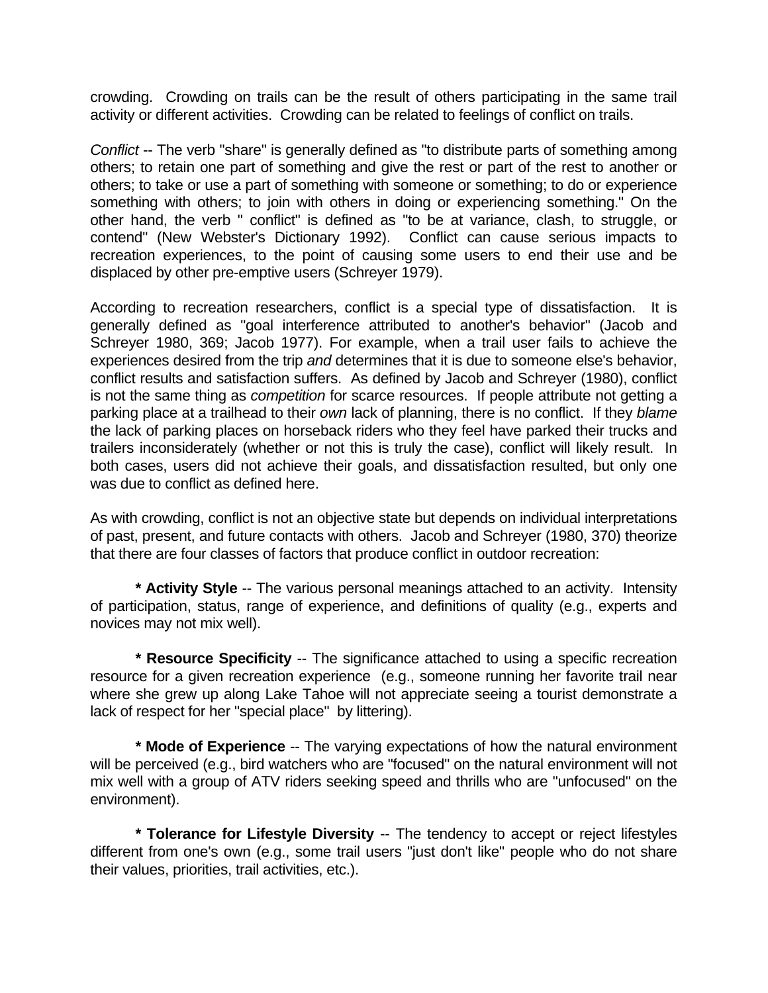crowding. Crowding on trails can be the result of others participating in the same trail activity or different activities. Crowding can be related to feelings of conflict on trails.

*Conflict* -- The verb "share" is generally defined as "to distribute parts of something among others; to retain one part of something and give the rest or part of the rest to another or others; to take or use a part of something with someone or something; to do or experience something with others; to join with others in doing or experiencing something." On the other hand, the verb " conflict" is defined as "to be at variance, clash, to struggle, or contend" (New Webster's Dictionary 1992). Conflict can cause serious impacts to recreation experiences, to the point of causing some users to end their use and be displaced by other pre-emptive users (Schreyer 1979).

According to recreation researchers, conflict is a special type of dissatisfaction. It is generally defined as "goal interference attributed to another's behavior" (Jacob and Schreyer 1980, 369; Jacob 1977). For example, when a trail user fails to achieve the experiences desired from the trip *and* determines that it is due to someone else's behavior, conflict results and satisfaction suffers. As defined by Jacob and Schreyer (1980), conflict is not the same thing as *competition* for scarce resources. If people attribute not getting a parking place at a trailhead to their *own* lack of planning, there is no conflict. If they *blame* the lack of parking places on horseback riders who they feel have parked their trucks and trailers inconsiderately (whether or not this is truly the case), conflict will likely result. In both cases, users did not achieve their goals, and dissatisfaction resulted, but only one was due to conflict as defined here.

As with crowding, conflict is not an objective state but depends on individual interpretations of past, present, and future contacts with others. Jacob and Schreyer (1980, 370) theorize that there are four classes of factors that produce conflict in outdoor recreation:

**\* Activity Style** -- The various personal meanings attached to an activity. Intensity of participation, status, range of experience, and definitions of quality (e.g., experts and novices may not mix well).

**\* Resource Specificity** -- The significance attached to using a specific recreation resource for a given recreation experience (e.g., someone running her favorite trail near where she grew up along Lake Tahoe will not appreciate seeing a tourist demonstrate a lack of respect for her "special place" by littering).

**\* Mode of Experience** -- The varying expectations of how the natural environment will be perceived (e.g., bird watchers who are "focused" on the natural environment will not mix well with a group of ATV riders seeking speed and thrills who are "unfocused" on the environment).

**\* Tolerance for Lifestyle Diversity** -- The tendency to accept or reject lifestyles different from one's own (e.g., some trail users "just don't like" people who do not share their values, priorities, trail activities, etc.).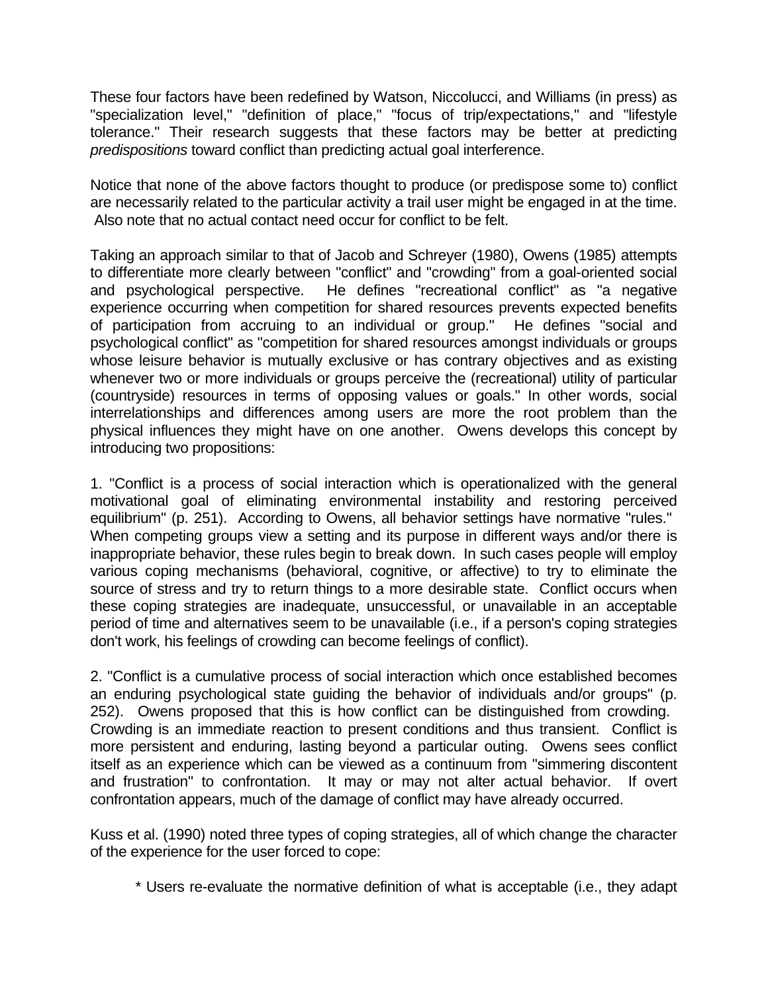These four factors have been redefined by Watson, Niccolucci, and Williams (in press) as "specialization level," "definition of place," "focus of trip/expectations," and "lifestyle tolerance." Their research suggests that these factors may be better at predicting *predispositions* toward conflict than predicting actual goal interference.

Notice that none of the above factors thought to produce (or predispose some to) conflict are necessarily related to the particular activity a trail user might be engaged in at the time. Also note that no actual contact need occur for conflict to be felt.

Taking an approach similar to that of Jacob and Schreyer (1980), Owens (1985) attempts to differentiate more clearly between "conflict" and "crowding" from a goal-oriented social and psychological perspective. He defines "recreational conflict" as "a negative experience occurring when competition for shared resources prevents expected benefits of participation from accruing to an individual or group." He defines "social and psychological conflict" as "competition for shared resources amongst individuals or groups whose leisure behavior is mutually exclusive or has contrary objectives and as existing whenever two or more individuals or groups perceive the (recreational) utility of particular (countryside) resources in terms of opposing values or goals." In other words, social interrelationships and differences among users are more the root problem than the physical influences they might have on one another. Owens develops this concept by introducing two propositions:

1. "Conflict is a process of social interaction which is operationalized with the general motivational goal of eliminating environmental instability and restoring perceived equilibrium" (p. 251). According to Owens, all behavior settings have normative "rules." When competing groups view a setting and its purpose in different ways and/or there is inappropriate behavior, these rules begin to break down. In such cases people will employ various coping mechanisms (behavioral, cognitive, or affective) to try to eliminate the source of stress and try to return things to a more desirable state. Conflict occurs when these coping strategies are inadequate, unsuccessful, or unavailable in an acceptable period of time and alternatives seem to be unavailable (i.e., if a person's coping strategies don't work, his feelings of crowding can become feelings of conflict).

2. "Conflict is a cumulative process of social interaction which once established becomes an enduring psychological state guiding the behavior of individuals and/or groups" (p. 252). Owens proposed that this is how conflict can be distinguished from crowding. Crowding is an immediate reaction to present conditions and thus transient. Conflict is more persistent and enduring, lasting beyond a particular outing. Owens sees conflict itself as an experience which can be viewed as a continuum from "simmering discontent and frustration" to confrontation. It may or may not alter actual behavior. If overt confrontation appears, much of the damage of conflict may have already occurred.

Kuss et al. (1990) noted three types of coping strategies, all of which change the character of the experience for the user forced to cope:

\* Users re-evaluate the normative definition of what is acceptable (i.e., they adapt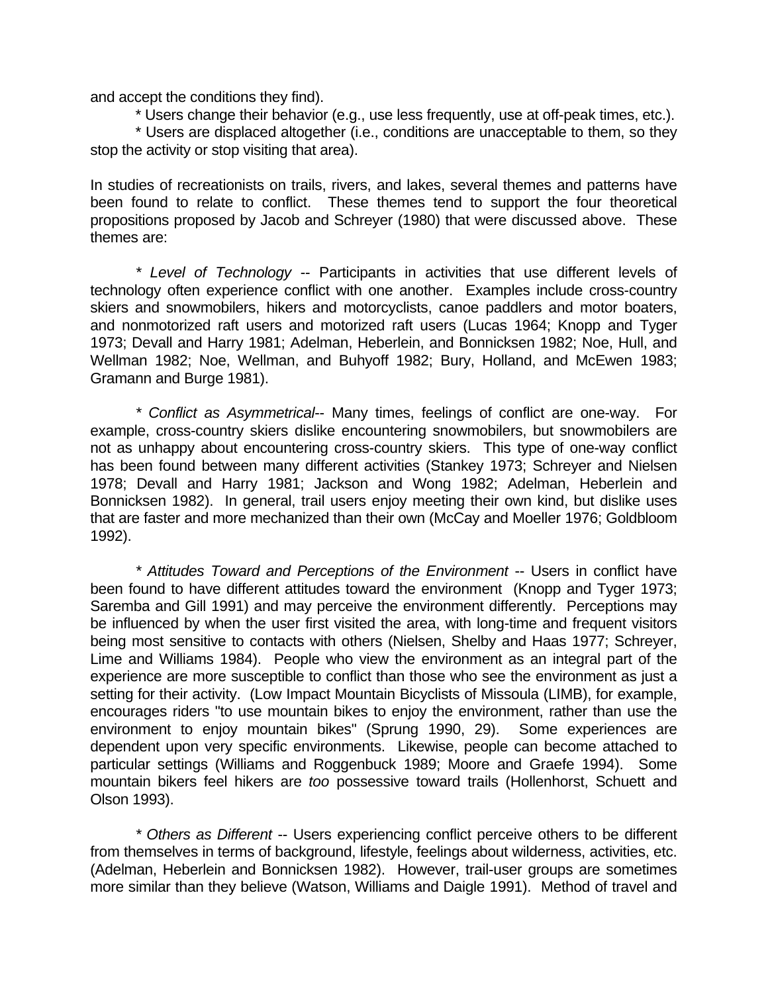and accept the conditions they find).

\* Users change their behavior (e.g., use less frequently, use at off-peak times, etc.).

\* Users are displaced altogether (i.e., conditions are unacceptable to them, so they stop the activity or stop visiting that area).

In studies of recreationists on trails, rivers, and lakes, several themes and patterns have been found to relate to conflict. These themes tend to support the four theoretical propositions proposed by Jacob and Schreyer (1980) that were discussed above. These themes are:

*\* Level of Technology* -- Participants in activities that use different levels of technology often experience conflict with one another. Examples include cross-country skiers and snowmobilers, hikers and motorcyclists, canoe paddlers and motor boaters, and nonmotorized raft users and motorized raft users (Lucas 1964; Knopp and Tyger 1973; Devall and Harry 1981; Adelman, Heberlein, and Bonnicksen 1982; Noe, Hull, and Wellman 1982; Noe, Wellman, and Buhyoff 1982; Bury, Holland, and McEwen 1983; Gramann and Burge 1981).

*\* Conflict as Asymmetrical*-- Many times, feelings of conflict are one-way. For example, cross-country skiers dislike encountering snowmobilers, but snowmobilers are not as unhappy about encountering cross-country skiers. This type of one-way conflict has been found between many different activities (Stankey 1973; Schreyer and Nielsen 1978; Devall and Harry 1981; Jackson and Wong 1982; Adelman, Heberlein and Bonnicksen 1982). In general, trail users enjoy meeting their own kind, but dislike uses that are faster and more mechanized than their own (McCay and Moeller 1976; Goldbloom 1992).

*\* Attitudes Toward and Perceptions of the Environment* -- Users in conflict have been found to have different attitudes toward the environment (Knopp and Tyger 1973; Saremba and Gill 1991) and may perceive the environment differently. Perceptions may be influenced by when the user first visited the area, with long-time and frequent visitors being most sensitive to contacts with others (Nielsen, Shelby and Haas 1977; Schreyer, Lime and Williams 1984). People who view the environment as an integral part of the experience are more susceptible to conflict than those who see the environment as just a setting for their activity. (Low Impact Mountain Bicyclists of Missoula (LIMB), for example, encourages riders "to use mountain bikes to enjoy the environment, rather than use the environment to enjoy mountain bikes" (Sprung 1990, 29). Some experiences are dependent upon very specific environments. Likewise, people can become attached to particular settings (Williams and Roggenbuck 1989; Moore and Graefe 1994). Some mountain bikers feel hikers are *too* possessive toward trails (Hollenhorst, Schuett and Olson 1993).

*\* Others as Different* -- Users experiencing conflict perceive others to be different from themselves in terms of background, lifestyle, feelings about wilderness, activities, etc. (Adelman, Heberlein and Bonnicksen 1982). However, trail-user groups are sometimes more similar than they believe (Watson, Williams and Daigle 1991). Method of travel and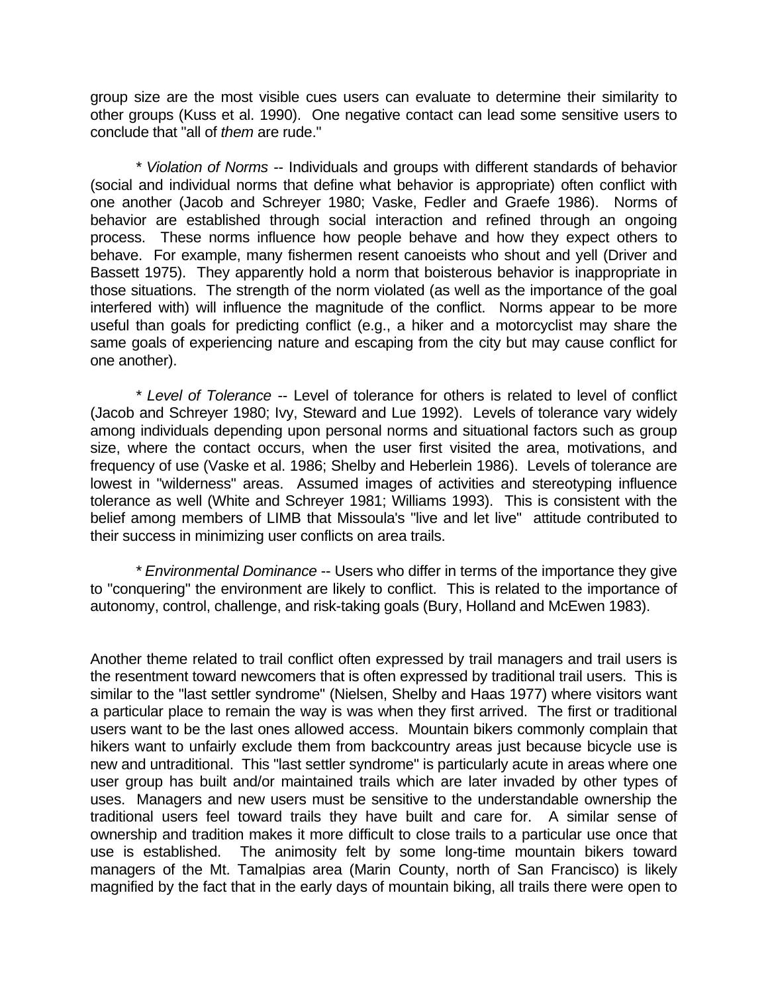group size are the most visible cues users can evaluate to determine their similarity to other groups (Kuss et al. 1990). One negative contact can lead some sensitive users to conclude that "all of *them* are rude."

*\* Violation of Norms* -- Individuals and groups with different standards of behavior (social and individual norms that define what behavior is appropriate) often conflict with one another (Jacob and Schreyer 1980; Vaske, Fedler and Graefe 1986). Norms of behavior are established through social interaction and refined through an ongoing process. These norms influence how people behave and how they expect others to behave. For example, many fishermen resent canoeists who shout and yell (Driver and Bassett 1975). They apparently hold a norm that boisterous behavior is inappropriate in those situations. The strength of the norm violated (as well as the importance of the goal interfered with) will influence the magnitude of the conflict. Norms appear to be more useful than goals for predicting conflict (e.g., a hiker and a motorcyclist may share the same goals of experiencing nature and escaping from the city but may cause conflict for one another).

*\* Level of Tolerance* -- Level of tolerance for others is related to level of conflict (Jacob and Schreyer 1980; Ivy, Steward and Lue 1992). Levels of tolerance vary widely among individuals depending upon personal norms and situational factors such as group size, where the contact occurs, when the user first visited the area, motivations, and frequency of use (Vaske et al. 1986; Shelby and Heberlein 1986). Levels of tolerance are lowest in "wilderness" areas. Assumed images of activities and stereotyping influence tolerance as well (White and Schreyer 1981; Williams 1993). This is consistent with the belief among members of LIMB that Missoula's "live and let live" attitude contributed to their success in minimizing user conflicts on area trails.

*\* Environmental Dominance* -- Users who differ in terms of the importance they give to "conquering" the environment are likely to conflict. This is related to the importance of autonomy, control, challenge, and risk-taking goals (Bury, Holland and McEwen 1983).

Another theme related to trail conflict often expressed by trail managers and trail users is the resentment toward newcomers that is often expressed by traditional trail users. This is similar to the "last settler syndrome" (Nielsen, Shelby and Haas 1977) where visitors want a particular place to remain the way is was when they first arrived. The first or traditional users want to be the last ones allowed access. Mountain bikers commonly complain that hikers want to unfairly exclude them from backcountry areas just because bicycle use is new and untraditional. This "last settler syndrome" is particularly acute in areas where one user group has built and/or maintained trails which are later invaded by other types of uses. Managers and new users must be sensitive to the understandable ownership the traditional users feel toward trails they have built and care for. A similar sense of ownership and tradition makes it more difficult to close trails to a particular use once that use is established. The animosity felt by some long-time mountain bikers toward managers of the Mt. Tamalpias area (Marin County, north of San Francisco) is likely magnified by the fact that in the early days of mountain biking, all trails there were open to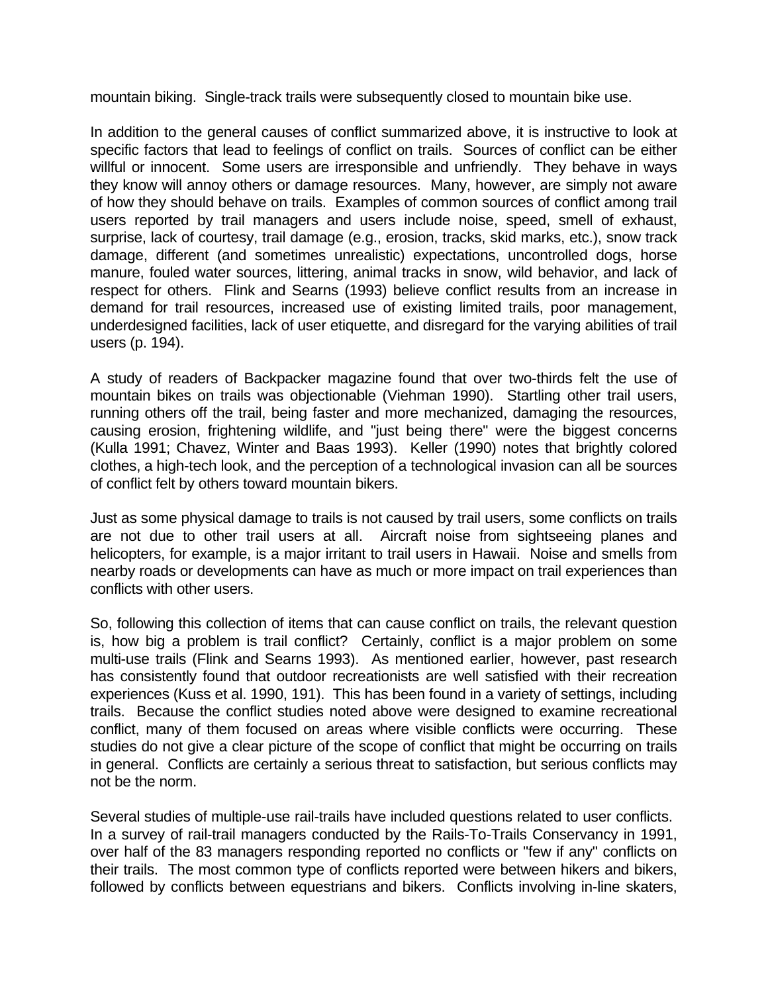mountain biking. Single-track trails were subsequently closed to mountain bike use.

In addition to the general causes of conflict summarized above, it is instructive to look at specific factors that lead to feelings of conflict on trails. Sources of conflict can be either willful or innocent. Some users are irresponsible and unfriendly. They behave in ways they know will annoy others or damage resources. Many, however, are simply not aware of how they should behave on trails. Examples of common sources of conflict among trail users reported by trail managers and users include noise, speed, smell of exhaust, surprise, lack of courtesy, trail damage (e.g., erosion, tracks, skid marks, etc.), snow track damage, different (and sometimes unrealistic) expectations, uncontrolled dogs, horse manure, fouled water sources, littering, animal tracks in snow, wild behavior, and lack of respect for others. Flink and Searns (1993) believe conflict results from an increase in demand for trail resources, increased use of existing limited trails, poor management, underdesigned facilities, lack of user etiquette, and disregard for the varying abilities of trail users (p. 194).

A study of readers of Backpacker magazine found that over two-thirds felt the use of mountain bikes on trails was objectionable (Viehman 1990). Startling other trail users, running others off the trail, being faster and more mechanized, damaging the resources, causing erosion, frightening wildlife, and "just being there" were the biggest concerns (Kulla 1991; Chavez, Winter and Baas 1993). Keller (1990) notes that brightly colored clothes, a high-tech look, and the perception of a technological invasion can all be sources of conflict felt by others toward mountain bikers.

Just as some physical damage to trails is not caused by trail users, some conflicts on trails are not due to other trail users at all. Aircraft noise from sightseeing planes and helicopters, for example, is a major irritant to trail users in Hawaii. Noise and smells from nearby roads or developments can have as much or more impact on trail experiences than conflicts with other users.

So, following this collection of items that can cause conflict on trails, the relevant question is, how big a problem is trail conflict? Certainly, conflict is a major problem on some multi-use trails (Flink and Searns 1993). As mentioned earlier, however, past research has consistently found that outdoor recreationists are well satisfied with their recreation experiences (Kuss et al. 1990, 191). This has been found in a variety of settings, including trails. Because the conflict studies noted above were designed to examine recreational conflict, many of them focused on areas where visible conflicts were occurring. These studies do not give a clear picture of the scope of conflict that might be occurring on trails in general. Conflicts are certainly a serious threat to satisfaction, but serious conflicts may not be the norm.

Several studies of multiple-use rail-trails have included questions related to user conflicts. In a survey of rail-trail managers conducted by the Rails-To-Trails Conservancy in 1991, over half of the 83 managers responding reported no conflicts or "few if any" conflicts on their trails. The most common type of conflicts reported were between hikers and bikers, followed by conflicts between equestrians and bikers. Conflicts involving in-line skaters,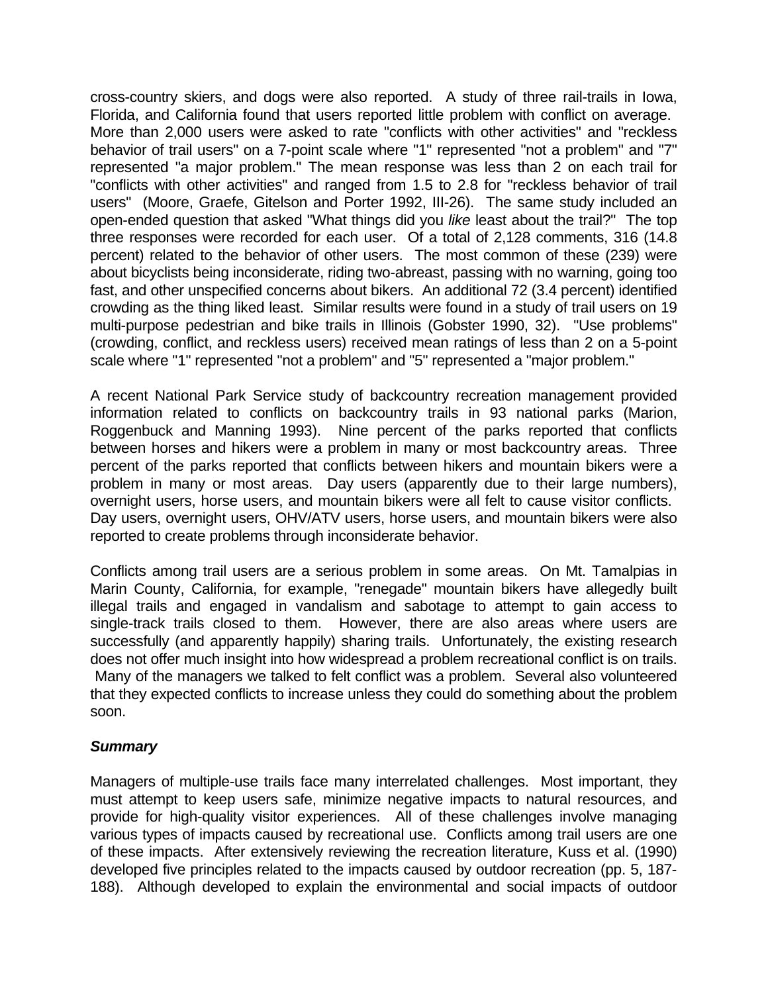cross-country skiers, and dogs were also reported. A study of three rail-trails in Iowa, Florida, and California found that users reported little problem with conflict on average. More than 2,000 users were asked to rate "conflicts with other activities" and "reckless behavior of trail users" on a 7-point scale where "1" represented "not a problem" and "7" represented "a major problem." The mean response was less than 2 on each trail for "conflicts with other activities" and ranged from 1.5 to 2.8 for "reckless behavior of trail users" (Moore, Graefe, Gitelson and Porter 1992, III-26). The same study included an open-ended question that asked "What things did you *like* least about the trail?" The top three responses were recorded for each user. Of a total of 2,128 comments, 316 (14.8 percent) related to the behavior of other users. The most common of these (239) were about bicyclists being inconsiderate, riding two-abreast, passing with no warning, going too fast, and other unspecified concerns about bikers. An additional 72 (3.4 percent) identified crowding as the thing liked least. Similar results were found in a study of trail users on 19 multi-purpose pedestrian and bike trails in Illinois (Gobster 1990, 32). "Use problems" (crowding, conflict, and reckless users) received mean ratings of less than 2 on a 5-point scale where "1" represented "not a problem" and "5" represented a "major problem."

A recent National Park Service study of backcountry recreation management provided information related to conflicts on backcountry trails in 93 national parks (Marion, Roggenbuck and Manning 1993). Nine percent of the parks reported that conflicts between horses and hikers were a problem in many or most backcountry areas. Three percent of the parks reported that conflicts between hikers and mountain bikers were a problem in many or most areas. Day users (apparently due to their large numbers), overnight users, horse users, and mountain bikers were all felt to cause visitor conflicts. Day users, overnight users, OHV/ATV users, horse users, and mountain bikers were also reported to create problems through inconsiderate behavior.

Conflicts among trail users are a serious problem in some areas. On Mt. Tamalpias in Marin County, California, for example, "renegade" mountain bikers have allegedly built illegal trails and engaged in vandalism and sabotage to attempt to gain access to single-track trails closed to them. However, there are also areas where users are successfully (and apparently happily) sharing trails. Unfortunately, the existing research does not offer much insight into how widespread a problem recreational conflict is on trails. Many of the managers we talked to felt conflict was a problem. Several also volunteered that they expected conflicts to increase unless they could do something about the problem soon.

### *Summary*

Managers of multiple-use trails face many interrelated challenges. Most important, they must attempt to keep users safe, minimize negative impacts to natural resources, and provide for high-quality visitor experiences. All of these challenges involve managing various types of impacts caused by recreational use. Conflicts among trail users are one of these impacts. After extensively reviewing the recreation literature, Kuss et al. (1990) developed five principles related to the impacts caused by outdoor recreation (pp. 5, 187- 188). Although developed to explain the environmental and social impacts of outdoor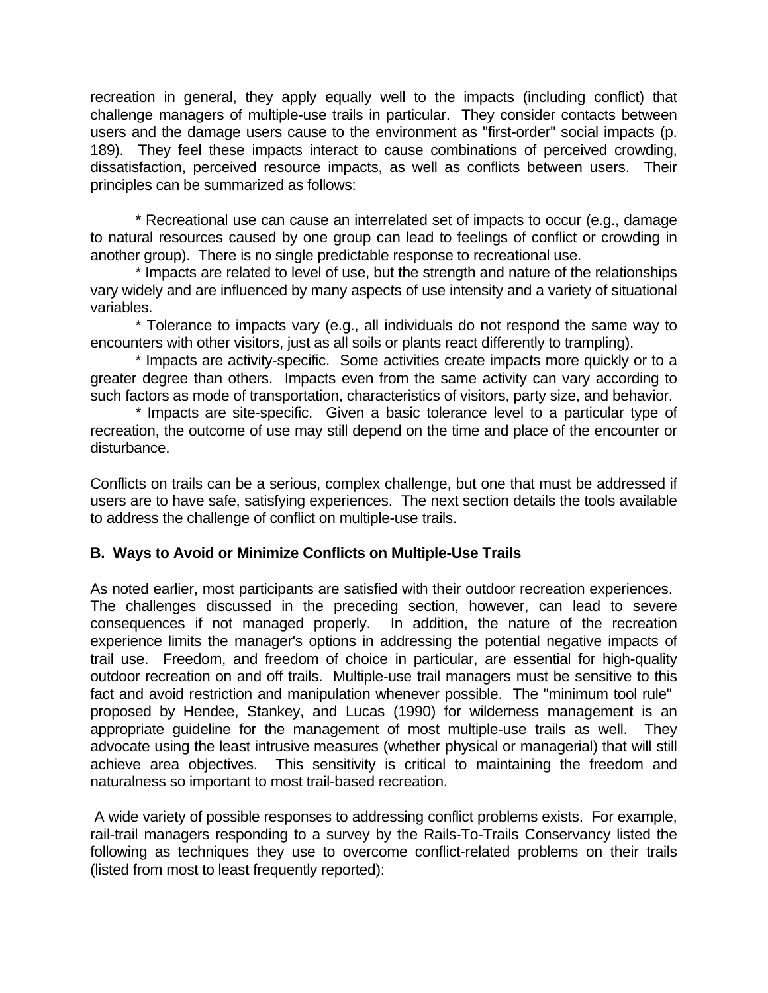recreation in general, they apply equally well to the impacts (including conflict) that challenge managers of multiple-use trails in particular. They consider contacts between users and the damage users cause to the environment as "first-order" social impacts (p. 189). They feel these impacts interact to cause combinations of perceived crowding, dissatisfaction, perceived resource impacts, as well as conflicts between users. Their principles can be summarized as follows:

\* Recreational use can cause an interrelated set of impacts to occur (e.g., damage to natural resources caused by one group can lead to feelings of conflict or crowding in another group). There is no single predictable response to recreational use.

\* Impacts are related to level of use, but the strength and nature of the relationships vary widely and are influenced by many aspects of use intensity and a variety of situational variables.

\* Tolerance to impacts vary (e.g., all individuals do not respond the same way to encounters with other visitors, just as all soils or plants react differently to trampling).

\* Impacts are activity-specific. Some activities create impacts more quickly or to a greater degree than others. Impacts even from the same activity can vary according to such factors as mode of transportation, characteristics of visitors, party size, and behavior.

\* Impacts are site-specific. Given a basic tolerance level to a particular type of recreation, the outcome of use may still depend on the time and place of the encounter or disturbance.

Conflicts on trails can be a serious, complex challenge, but one that must be addressed if users are to have safe, satisfying experiences. The next section details the tools available to address the challenge of conflict on multiple-use trails.

### **B. Ways to Avoid or Minimize Conflicts on Multiple-Use Trails**

As noted earlier, most participants are satisfied with their outdoor recreation experiences. The challenges discussed in the preceding section, however, can lead to severe consequences if not managed properly. In addition, the nature of the recreation experience limits the manager's options in addressing the potential negative impacts of trail use. Freedom, and freedom of choice in particular, are essential for high-quality outdoor recreation on and off trails. Multiple-use trail managers must be sensitive to this fact and avoid restriction and manipulation whenever possible. The "minimum tool rule" proposed by Hendee, Stankey, and Lucas (1990) for wilderness management is an appropriate guideline for the management of most multiple-use trails as well. They advocate using the least intrusive measures (whether physical or managerial) that will still achieve area objectives. This sensitivity is critical to maintaining the freedom and naturalness so important to most trail-based recreation.

 A wide variety of possible responses to addressing conflict problems exists. For example, rail-trail managers responding to a survey by the Rails-To-Trails Conservancy listed the following as techniques they use to overcome conflict-related problems on their trails (listed from most to least frequently reported):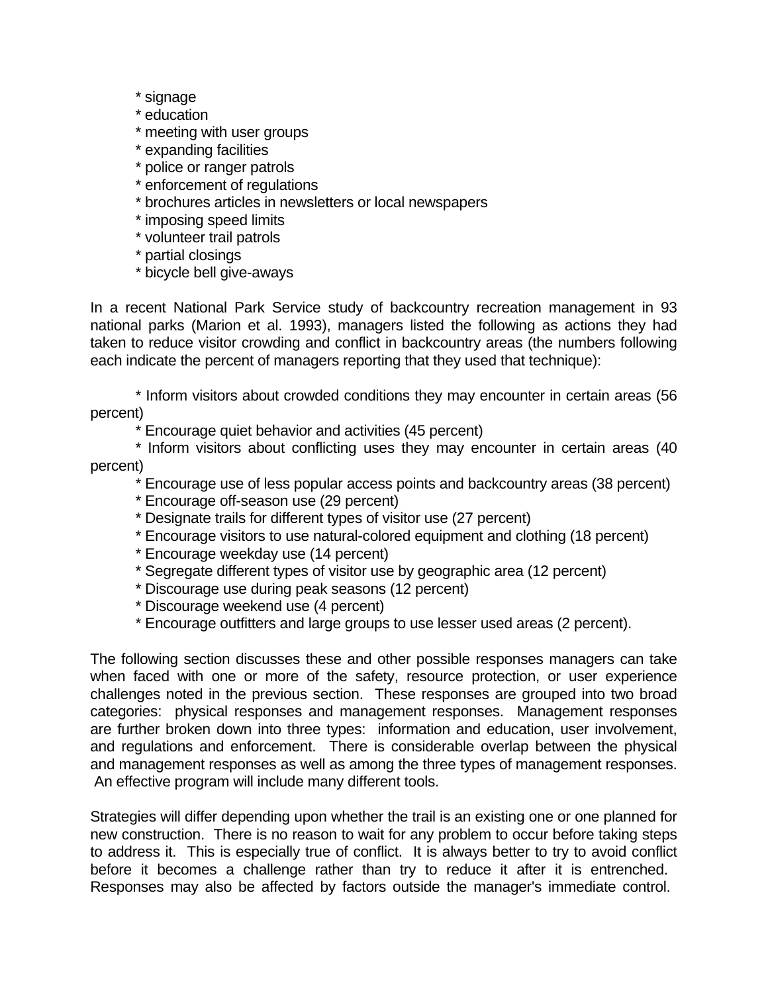- \* signage
- \* education
- \* meeting with user groups
- \* expanding facilities
- \* police or ranger patrols
- \* enforcement of regulations
- \* brochures articles in newsletters or local newspapers
- \* imposing speed limits
- \* volunteer trail patrols
- \* partial closings
- \* bicycle bell give-aways

In a recent National Park Service study of backcountry recreation management in 93 national parks (Marion et al. 1993), managers listed the following as actions they had taken to reduce visitor crowding and conflict in backcountry areas (the numbers following each indicate the percent of managers reporting that they used that technique):

\* Inform visitors about crowded conditions they may encounter in certain areas (56 percent)

\* Encourage quiet behavior and activities (45 percent)

- \* Inform visitors about conflicting uses they may encounter in certain areas (40 percent)
	- \* Encourage use of less popular access points and backcountry areas (38 percent)
	- \* Encourage off-season use (29 percent)
	- \* Designate trails for different types of visitor use (27 percent)
	- \* Encourage visitors to use natural-colored equipment and clothing (18 percent)
	- \* Encourage weekday use (14 percent)
	- \* Segregate different types of visitor use by geographic area (12 percent)
	- \* Discourage use during peak seasons (12 percent)
	- \* Discourage weekend use (4 percent)
	- \* Encourage outfitters and large groups to use lesser used areas (2 percent).

The following section discusses these and other possible responses managers can take when faced with one or more of the safety, resource protection, or user experience challenges noted in the previous section. These responses are grouped into two broad categories: physical responses and management responses. Management responses are further broken down into three types: information and education, user involvement, and regulations and enforcement. There is considerable overlap between the physical and management responses as well as among the three types of management responses. An effective program will include many different tools.

Strategies will differ depending upon whether the trail is an existing one or one planned for new construction. There is no reason to wait for any problem to occur before taking steps to address it. This is especially true of conflict. It is always better to try to avoid conflict before it becomes a challenge rather than try to reduce it after it is entrenched. Responses may also be affected by factors outside the manager's immediate control.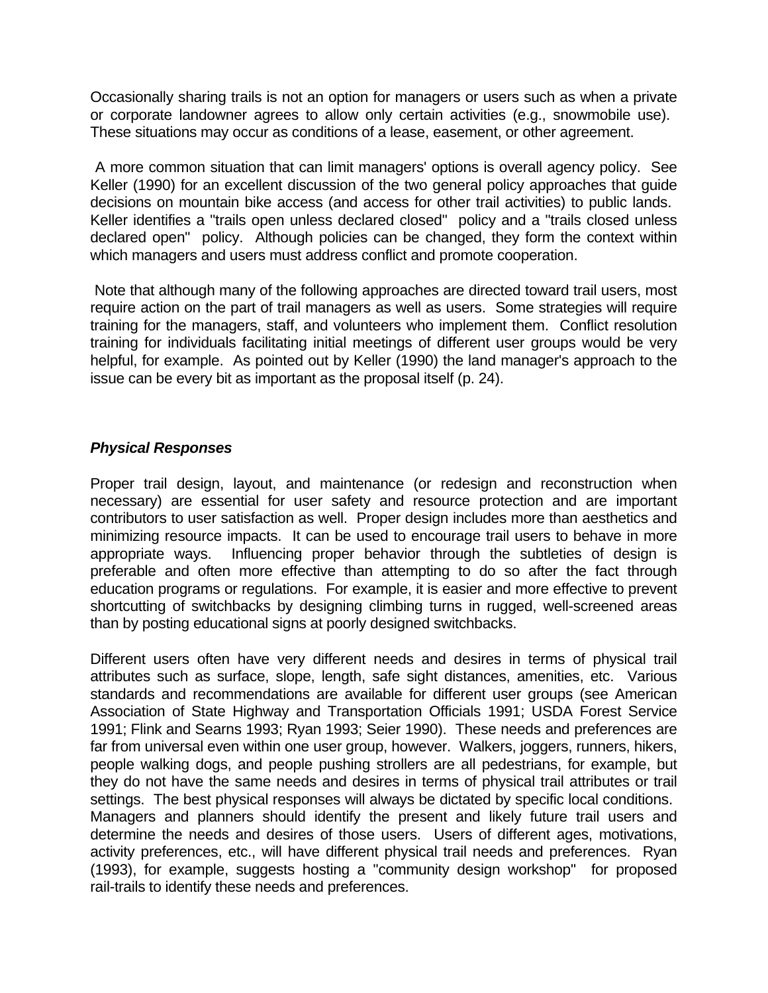Occasionally sharing trails is not an option for managers or users such as when a private or corporate landowner agrees to allow only certain activities (e.g., snowmobile use). These situations may occur as conditions of a lease, easement, or other agreement.

 A more common situation that can limit managers' options is overall agency policy. See Keller (1990) for an excellent discussion of the two general policy approaches that guide decisions on mountain bike access (and access for other trail activities) to public lands. Keller identifies a "trails open unless declared closed" policy and a "trails closed unless declared open" policy. Although policies can be changed, they form the context within which managers and users must address conflict and promote cooperation.

 Note that although many of the following approaches are directed toward trail users, most require action on the part of trail managers as well as users. Some strategies will require training for the managers, staff, and volunteers who implement them. Conflict resolution training for individuals facilitating initial meetings of different user groups would be very helpful, for example. As pointed out by Keller (1990) the land manager's approach to the issue can be every bit as important as the proposal itself (p. 24).

### *Physical Responses*

Proper trail design, layout, and maintenance (or redesign and reconstruction when necessary) are essential for user safety and resource protection and are important contributors to user satisfaction as well. Proper design includes more than aesthetics and minimizing resource impacts. It can be used to encourage trail users to behave in more appropriate ways. Influencing proper behavior through the subtleties of design is preferable and often more effective than attempting to do so after the fact through education programs or regulations. For example, it is easier and more effective to prevent shortcutting of switchbacks by designing climbing turns in rugged, well-screened areas than by posting educational signs at poorly designed switchbacks.

Different users often have very different needs and desires in terms of physical trail attributes such as surface, slope, length, safe sight distances, amenities, etc. Various standards and recommendations are available for different user groups (see American Association of State Highway and Transportation Officials 1991; USDA Forest Service 1991; Flink and Searns 1993; Ryan 1993; Seier 1990). These needs and preferences are far from universal even within one user group, however. Walkers, joggers, runners, hikers, people walking dogs, and people pushing strollers are all pedestrians, for example, but they do not have the same needs and desires in terms of physical trail attributes or trail settings. The best physical responses will always be dictated by specific local conditions. Managers and planners should identify the present and likely future trail users and determine the needs and desires of those users. Users of different ages, motivations, activity preferences, etc., will have different physical trail needs and preferences. Ryan (1993), for example, suggests hosting a "community design workshop" for proposed rail-trails to identify these needs and preferences.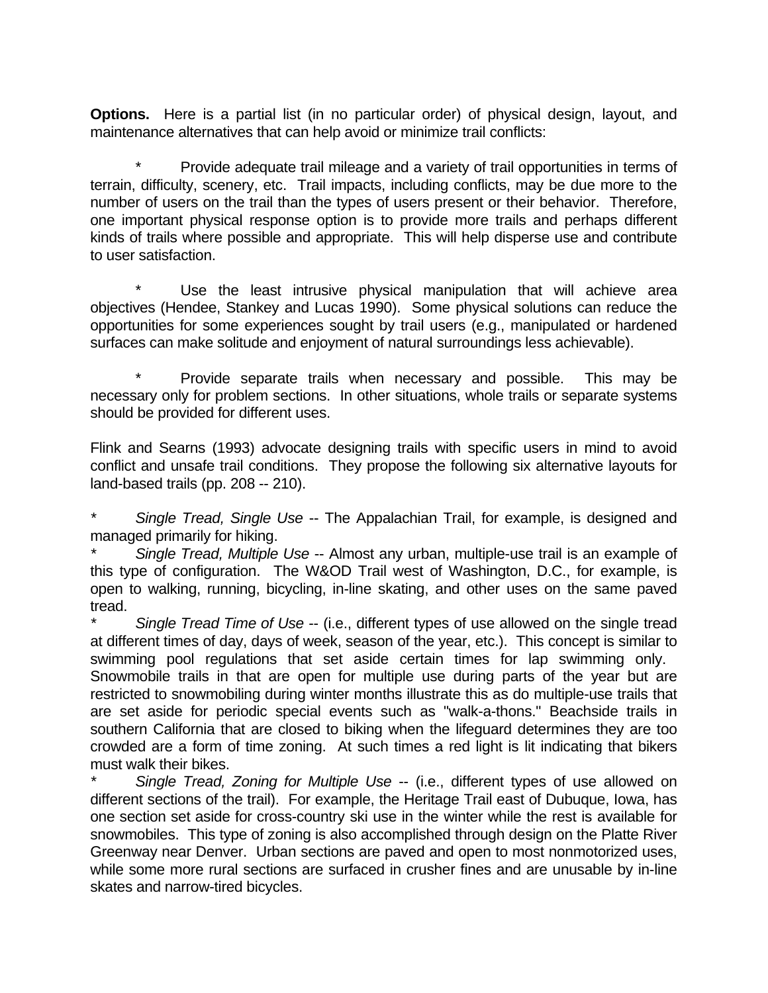**Options.** Here is a partial list (in no particular order) of physical design, layout, and maintenance alternatives that can help avoid or minimize trail conflicts:

Provide adequate trail mileage and a variety of trail opportunities in terms of terrain, difficulty, scenery, etc. Trail impacts, including conflicts, may be due more to the number of users on the trail than the types of users present or their behavior. Therefore, one important physical response option is to provide more trails and perhaps different kinds of trails where possible and appropriate. This will help disperse use and contribute to user satisfaction.

Use the least intrusive physical manipulation that will achieve area objectives (Hendee, Stankey and Lucas 1990). Some physical solutions can reduce the opportunities for some experiences sought by trail users (e.g., manipulated or hardened surfaces can make solitude and enjoyment of natural surroundings less achievable).

Provide separate trails when necessary and possible. This may be necessary only for problem sections. In other situations, whole trails or separate systems should be provided for different uses.

Flink and Searns (1993) advocate designing trails with specific users in mind to avoid conflict and unsafe trail conditions. They propose the following six alternative layouts for land-based trails (pp. 208 -- 210).

*\* Single Tread, Single Use* -- The Appalachian Trail, for example, is designed and managed primarily for hiking.

*\* Single Tread, Multiple Use* -- Almost any urban, multiple-use trail is an example of this type of configuration. The W&OD Trail west of Washington, D.C., for example, is open to walking, running, bicycling, in-line skating, and other uses on the same paved tread.

*\* Single Tread Time of Use* -- (i.e., different types of use allowed on the single tread at different times of day, days of week, season of the year, etc.). This concept is similar to swimming pool regulations that set aside certain times for lap swimming only. Snowmobile trails in that are open for multiple use during parts of the year but are restricted to snowmobiling during winter months illustrate this as do multiple-use trails that are set aside for periodic special events such as "walk-a-thons." Beachside trails in southern California that are closed to biking when the lifeguard determines they are too crowded are a form of time zoning. At such times a red light is lit indicating that bikers must walk their bikes.

*\* Single Tread, Zoning for Multiple Use* -- (i.e., different types of use allowed on different sections of the trail). For example, the Heritage Trail east of Dubuque, Iowa, has one section set aside for cross-country ski use in the winter while the rest is available for snowmobiles. This type of zoning is also accomplished through design on the Platte River Greenway near Denver. Urban sections are paved and open to most nonmotorized uses, while some more rural sections are surfaced in crusher fines and are unusable by in-line skates and narrow-tired bicycles.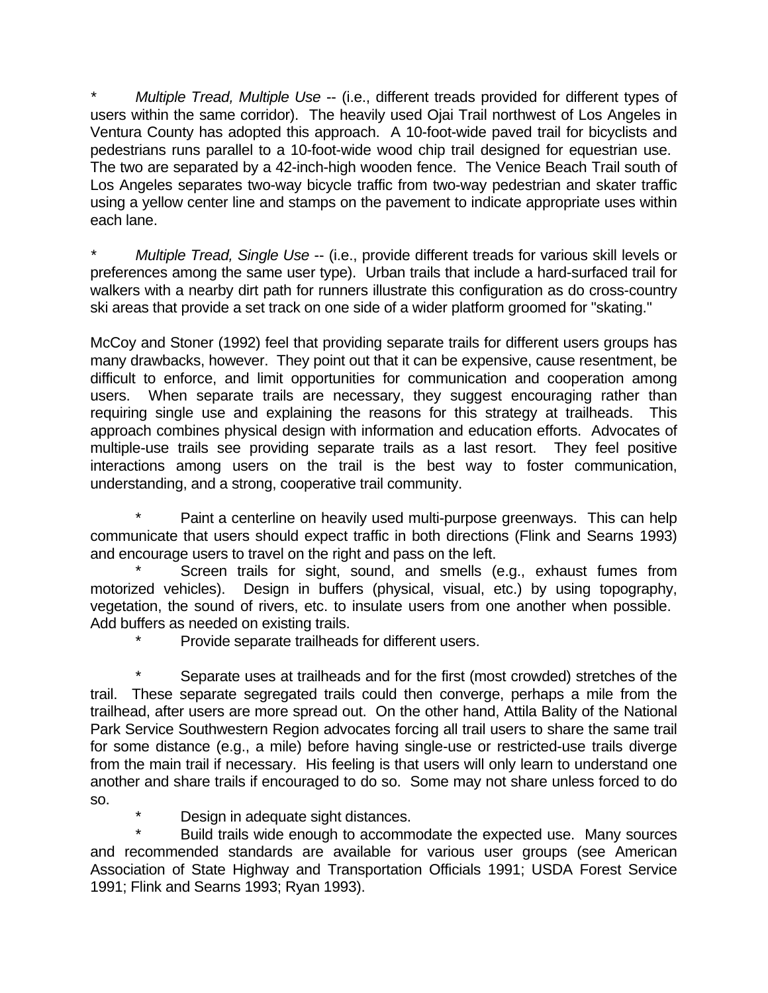*Multiple Tread, Multiple Use* -- (i.e., different treads provided for different types of users within the same corridor). The heavily used Ojai Trail northwest of Los Angeles in Ventura County has adopted this approach. A 10-foot-wide paved trail for bicyclists and pedestrians runs parallel to a 10-foot-wide wood chip trail designed for equestrian use. The two are separated by a 42-inch-high wooden fence. The Venice Beach Trail south of Los Angeles separates two-way bicycle traffic from two-way pedestrian and skater traffic using a yellow center line and stamps on the pavement to indicate appropriate uses within each lane.

*Multiple Tread, Single Use* -- (i.e., provide different treads for various skill levels or preferences among the same user type). Urban trails that include a hard-surfaced trail for walkers with a nearby dirt path for runners illustrate this configuration as do cross-country ski areas that provide a set track on one side of a wider platform groomed for "skating."

McCoy and Stoner (1992) feel that providing separate trails for different users groups has many drawbacks, however. They point out that it can be expensive, cause resentment, be difficult to enforce, and limit opportunities for communication and cooperation among users. When separate trails are necessary, they suggest encouraging rather than requiring single use and explaining the reasons for this strategy at trailheads. This approach combines physical design with information and education efforts. Advocates of multiple-use trails see providing separate trails as a last resort. They feel positive interactions among users on the trail is the best way to foster communication, understanding, and a strong, cooperative trail community.

Paint a centerline on heavily used multi-purpose greenways. This can help communicate that users should expect traffic in both directions (Flink and Searns 1993) and encourage users to travel on the right and pass on the left.

Screen trails for sight, sound, and smells (e.g., exhaust fumes from motorized vehicles). Design in buffers (physical, visual, etc.) by using topography, vegetation, the sound of rivers, etc. to insulate users from one another when possible. Add buffers as needed on existing trails.

Provide separate trailheads for different users.

Separate uses at trailheads and for the first (most crowded) stretches of the trail. These separate segregated trails could then converge, perhaps a mile from the trailhead, after users are more spread out. On the other hand, Attila Bality of the National Park Service Southwestern Region advocates forcing all trail users to share the same trail for some distance (e.g., a mile) before having single-use or restricted-use trails diverge from the main trail if necessary. His feeling is that users will only learn to understand one another and share trails if encouraged to do so. Some may not share unless forced to do so.

Design in adequate sight distances.

Build trails wide enough to accommodate the expected use. Many sources and recommended standards are available for various user groups (see American Association of State Highway and Transportation Officials 1991; USDA Forest Service 1991; Flink and Searns 1993; Ryan 1993).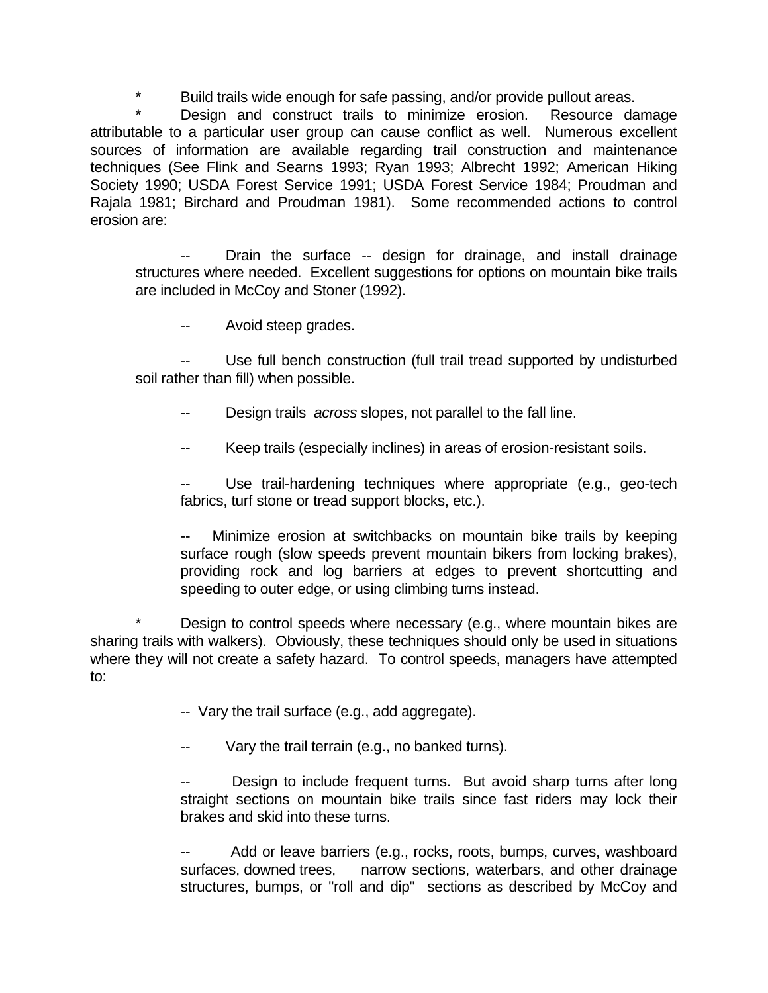\* Build trails wide enough for safe passing, and/or provide pullout areas.

Design and construct trails to minimize erosion. Resource damage attributable to a particular user group can cause conflict as well. Numerous excellent sources of information are available regarding trail construction and maintenance techniques (See Flink and Searns 1993; Ryan 1993; Albrecht 1992; American Hiking Society 1990; USDA Forest Service 1991; USDA Forest Service 1984; Proudman and Rajala 1981; Birchard and Proudman 1981). Some recommended actions to control erosion are:

Drain the surface -- design for drainage, and install drainage structures where needed. Excellent suggestions for options on mountain bike trails are included in McCoy and Stoner (1992).

Avoid steep grades.

Use full bench construction (full trail tread supported by undisturbed soil rather than fill) when possible.

Design trails *across* slopes, not parallel to the fall line.

Keep trails (especially inclines) in areas of erosion-resistant soils.

Use trail-hardening techniques where appropriate (e.g., geo-tech fabrics, turf stone or tread support blocks, etc.).

Minimize erosion at switchbacks on mountain bike trails by keeping surface rough (slow speeds prevent mountain bikers from locking brakes), providing rock and log barriers at edges to prevent shortcutting and speeding to outer edge, or using climbing turns instead.

\* Design to control speeds where necessary (e.g., where mountain bikes are sharing trails with walkers). Obviously, these techniques should only be used in situations where they will not create a safety hazard. To control speeds, managers have attempted to:

-- Vary the trail surface (e.g., add aggregate).

Vary the trail terrain (e.g., no banked turns).

Design to include frequent turns. But avoid sharp turns after long straight sections on mountain bike trails since fast riders may lock their brakes and skid into these turns.

Add or leave barriers (e.g., rocks, roots, bumps, curves, washboard surfaces, downed trees, narrow sections, waterbars, and other drainage structures, bumps, or "roll and dip" sections as described by McCoy and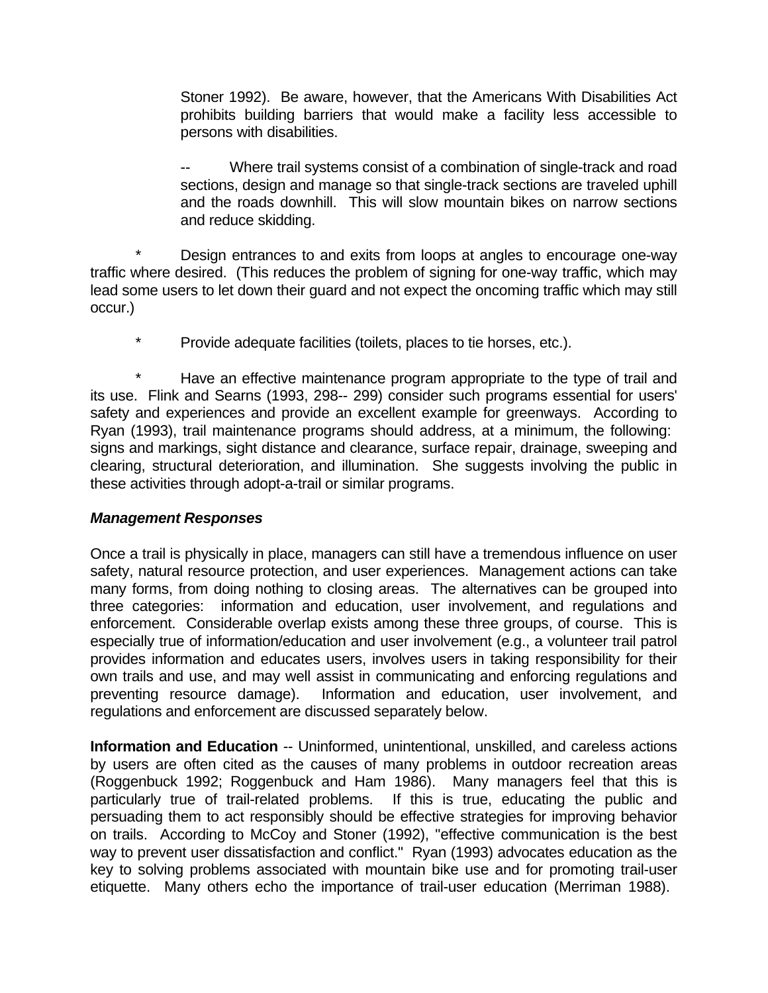Stoner 1992). Be aware, however, that the Americans With Disabilities Act prohibits building barriers that would make a facility less accessible to persons with disabilities.

Where trail systems consist of a combination of single-track and road sections, design and manage so that single-track sections are traveled uphill and the roads downhill. This will slow mountain bikes on narrow sections and reduce skidding.

\* Design entrances to and exits from loops at angles to encourage one-way traffic where desired. (This reduces the problem of signing for one-way traffic, which may lead some users to let down their guard and not expect the oncoming traffic which may still occur.)

\* Provide adequate facilities (toilets, places to tie horses, etc.).

Have an effective maintenance program appropriate to the type of trail and its use. Flink and Searns (1993, 298-- 299) consider such programs essential for users' safety and experiences and provide an excellent example for greenways. According to Ryan (1993), trail maintenance programs should address, at a minimum, the following: signs and markings, sight distance and clearance, surface repair, drainage, sweeping and clearing, structural deterioration, and illumination. She suggests involving the public in these activities through adopt-a-trail or similar programs.

### *Management Responses*

Once a trail is physically in place, managers can still have a tremendous influence on user safety, natural resource protection, and user experiences. Management actions can take many forms, from doing nothing to closing areas. The alternatives can be grouped into three categories: information and education, user involvement, and regulations and enforcement. Considerable overlap exists among these three groups, of course. This is especially true of information/education and user involvement (e.g., a volunteer trail patrol provides information and educates users, involves users in taking responsibility for their own trails and use, and may well assist in communicating and enforcing regulations and preventing resource damage). Information and education, user involvement, and regulations and enforcement are discussed separately below.

**Information and Education** -- Uninformed, unintentional, unskilled, and careless actions by users are often cited as the causes of many problems in outdoor recreation areas (Roggenbuck 1992; Roggenbuck and Ham 1986). Many managers feel that this is particularly true of trail-related problems. If this is true, educating the public and persuading them to act responsibly should be effective strategies for improving behavior on trails. According to McCoy and Stoner (1992), "effective communication is the best way to prevent user dissatisfaction and conflict." Ryan (1993) advocates education as the key to solving problems associated with mountain bike use and for promoting trail-user etiquette. Many others echo the importance of trail-user education (Merriman 1988).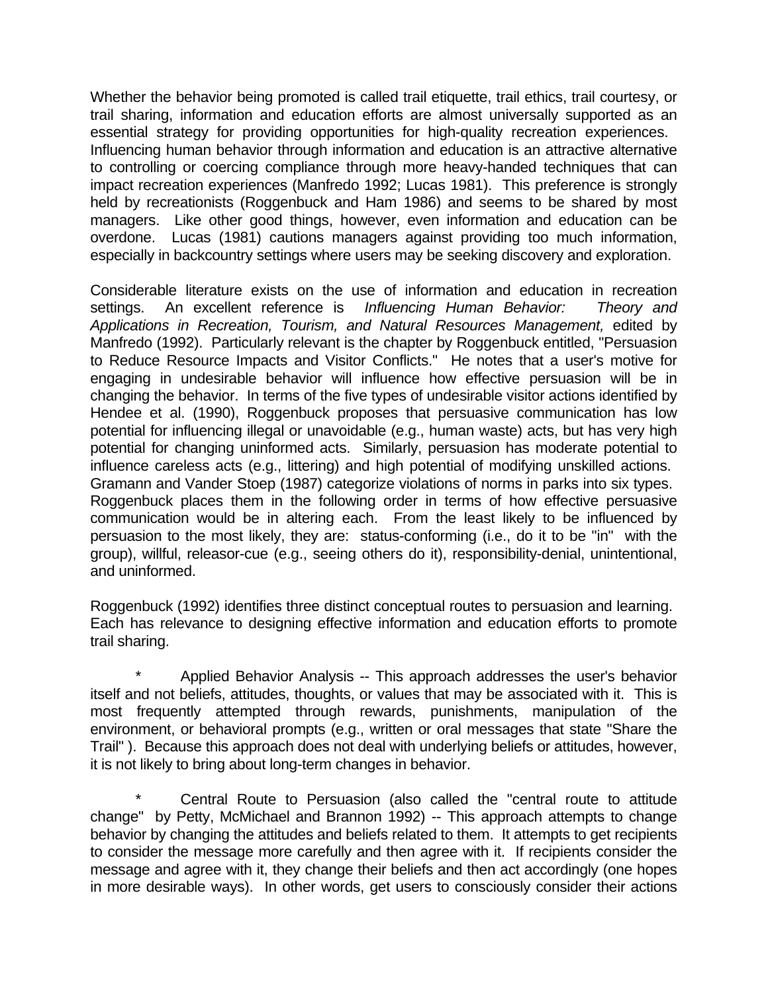Whether the behavior being promoted is called trail etiquette, trail ethics, trail courtesy, or trail sharing, information and education efforts are almost universally supported as an essential strategy for providing opportunities for high-quality recreation experiences. Influencing human behavior through information and education is an attractive alternative to controlling or coercing compliance through more heavy-handed techniques that can impact recreation experiences (Manfredo 1992; Lucas 1981). This preference is strongly held by recreationists (Roggenbuck and Ham 1986) and seems to be shared by most managers. Like other good things, however, even information and education can be overdone. Lucas (1981) cautions managers against providing too much information, especially in backcountry settings where users may be seeking discovery and exploration.

Considerable literature exists on the use of information and education in recreation settings. An excellent reference is *Influencing Human Behavior: Theory and Applications in Recreation, Tourism, and Natural Resources Management,* edited by Manfredo (1992). Particularly relevant is the chapter by Roggenbuck entitled, "Persuasion to Reduce Resource Impacts and Visitor Conflicts." He notes that a user's motive for engaging in undesirable behavior will influence how effective persuasion will be in changing the behavior. In terms of the five types of undesirable visitor actions identified by Hendee et al. (1990), Roggenbuck proposes that persuasive communication has low potential for influencing illegal or unavoidable (e.g., human waste) acts, but has very high potential for changing uninformed acts. Similarly, persuasion has moderate potential to influence careless acts (e.g., littering) and high potential of modifying unskilled actions. Gramann and Vander Stoep (1987) categorize violations of norms in parks into six types. Roggenbuck places them in the following order in terms of how effective persuasive communication would be in altering each. From the least likely to be influenced by persuasion to the most likely, they are: status-conforming (i.e., do it to be "in" with the group), willful, releasor-cue (e.g., seeing others do it), responsibility-denial, unintentional, and uninformed.

Roggenbuck (1992) identifies three distinct conceptual routes to persuasion and learning. Each has relevance to designing effective information and education efforts to promote trail sharing.

Applied Behavior Analysis -- This approach addresses the user's behavior itself and not beliefs, attitudes, thoughts, or values that may be associated with it. This is most frequently attempted through rewards, punishments, manipulation of the environment, or behavioral prompts (e.g., written or oral messages that state "Share the Trail" ). Because this approach does not deal with underlying beliefs or attitudes, however, it is not likely to bring about long-term changes in behavior.

Central Route to Persuasion (also called the "central route to attitude change" by Petty, McMichael and Brannon 1992) -- This approach attempts to change behavior by changing the attitudes and beliefs related to them. It attempts to get recipients to consider the message more carefully and then agree with it. If recipients consider the message and agree with it, they change their beliefs and then act accordingly (one hopes in more desirable ways). In other words, get users to consciously consider their actions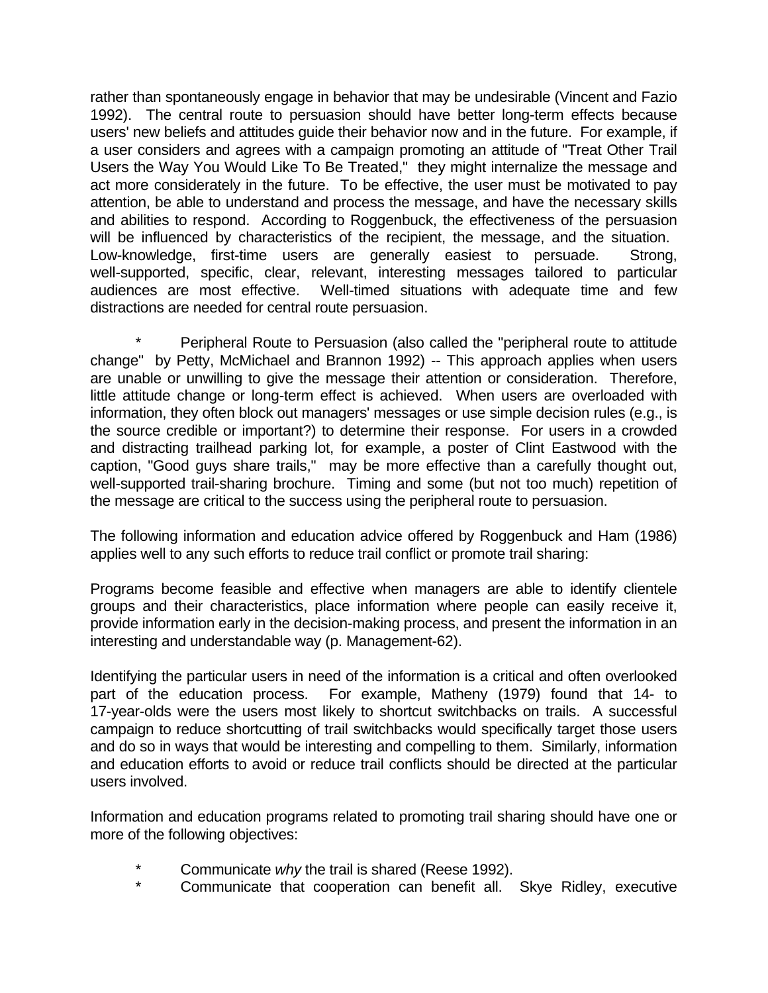rather than spontaneously engage in behavior that may be undesirable (Vincent and Fazio 1992). The central route to persuasion should have better long-term effects because users' new beliefs and attitudes guide their behavior now and in the future. For example, if a user considers and agrees with a campaign promoting an attitude of "Treat Other Trail Users the Way You Would Like To Be Treated," they might internalize the message and act more considerately in the future. To be effective, the user must be motivated to pay attention, be able to understand and process the message, and have the necessary skills and abilities to respond. According to Roggenbuck, the effectiveness of the persuasion will be influenced by characteristics of the recipient, the message, and the situation. Low-knowledge, first-time users are generally easiest to persuade. Strong, well-supported, specific, clear, relevant, interesting messages tailored to particular audiences are most effective. Well-timed situations with adequate time and few distractions are needed for central route persuasion.

Peripheral Route to Persuasion (also called the "peripheral route to attitude change" by Petty, McMichael and Brannon 1992) -- This approach applies when users are unable or unwilling to give the message their attention or consideration. Therefore, little attitude change or long-term effect is achieved. When users are overloaded with information, they often block out managers' messages or use simple decision rules (e.g., is the source credible or important?) to determine their response. For users in a crowded and distracting trailhead parking lot, for example, a poster of Clint Eastwood with the caption, "Good guys share trails," may be more effective than a carefully thought out, well-supported trail-sharing brochure. Timing and some (but not too much) repetition of the message are critical to the success using the peripheral route to persuasion.

The following information and education advice offered by Roggenbuck and Ham (1986) applies well to any such efforts to reduce trail conflict or promote trail sharing:

Programs become feasible and effective when managers are able to identify clientele groups and their characteristics, place information where people can easily receive it, provide information early in the decision-making process, and present the information in an interesting and understandable way (p. Management-62).

Identifying the particular users in need of the information is a critical and often overlooked part of the education process. For example, Matheny (1979) found that 14- to 17-year-olds were the users most likely to shortcut switchbacks on trails. A successful campaign to reduce shortcutting of trail switchbacks would specifically target those users and do so in ways that would be interesting and compelling to them. Similarly, information and education efforts to avoid or reduce trail conflicts should be directed at the particular users involved.

Information and education programs related to promoting trail sharing should have one or more of the following objectives:

- Communicate *why* the trail is shared (Reese 1992).
- Communicate that cooperation can benefit all. Skye Ridley, executive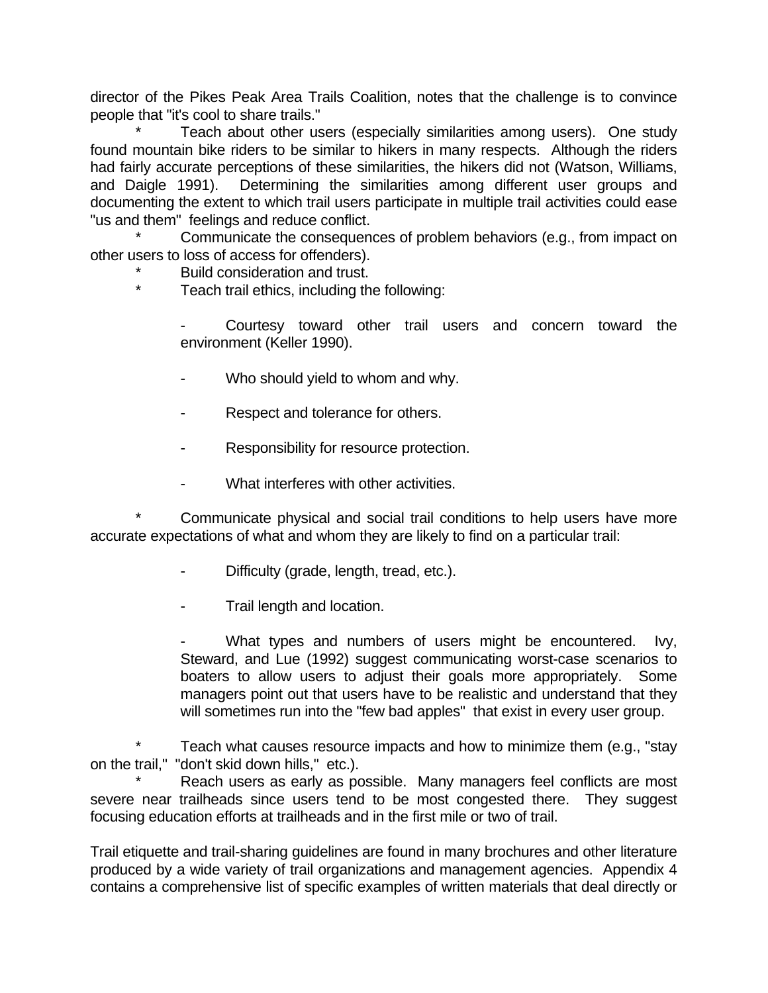director of the Pikes Peak Area Trails Coalition, notes that the challenge is to convince people that "it's cool to share trails."

Teach about other users (especially similarities among users). One study found mountain bike riders to be similar to hikers in many respects. Although the riders had fairly accurate perceptions of these similarities, the hikers did not (Watson, Williams, and Daigle 1991). Determining the similarities among different user groups and documenting the extent to which trail users participate in multiple trail activities could ease "us and them" feelings and reduce conflict.

Communicate the consequences of problem behaviors (e.g., from impact on other users to loss of access for offenders).

- Build consideration and trust.
- \* Teach trail ethics, including the following:

Courtesy toward other trail users and concern toward the environment (Keller 1990).

- Who should yield to whom and why.
- Respect and tolerance for others.
- Responsibility for resource protection.
- What interferes with other activities.

Communicate physical and social trail conditions to help users have more accurate expectations of what and whom they are likely to find on a particular trail:

- Difficulty (grade, length, tread, etc.).
- Trail length and location.

What types and numbers of users might be encountered. Ivy, Steward, and Lue (1992) suggest communicating worst-case scenarios to boaters to allow users to adjust their goals more appropriately. Some managers point out that users have to be realistic and understand that they will sometimes run into the "few bad apples" that exist in every user group.

Teach what causes resource impacts and how to minimize them (e.g., "stay on the trail," "don't skid down hills," etc.).

Reach users as early as possible. Many managers feel conflicts are most severe near trailheads since users tend to be most congested there. They suggest focusing education efforts at trailheads and in the first mile or two of trail.

Trail etiquette and trail-sharing guidelines are found in many brochures and other literature produced by a wide variety of trail organizations and management agencies. Appendix 4 contains a comprehensive list of specific examples of written materials that deal directly or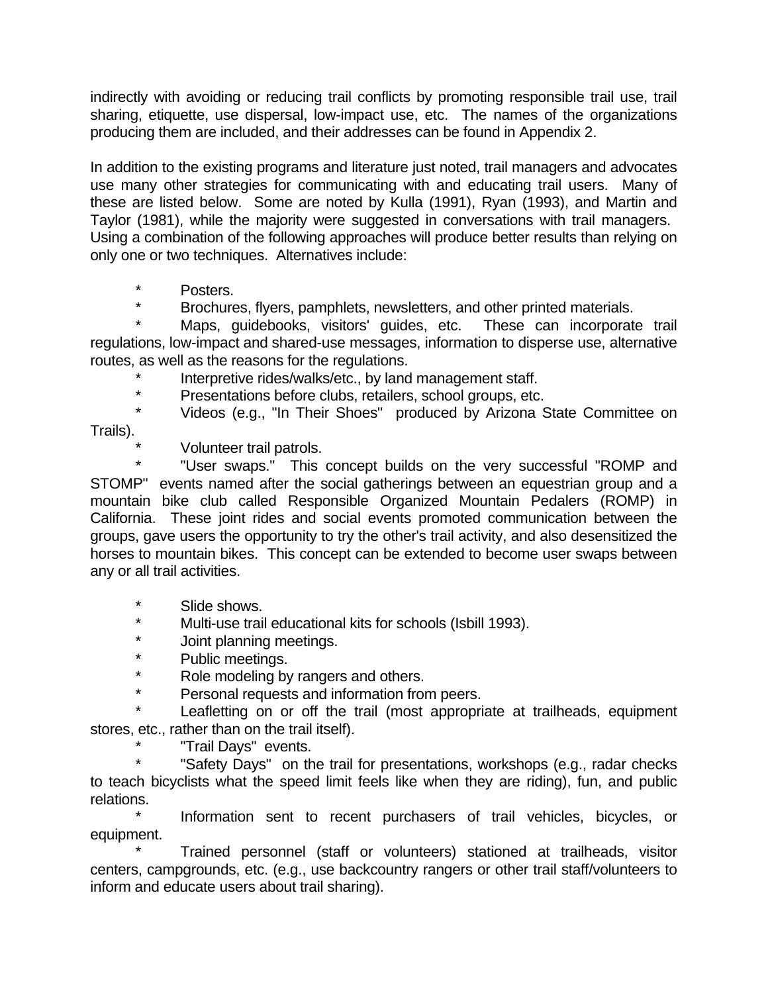indirectly with avoiding or reducing trail conflicts by promoting responsible trail use, trail sharing, etiquette, use dispersal, low-impact use, etc. The names of the organizations producing them are included, and their addresses can be found in Appendix 2.

In addition to the existing programs and literature just noted, trail managers and advocates use many other strategies for communicating with and educating trail users. Many of these are listed below. Some are noted by Kulla (1991), Ryan (1993), and Martin and Taylor (1981), while the majority were suggested in conversations with trail managers. Using a combination of the following approaches will produce better results than relying on only one or two techniques. Alternatives include:

- \* Posters.
- Brochures, flyers, pamphlets, newsletters, and other printed materials.

Maps, guidebooks, visitors' guides, etc. These can incorporate trail regulations, low-impact and shared-use messages, information to disperse use, alternative routes, as well as the reasons for the regulations.

- \* Interpretive rides/walks/etc., by land management staff.
- Presentations before clubs, retailers, school groups, etc.

Videos (e.g., "In Their Shoes" produced by Arizona State Committee on Trails).

Volunteer trail patrols.

"User swaps." This concept builds on the very successful "ROMP and STOMP" events named after the social gatherings between an equestrian group and a mountain bike club called Responsible Organized Mountain Pedalers (ROMP) in California. These joint rides and social events promoted communication between the groups, gave users the opportunity to try the other's trail activity, and also desensitized the horses to mountain bikes. This concept can be extended to become user swaps between any or all trail activities.

- \* Slide shows.
- \* Multi-use trail educational kits for schools (Isbill 1993).
- \* Joint planning meetings.<br>\* Public mootings
- \* Public meetings.<br>\* Pele medeling by
- Role modeling by rangers and others.
- \* Personal requests and information from peers.

Leafletting on or off the trail (most appropriate at trailheads, equipment stores, etc., rather than on the trail itself).

"Trail Days" events.

"Safety Days" on the trail for presentations, workshops (e.g., radar checks to teach bicyclists what the speed limit feels like when they are riding), fun, and public relations.

Information sent to recent purchasers of trail vehicles, bicycles, or equipment.

Trained personnel (staff or volunteers) stationed at trailheads, visitor centers, campgrounds, etc. (e.g., use backcountry rangers or other trail staff/volunteers to inform and educate users about trail sharing).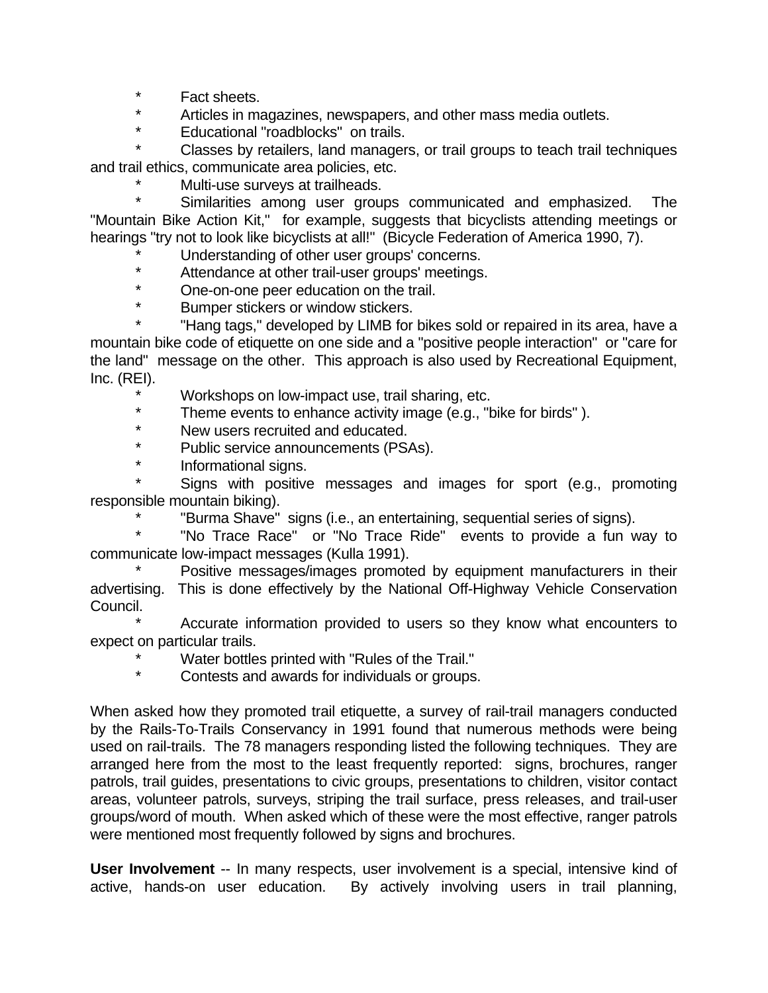\* Fact sheets.

\* Articles in magazines, newspapers, and other mass media outlets.

\* Educational "roadblocks" on trails.

Classes by retailers, land managers, or trail groups to teach trail techniques and trail ethics, communicate area policies, etc.

\* Multi-use surveys at trailheads.

Similarities among user groups communicated and emphasized. The "Mountain Bike Action Kit," for example, suggests that bicyclists attending meetings or hearings "try not to look like bicyclists at all!" (Bicycle Federation of America 1990, 7).

Understanding of other user groups' concerns.

\* Attendance at other trail-user groups' meetings.

\* One-on-one peer education on the trail.

Bumper stickers or window stickers.

"Hang tags," developed by LIMB for bikes sold or repaired in its area, have a mountain bike code of etiquette on one side and a "positive people interaction" or "care for the land" message on the other. This approach is also used by Recreational Equipment, Inc. (REI).

\* Workshops on low-impact use, trail sharing, etc.<br>\* Theme events to enhance activity image (e.g. "b

Theme events to enhance activity image (e.g., "bike for birds").

\* New users recruited and educated.

Public service announcements (PSAs).

\* Informational signs.

Signs with positive messages and images for sport (e.g., promoting responsible mountain biking).

"Burma Shave" signs (i.e., an entertaining, sequential series of signs).

"No Trace Race" or "No Trace Ride" events to provide a fun way to communicate low-impact messages (Kulla 1991).

Positive messages/images promoted by equipment manufacturers in their advertising. This is done effectively by the National Off-Highway Vehicle Conservation Council.

Accurate information provided to users so they know what encounters to expect on particular trails.

\* Water bottles printed with "Rules of the Trail."

Contests and awards for individuals or groups.

When asked how they promoted trail etiquette, a survey of rail-trail managers conducted by the Rails-To-Trails Conservancy in 1991 found that numerous methods were being used on rail-trails. The 78 managers responding listed the following techniques. They are arranged here from the most to the least frequently reported: signs, brochures, ranger patrols, trail guides, presentations to civic groups, presentations to children, visitor contact areas, volunteer patrols, surveys, striping the trail surface, press releases, and trail-user groups/word of mouth. When asked which of these were the most effective, ranger patrols were mentioned most frequently followed by signs and brochures.

**User Involvement** -- In many respects, user involvement is a special, intensive kind of active, hands-on user education. By actively involving users in trail planning,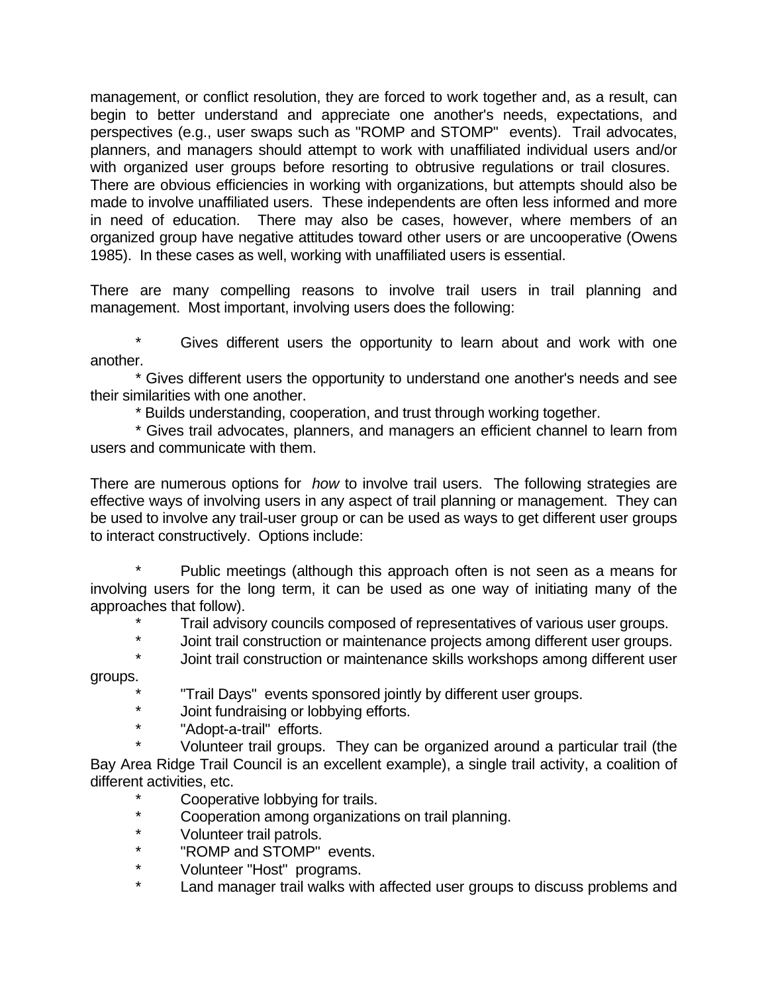management, or conflict resolution, they are forced to work together and, as a result, can begin to better understand and appreciate one another's needs, expectations, and perspectives (e.g., user swaps such as "ROMP and STOMP" events). Trail advocates, planners, and managers should attempt to work with unaffiliated individual users and/or with organized user groups before resorting to obtrusive regulations or trail closures. There are obvious efficiencies in working with organizations, but attempts should also be made to involve unaffiliated users. These independents are often less informed and more in need of education. There may also be cases, however, where members of an organized group have negative attitudes toward other users or are uncooperative (Owens 1985). In these cases as well, working with unaffiliated users is essential.

There are many compelling reasons to involve trail users in trail planning and management. Most important, involving users does the following:

Gives different users the opportunity to learn about and work with one another.

\* Gives different users the opportunity to understand one another's needs and see their similarities with one another.

\* Builds understanding, cooperation, and trust through working together.

\* Gives trail advocates, planners, and managers an efficient channel to learn from users and communicate with them.

There are numerous options for *how* to involve trail users. The following strategies are effective ways of involving users in any aspect of trail planning or management. They can be used to involve any trail-user group or can be used as ways to get different user groups to interact constructively. Options include:

Public meetings (although this approach often is not seen as a means for involving users for the long term, it can be used as one way of initiating many of the approaches that follow).

Trail advisory councils composed of representatives of various user groups.

\* Joint trail construction or maintenance projects among different user groups.

Joint trail construction or maintenance skills workshops among different user groups.

"Trail Days" events sponsored jointly by different user groups.

Joint fundraising or lobbying efforts.

\* "Adopt-a-trail" efforts.

Volunteer trail groups. They can be organized around a particular trail (the Bay Area Ridge Trail Council is an excellent example), a single trail activity, a coalition of different activities, etc.

- \* Cooperative lobbying for trails.
- Cooperation among organizations on trail planning.
- \* Volunteer trail patrols.
- \* "ROMP and STOMP" events.
- \* Volunteer "Host" programs.
- \* Land manager trail walks with affected user groups to discuss problems and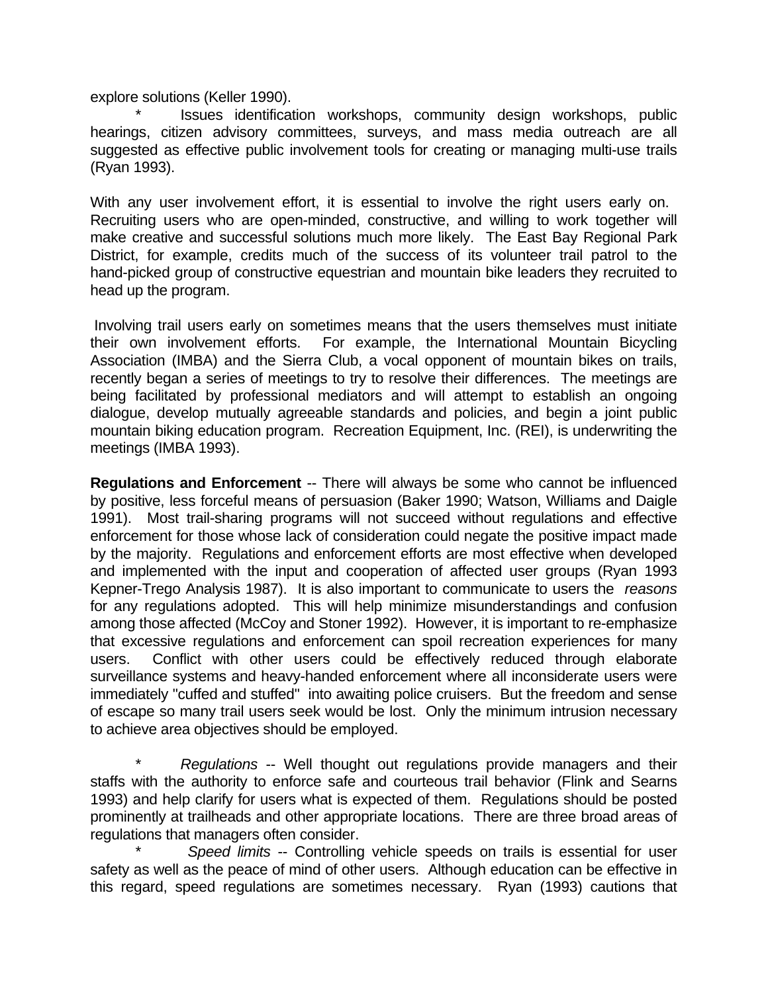explore solutions (Keller 1990).

Issues identification workshops, community design workshops, public hearings, citizen advisory committees, surveys, and mass media outreach are all suggested as effective public involvement tools for creating or managing multi-use trails (Ryan 1993).

With any user involvement effort, it is essential to involve the right users early on. Recruiting users who are open-minded, constructive, and willing to work together will make creative and successful solutions much more likely. The East Bay Regional Park District, for example, credits much of the success of its volunteer trail patrol to the hand-picked group of constructive equestrian and mountain bike leaders they recruited to head up the program.

 Involving trail users early on sometimes means that the users themselves must initiate their own involvement efforts. For example, the International Mountain Bicycling Association (IMBA) and the Sierra Club, a vocal opponent of mountain bikes on trails, recently began a series of meetings to try to resolve their differences. The meetings are being facilitated by professional mediators and will attempt to establish an ongoing dialogue, develop mutually agreeable standards and policies, and begin a joint public mountain biking education program. Recreation Equipment, Inc. (REI), is underwriting the meetings (IMBA 1993).

**Regulations and Enforcement** -- There will always be some who cannot be influenced by positive, less forceful means of persuasion (Baker 1990; Watson, Williams and Daigle 1991). Most trail-sharing programs will not succeed without regulations and effective enforcement for those whose lack of consideration could negate the positive impact made by the majority. Regulations and enforcement efforts are most effective when developed and implemented with the input and cooperation of affected user groups (Ryan 1993 Kepner-Trego Analysis 1987). It is also important to communicate to users the *reasons* for any regulations adopted. This will help minimize misunderstandings and confusion among those affected (McCoy and Stoner 1992). However, it is important to re-emphasize that excessive regulations and enforcement can spoil recreation experiences for many users. Conflict with other users could be effectively reduced through elaborate surveillance systems and heavy-handed enforcement where all inconsiderate users were immediately "cuffed and stuffed" into awaiting police cruisers. But the freedom and sense of escape so many trail users seek would be lost. Only the minimum intrusion necessary to achieve area objectives should be employed.

\* *Regulations* -- Well thought out regulations provide managers and their staffs with the authority to enforce safe and courteous trail behavior (Flink and Searns 1993) and help clarify for users what is expected of them. Regulations should be posted prominently at trailheads and other appropriate locations. There are three broad areas of regulations that managers often consider.

\* *Speed limits* -- Controlling vehicle speeds on trails is essential for user safety as well as the peace of mind of other users. Although education can be effective in this regard, speed regulations are sometimes necessary. Ryan (1993) cautions that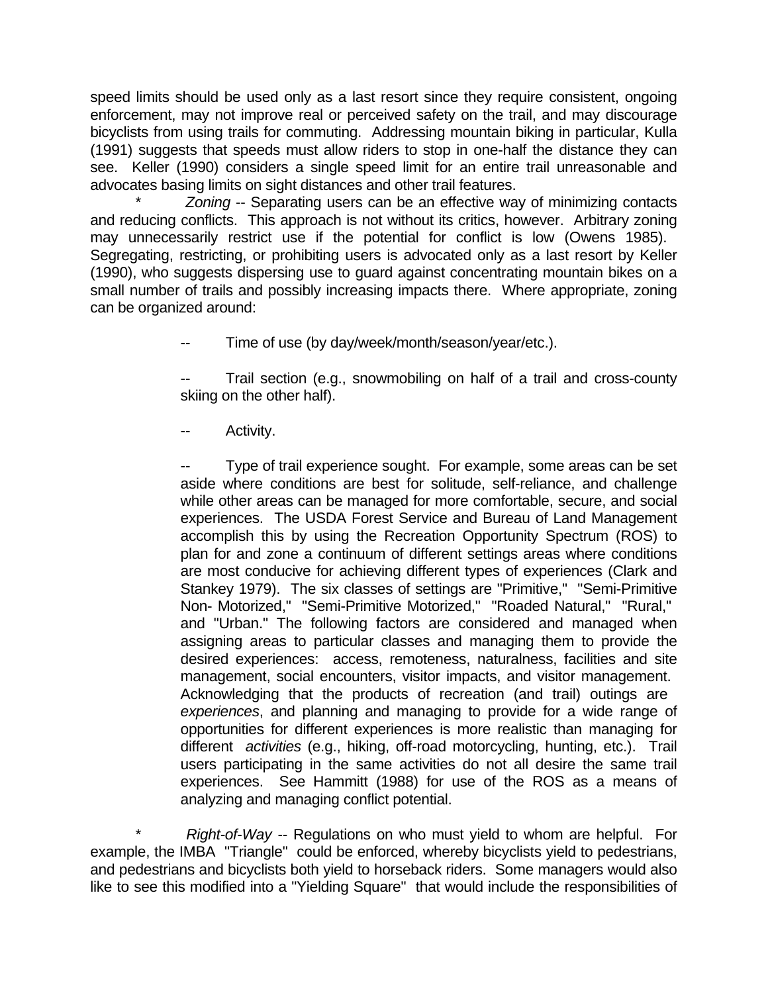speed limits should be used only as a last resort since they require consistent, ongoing enforcement, may not improve real or perceived safety on the trail, and may discourage bicyclists from using trails for commuting. Addressing mountain biking in particular, Kulla (1991) suggests that speeds must allow riders to stop in one-half the distance they can see. Keller (1990) considers a single speed limit for an entire trail unreasonable and advocates basing limits on sight distances and other trail features.

\* *Zoning* -- Separating users can be an effective way of minimizing contacts and reducing conflicts. This approach is not without its critics, however. Arbitrary zoning may unnecessarily restrict use if the potential for conflict is low (Owens 1985). Segregating, restricting, or prohibiting users is advocated only as a last resort by Keller (1990), who suggests dispersing use to guard against concentrating mountain bikes on a small number of trails and possibly increasing impacts there. Where appropriate, zoning can be organized around:

Time of use (by day/week/month/season/year/etc.).

Trail section (e.g., snowmobiling on half of a trail and cross-county skiing on the other half).

Activity.

Type of trail experience sought. For example, some areas can be set aside where conditions are best for solitude, self-reliance, and challenge while other areas can be managed for more comfortable, secure, and social experiences. The USDA Forest Service and Bureau of Land Management accomplish this by using the Recreation Opportunity Spectrum (ROS) to plan for and zone a continuum of different settings areas where conditions are most conducive for achieving different types of experiences (Clark and Stankey 1979). The six classes of settings are "Primitive," "Semi-Primitive Non- Motorized," "Semi-Primitive Motorized," "Roaded Natural," "Rural," and "Urban." The following factors are considered and managed when assigning areas to particular classes and managing them to provide the desired experiences: access, remoteness, naturalness, facilities and site management, social encounters, visitor impacts, and visitor management. Acknowledging that the products of recreation (and trail) outings are *experiences*, and planning and managing to provide for a wide range of opportunities for different experiences is more realistic than managing for different *activities* (e.g., hiking, off-road motorcycling, hunting, etc.). Trail users participating in the same activities do not all desire the same trail experiences. See Hammitt (1988) for use of the ROS as a means of analyzing and managing conflict potential.

*Right-of-Way* -- Regulations on who must yield to whom are helpful. For example, the IMBA "Triangle" could be enforced, whereby bicyclists yield to pedestrians, and pedestrians and bicyclists both yield to horseback riders. Some managers would also like to see this modified into a "Yielding Square" that would include the responsibilities of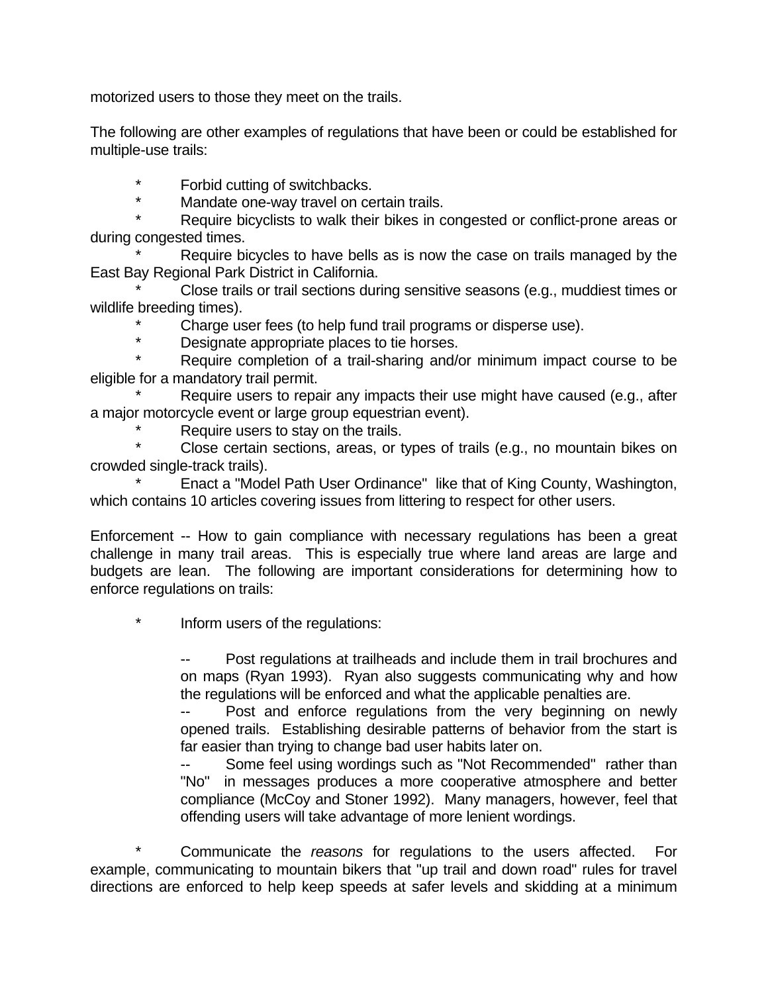motorized users to those they meet on the trails.

The following are other examples of regulations that have been or could be established for multiple-use trails:

\* Forbid cutting of switchbacks.

Mandate one-way travel on certain trails.

Require bicyclists to walk their bikes in congested or conflict-prone areas or during congested times.

Require bicycles to have bells as is now the case on trails managed by the East Bay Regional Park District in California.

Close trails or trail sections during sensitive seasons (e.g., muddiest times or wildlife breeding times).

Charge user fees (to help fund trail programs or disperse use).

\* Designate appropriate places to tie horses.

Require completion of a trail-sharing and/or minimum impact course to be eligible for a mandatory trail permit.

Require users to repair any impacts their use might have caused (e.g., after a major motorcycle event or large group equestrian event).

Require users to stay on the trails.

Close certain sections, areas, or types of trails (e.g., no mountain bikes on crowded single-track trails).

Enact a "Model Path User Ordinance" like that of King County, Washington, which contains 10 articles covering issues from littering to respect for other users.

Enforcement -- How to gain compliance with necessary regulations has been a great challenge in many trail areas. This is especially true where land areas are large and budgets are lean. The following are important considerations for determining how to enforce regulations on trails:

Inform users of the regulations:

Post regulations at trailheads and include them in trail brochures and on maps (Ryan 1993). Ryan also suggests communicating why and how the regulations will be enforced and what the applicable penalties are.

Post and enforce regulations from the very beginning on newly opened trails. Establishing desirable patterns of behavior from the start is far easier than trying to change bad user habits later on.

Some feel using wordings such as "Not Recommended" rather than "No" in messages produces a more cooperative atmosphere and better compliance (McCoy and Stoner 1992). Many managers, however, feel that offending users will take advantage of more lenient wordings.

\* Communicate the *reasons* for regulations to the users affected. For example, communicating to mountain bikers that "up trail and down road" rules for travel directions are enforced to help keep speeds at safer levels and skidding at a minimum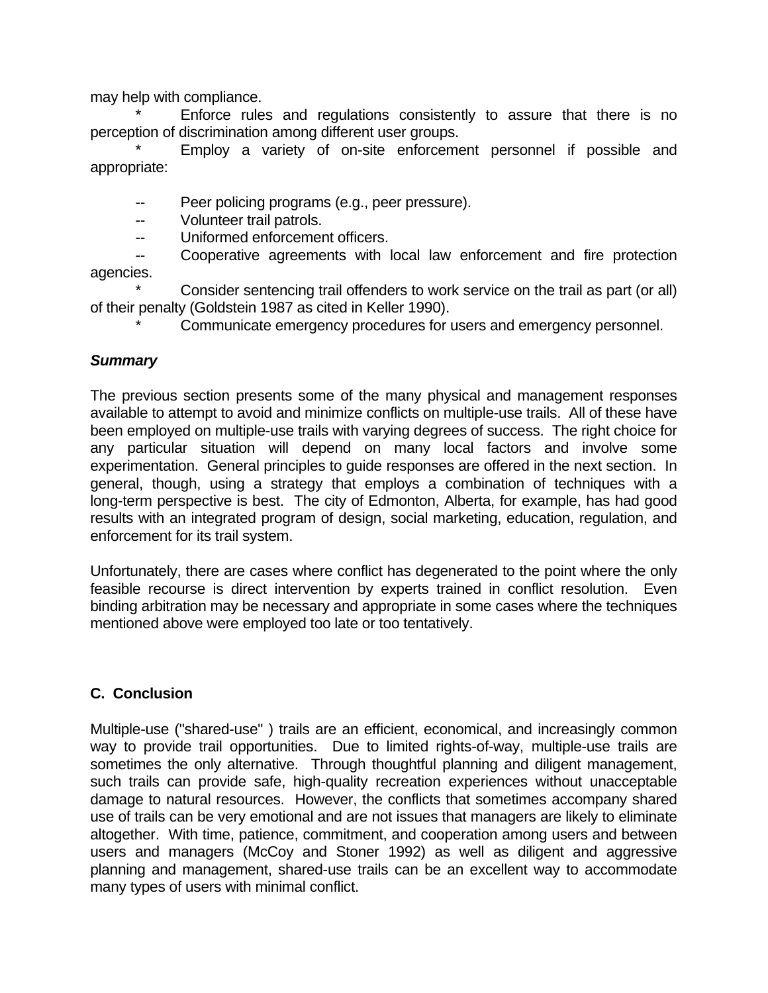may help with compliance.

Enforce rules and regulations consistently to assure that there is no perception of discrimination among different user groups.

Employ a variety of on-site enforcement personnel if possible and appropriate:

- -- Peer policing programs (e.g., peer pressure).
- -- Volunteer trail patrols.
- -- Uniformed enforcement officers.

-- Cooperative agreements with local law enforcement and fire protection agencies.

Consider sentencing trail offenders to work service on the trail as part (or all) of their penalty (Goldstein 1987 as cited in Keller 1990).

Communicate emergency procedures for users and emergency personnel.

### *Summary*

The previous section presents some of the many physical and management responses available to attempt to avoid and minimize conflicts on multiple-use trails. All of these have been employed on multiple-use trails with varying degrees of success. The right choice for any particular situation will depend on many local factors and involve some experimentation. General principles to guide responses are offered in the next section. In general, though, using a strategy that employs a combination of techniques with a long-term perspective is best. The city of Edmonton, Alberta, for example, has had good results with an integrated program of design, social marketing, education, regulation, and enforcement for its trail system.

Unfortunately, there are cases where conflict has degenerated to the point where the only feasible recourse is direct intervention by experts trained in conflict resolution. Even binding arbitration may be necessary and appropriate in some cases where the techniques mentioned above were employed too late or too tentatively.

## **C. Conclusion**

Multiple-use ("shared-use" ) trails are an efficient, economical, and increasingly common way to provide trail opportunities. Due to limited rights-of-way, multiple-use trails are sometimes the only alternative. Through thoughtful planning and diligent management, such trails can provide safe, high-quality recreation experiences without unacceptable damage to natural resources. However, the conflicts that sometimes accompany shared use of trails can be very emotional and are not issues that managers are likely to eliminate altogether. With time, patience, commitment, and cooperation among users and between users and managers (McCoy and Stoner 1992) as well as diligent and aggressive planning and management, shared-use trails can be an excellent way to accommodate many types of users with minimal conflict.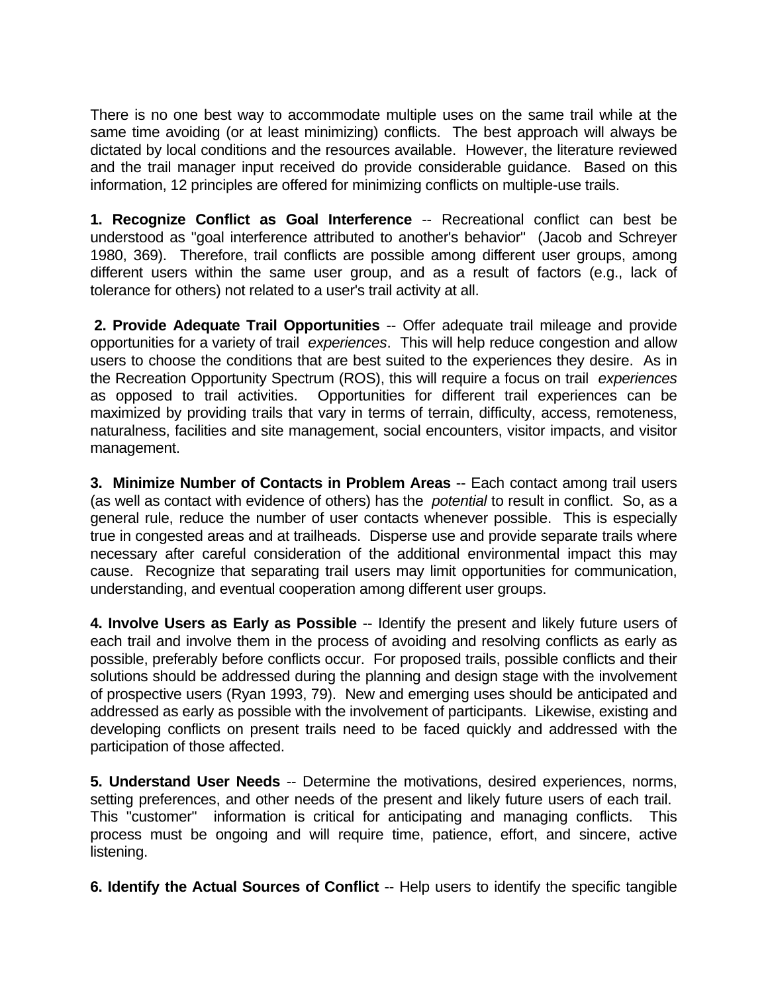There is no one best way to accommodate multiple uses on the same trail while at the same time avoiding (or at least minimizing) conflicts. The best approach will always be dictated by local conditions and the resources available. However, the literature reviewed and the trail manager input received do provide considerable guidance. Based on this information, 12 principles are offered for minimizing conflicts on multiple-use trails.

**1. Recognize Conflict as Goal Interference** -- Recreational conflict can best be understood as "goal interference attributed to another's behavior" (Jacob and Schreyer 1980, 369). Therefore, trail conflicts are possible among different user groups, among different users within the same user group, and as a result of factors (e.g., lack of tolerance for others) not related to a user's trail activity at all.

 **2. Provide Adequate Trail Opportunities** -- Offer adequate trail mileage and provide opportunities for a variety of trail *experiences*. This will help reduce congestion and allow users to choose the conditions that are best suited to the experiences they desire. As in the Recreation Opportunity Spectrum (ROS), this will require a focus on trail *experiences* as opposed to trail activities. Opportunities for different trail experiences can be maximized by providing trails that vary in terms of terrain, difficulty, access, remoteness, naturalness, facilities and site management, social encounters, visitor impacts, and visitor management.

**3. Minimize Number of Contacts in Problem Areas** -- Each contact among trail users (as well as contact with evidence of others) has the *potential* to result in conflict. So, as a general rule, reduce the number of user contacts whenever possible. This is especially true in congested areas and at trailheads. Disperse use and provide separate trails where necessary after careful consideration of the additional environmental impact this may cause. Recognize that separating trail users may limit opportunities for communication, understanding, and eventual cooperation among different user groups.

**4. Involve Users as Early as Possible** -- Identify the present and likely future users of each trail and involve them in the process of avoiding and resolving conflicts as early as possible, preferably before conflicts occur. For proposed trails, possible conflicts and their solutions should be addressed during the planning and design stage with the involvement of prospective users (Ryan 1993, 79). New and emerging uses should be anticipated and addressed as early as possible with the involvement of participants. Likewise, existing and developing conflicts on present trails need to be faced quickly and addressed with the participation of those affected.

**5. Understand User Needs** -- Determine the motivations, desired experiences, norms, setting preferences, and other needs of the present and likely future users of each trail. This "customer" information is critical for anticipating and managing conflicts. This process must be ongoing and will require time, patience, effort, and sincere, active listening.

**6. Identify the Actual Sources of Conflict** -- Help users to identify the specific tangible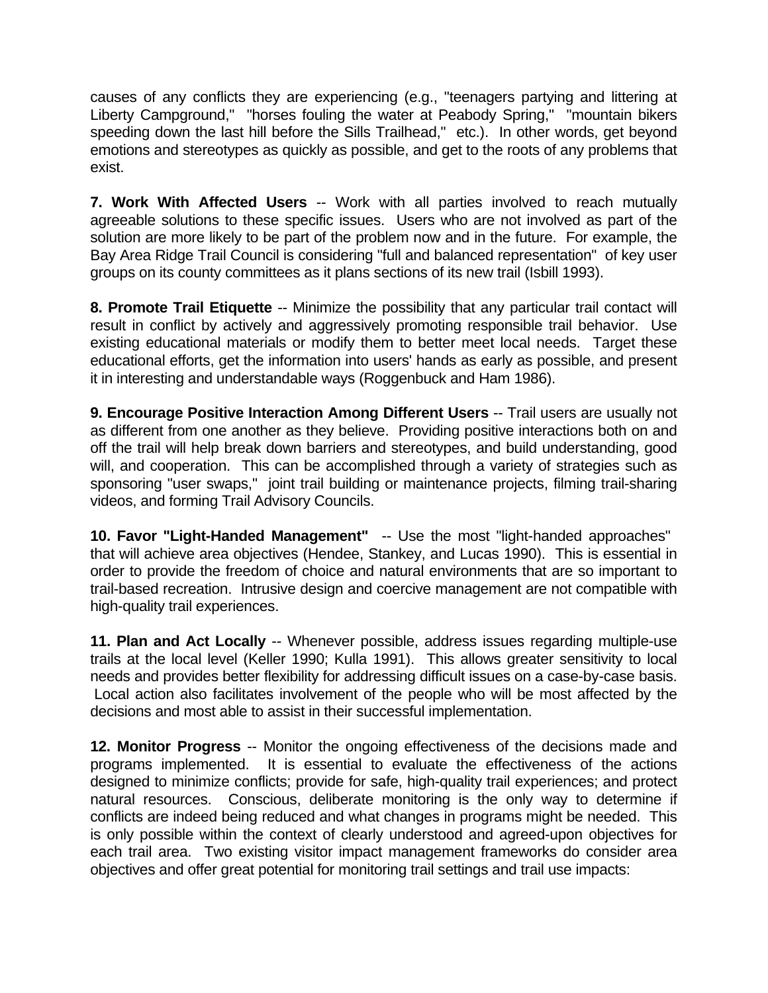causes of any conflicts they are experiencing (e.g., "teenagers partying and littering at Liberty Campground," "horses fouling the water at Peabody Spring," "mountain bikers speeding down the last hill before the Sills Trailhead," etc.). In other words, get beyond emotions and stereotypes as quickly as possible, and get to the roots of any problems that exist.

**7. Work With Affected Users** -- Work with all parties involved to reach mutually agreeable solutions to these specific issues. Users who are not involved as part of the solution are more likely to be part of the problem now and in the future. For example, the Bay Area Ridge Trail Council is considering "full and balanced representation" of key user groups on its county committees as it plans sections of its new trail (Isbill 1993).

**8. Promote Trail Etiquette** -- Minimize the possibility that any particular trail contact will result in conflict by actively and aggressively promoting responsible trail behavior. Use existing educational materials or modify them to better meet local needs. Target these educational efforts, get the information into users' hands as early as possible, and present it in interesting and understandable ways (Roggenbuck and Ham 1986).

**9. Encourage Positive Interaction Among Different Users** -- Trail users are usually not as different from one another as they believe. Providing positive interactions both on and off the trail will help break down barriers and stereotypes, and build understanding, good will, and cooperation. This can be accomplished through a variety of strategies such as sponsoring "user swaps," joint trail building or maintenance projects, filming trail-sharing videos, and forming Trail Advisory Councils.

**10. Favor "Light-Handed Management"** -- Use the most "light-handed approaches" that will achieve area objectives (Hendee, Stankey, and Lucas 1990). This is essential in order to provide the freedom of choice and natural environments that are so important to trail-based recreation. Intrusive design and coercive management are not compatible with high-quality trail experiences.

**11. Plan and Act Locally** -- Whenever possible, address issues regarding multiple-use trails at the local level (Keller 1990; Kulla 1991). This allows greater sensitivity to local needs and provides better flexibility for addressing difficult issues on a case-by-case basis. Local action also facilitates involvement of the people who will be most affected by the decisions and most able to assist in their successful implementation.

**12. Monitor Progress** -- Monitor the ongoing effectiveness of the decisions made and programs implemented. It is essential to evaluate the effectiveness of the actions designed to minimize conflicts; provide for safe, high-quality trail experiences; and protect natural resources. Conscious, deliberate monitoring is the only way to determine if conflicts are indeed being reduced and what changes in programs might be needed. This is only possible within the context of clearly understood and agreed-upon objectives for each trail area. Two existing visitor impact management frameworks do consider area objectives and offer great potential for monitoring trail settings and trail use impacts: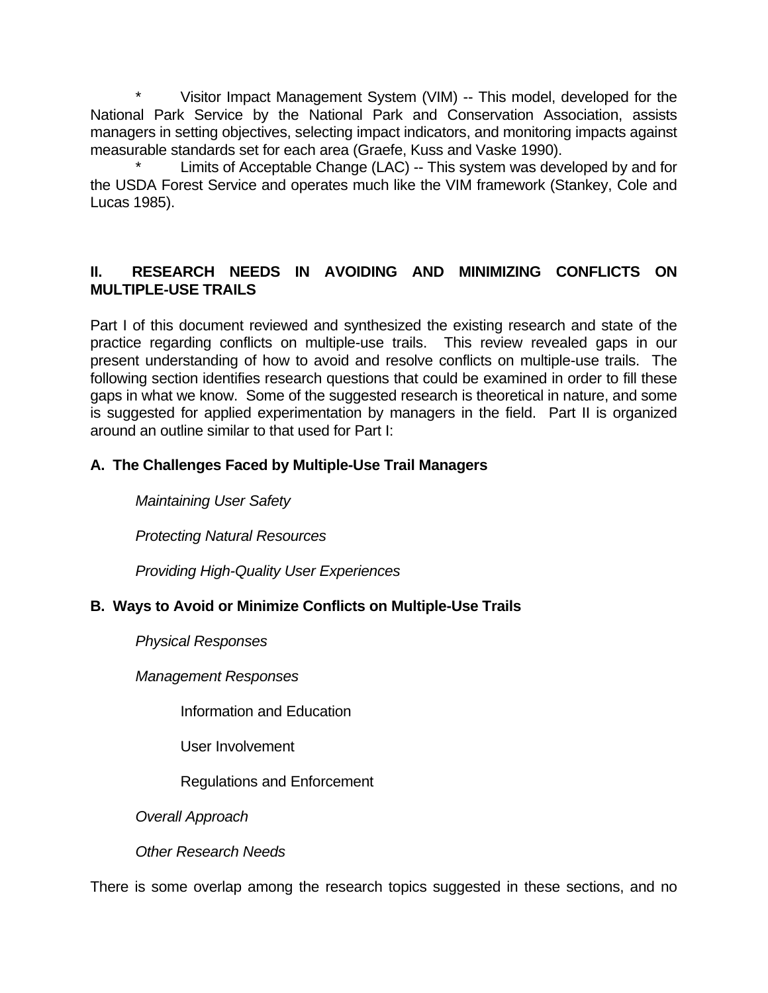\* Visitor Impact Management System (VIM) -- This model, developed for the National Park Service by the National Park and Conservation Association, assists managers in setting objectives, selecting impact indicators, and monitoring impacts against measurable standards set for each area (Graefe, Kuss and Vaske 1990).

Limits of Acceptable Change (LAC) -- This system was developed by and for the USDA Forest Service and operates much like the VIM framework (Stankey, Cole and Lucas 1985).

## **II. RESEARCH NEEDS IN AVOIDING AND MINIMIZING CONFLICTS ON MULTIPLE-USE TRAILS**

Part I of this document reviewed and synthesized the existing research and state of the practice regarding conflicts on multiple-use trails. This review revealed gaps in our present understanding of how to avoid and resolve conflicts on multiple-use trails. The following section identifies research questions that could be examined in order to fill these gaps in what we know. Some of the suggested research is theoretical in nature, and some is suggested for applied experimentation by managers in the field. Part II is organized around an outline similar to that used for Part I:

## **A. The Challenges Faced by Multiple-Use Trail Managers**

*Maintaining User Safety*

*Protecting Natural Resources*

*Providing High-Quality User Experiences*

## **B. Ways to Avoid or Minimize Conflicts on Multiple-Use Trails**

*Physical Responses*

*Management Responses*

Information and Education

User Involvement

Regulations and Enforcement

*Overall Approach*

*Other Research Needs*

There is some overlap among the research topics suggested in these sections, and no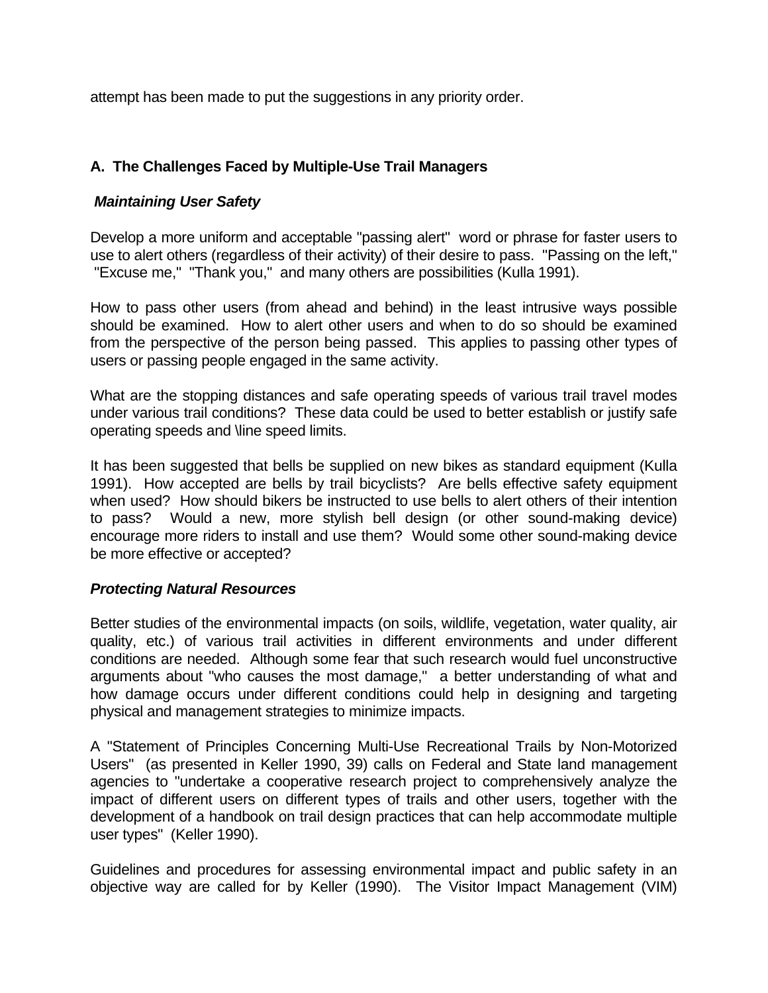attempt has been made to put the suggestions in any priority order.

## **A. The Challenges Faced by Multiple-Use Trail Managers**

## *Maintaining User Safety*

Develop a more uniform and acceptable "passing alert" word or phrase for faster users to use to alert others (regardless of their activity) of their desire to pass. "Passing on the left," "Excuse me," "Thank you," and many others are possibilities (Kulla 1991).

How to pass other users (from ahead and behind) in the least intrusive ways possible should be examined. How to alert other users and when to do so should be examined from the perspective of the person being passed. This applies to passing other types of users or passing people engaged in the same activity.

What are the stopping distances and safe operating speeds of various trail travel modes under various trail conditions? These data could be used to better establish or justify safe operating speeds and \line speed limits.

It has been suggested that bells be supplied on new bikes as standard equipment (Kulla 1991). How accepted are bells by trail bicyclists? Are bells effective safety equipment when used? How should bikers be instructed to use bells to alert others of their intention to pass? Would a new, more stylish bell design (or other sound-making device) encourage more riders to install and use them? Would some other sound-making device be more effective or accepted?

## *Protecting Natural Resources*

Better studies of the environmental impacts (on soils, wildlife, vegetation, water quality, air quality, etc.) of various trail activities in different environments and under different conditions are needed. Although some fear that such research would fuel unconstructive arguments about "who causes the most damage," a better understanding of what and how damage occurs under different conditions could help in designing and targeting physical and management strategies to minimize impacts.

A "Statement of Principles Concerning Multi-Use Recreational Trails by Non-Motorized Users" (as presented in Keller 1990, 39) calls on Federal and State land management agencies to "undertake a cooperative research project to comprehensively analyze the impact of different users on different types of trails and other users, together with the development of a handbook on trail design practices that can help accommodate multiple user types" (Keller 1990).

Guidelines and procedures for assessing environmental impact and public safety in an objective way are called for by Keller (1990). The Visitor Impact Management (VIM)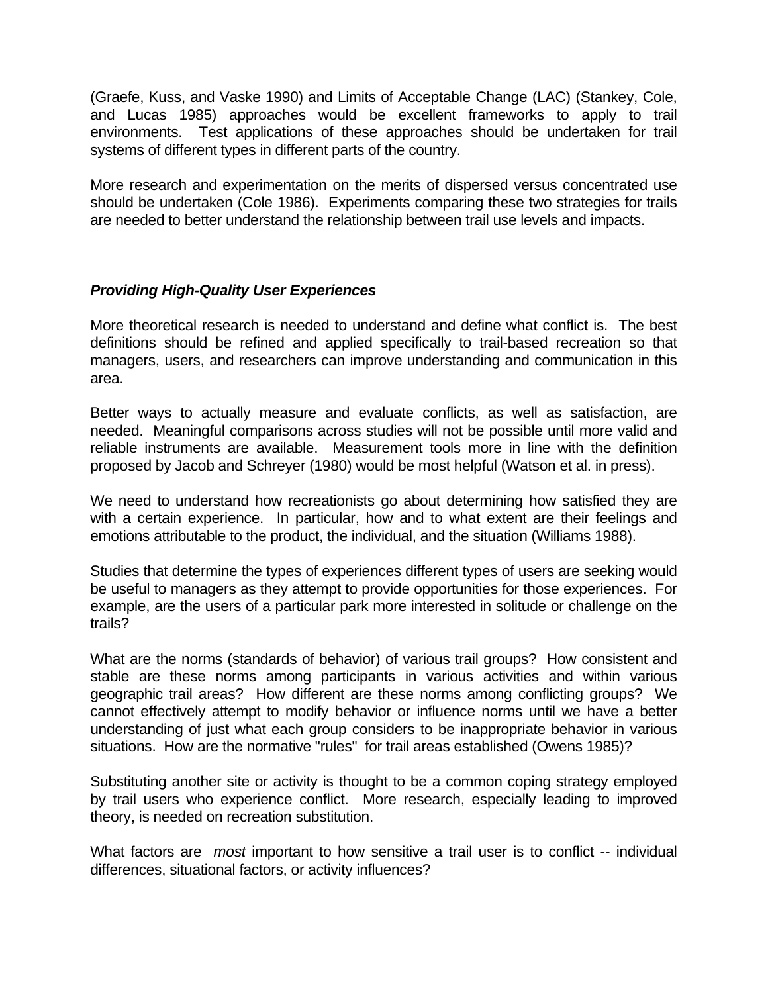(Graefe, Kuss, and Vaske 1990) and Limits of Acceptable Change (LAC) (Stankey, Cole, and Lucas 1985) approaches would be excellent frameworks to apply to trail environments. Test applications of these approaches should be undertaken for trail systems of different types in different parts of the country.

More research and experimentation on the merits of dispersed versus concentrated use should be undertaken (Cole 1986). Experiments comparing these two strategies for trails are needed to better understand the relationship between trail use levels and impacts.

### *Providing High-Quality User Experiences*

More theoretical research is needed to understand and define what conflict is. The best definitions should be refined and applied specifically to trail-based recreation so that managers, users, and researchers can improve understanding and communication in this area.

Better ways to actually measure and evaluate conflicts, as well as satisfaction, are needed. Meaningful comparisons across studies will not be possible until more valid and reliable instruments are available. Measurement tools more in line with the definition proposed by Jacob and Schreyer (1980) would be most helpful (Watson et al. in press).

We need to understand how recreationists go about determining how satisfied they are with a certain experience. In particular, how and to what extent are their feelings and emotions attributable to the product, the individual, and the situation (Williams 1988).

Studies that determine the types of experiences different types of users are seeking would be useful to managers as they attempt to provide opportunities for those experiences. For example, are the users of a particular park more interested in solitude or challenge on the trails?

What are the norms (standards of behavior) of various trail groups? How consistent and stable are these norms among participants in various activities and within various geographic trail areas? How different are these norms among conflicting groups? We cannot effectively attempt to modify behavior or influence norms until we have a better understanding of just what each group considers to be inappropriate behavior in various situations. How are the normative "rules" for trail areas established (Owens 1985)?

Substituting another site or activity is thought to be a common coping strategy employed by trail users who experience conflict. More research, especially leading to improved theory, is needed on recreation substitution.

What factors are *most* important to how sensitive a trail user is to conflict -- individual differences, situational factors, or activity influences?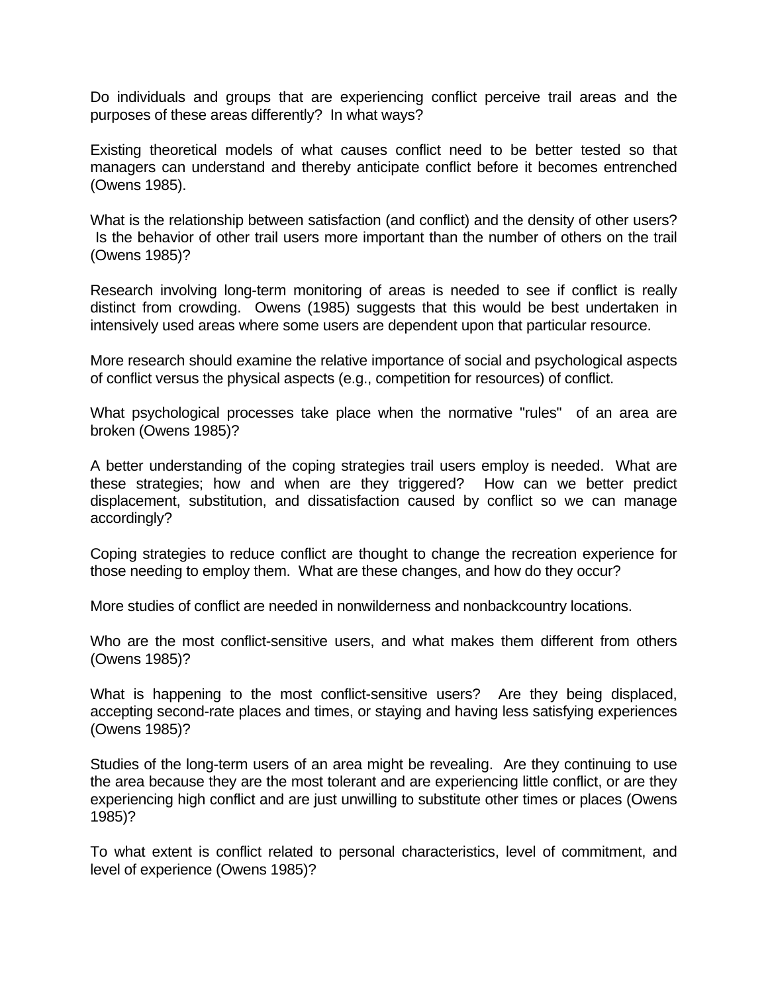Do individuals and groups that are experiencing conflict perceive trail areas and the purposes of these areas differently? In what ways?

Existing theoretical models of what causes conflict need to be better tested so that managers can understand and thereby anticipate conflict before it becomes entrenched (Owens 1985).

What is the relationship between satisfaction (and conflict) and the density of other users? Is the behavior of other trail users more important than the number of others on the trail (Owens 1985)?

Research involving long-term monitoring of areas is needed to see if conflict is really distinct from crowding. Owens (1985) suggests that this would be best undertaken in intensively used areas where some users are dependent upon that particular resource.

More research should examine the relative importance of social and psychological aspects of conflict versus the physical aspects (e.g., competition for resources) of conflict.

What psychological processes take place when the normative "rules" of an area are broken (Owens 1985)?

A better understanding of the coping strategies trail users employ is needed. What are these strategies; how and when are they triggered? How can we better predict displacement, substitution, and dissatisfaction caused by conflict so we can manage accordingly?

Coping strategies to reduce conflict are thought to change the recreation experience for those needing to employ them. What are these changes, and how do they occur?

More studies of conflict are needed in nonwilderness and nonbackcountry locations.

Who are the most conflict-sensitive users, and what makes them different from others (Owens 1985)?

What is happening to the most conflict-sensitive users? Are they being displaced, accepting second-rate places and times, or staying and having less satisfying experiences (Owens 1985)?

Studies of the long-term users of an area might be revealing. Are they continuing to use the area because they are the most tolerant and are experiencing little conflict, or are they experiencing high conflict and are just unwilling to substitute other times or places (Owens 1985)?

To what extent is conflict related to personal characteristics, level of commitment, and level of experience (Owens 1985)?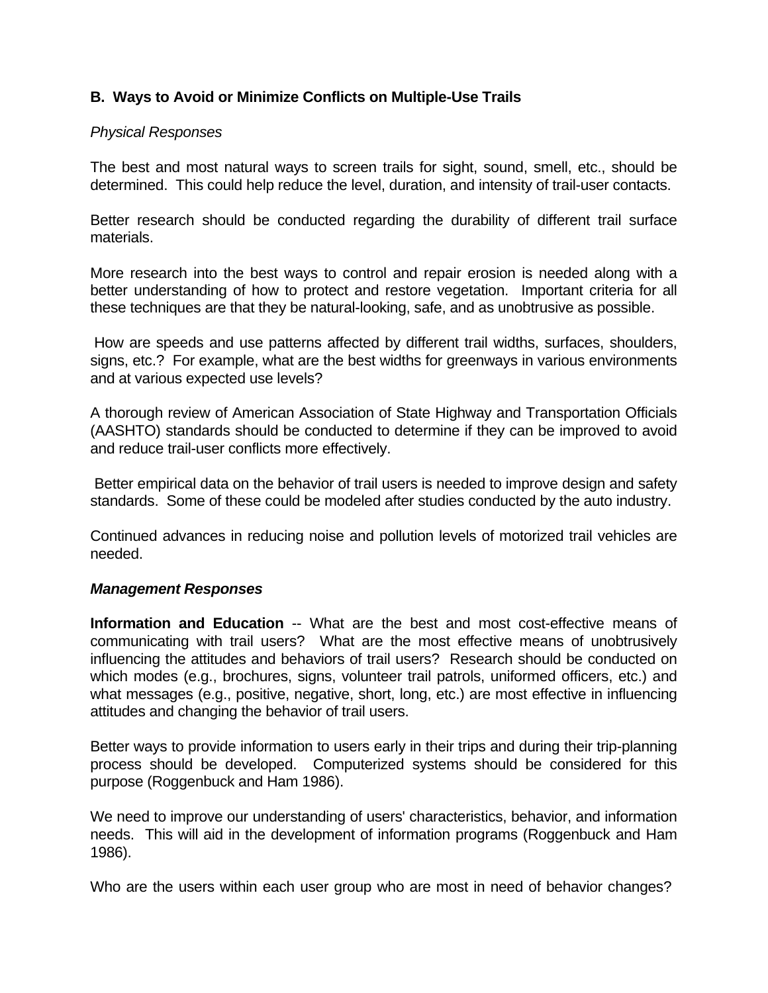### **B. Ways to Avoid or Minimize Conflicts on Multiple-Use Trails**

#### *Physical Responses*

The best and most natural ways to screen trails for sight, sound, smell, etc., should be determined. This could help reduce the level, duration, and intensity of trail-user contacts.

Better research should be conducted regarding the durability of different trail surface materials.

More research into the best ways to control and repair erosion is needed along with a better understanding of how to protect and restore vegetation. Important criteria for all these techniques are that they be natural-looking, safe, and as unobtrusive as possible.

 How are speeds and use patterns affected by different trail widths, surfaces, shoulders, signs, etc.? For example, what are the best widths for greenways in various environments and at various expected use levels?

A thorough review of American Association of State Highway and Transportation Officials (AASHTO) standards should be conducted to determine if they can be improved to avoid and reduce trail-user conflicts more effectively.

 Better empirical data on the behavior of trail users is needed to improve design and safety standards. Some of these could be modeled after studies conducted by the auto industry.

Continued advances in reducing noise and pollution levels of motorized trail vehicles are needed.

#### *Management Responses*

**Information and Education** -- What are the best and most cost-effective means of communicating with trail users? What are the most effective means of unobtrusively influencing the attitudes and behaviors of trail users? Research should be conducted on which modes (e.g., brochures, signs, volunteer trail patrols, uniformed officers, etc.) and what messages (e.g., positive, negative, short, long, etc.) are most effective in influencing attitudes and changing the behavior of trail users.

Better ways to provide information to users early in their trips and during their trip-planning process should be developed. Computerized systems should be considered for this purpose (Roggenbuck and Ham 1986).

We need to improve our understanding of users' characteristics, behavior, and information needs. This will aid in the development of information programs (Roggenbuck and Ham 1986).

Who are the users within each user group who are most in need of behavior changes?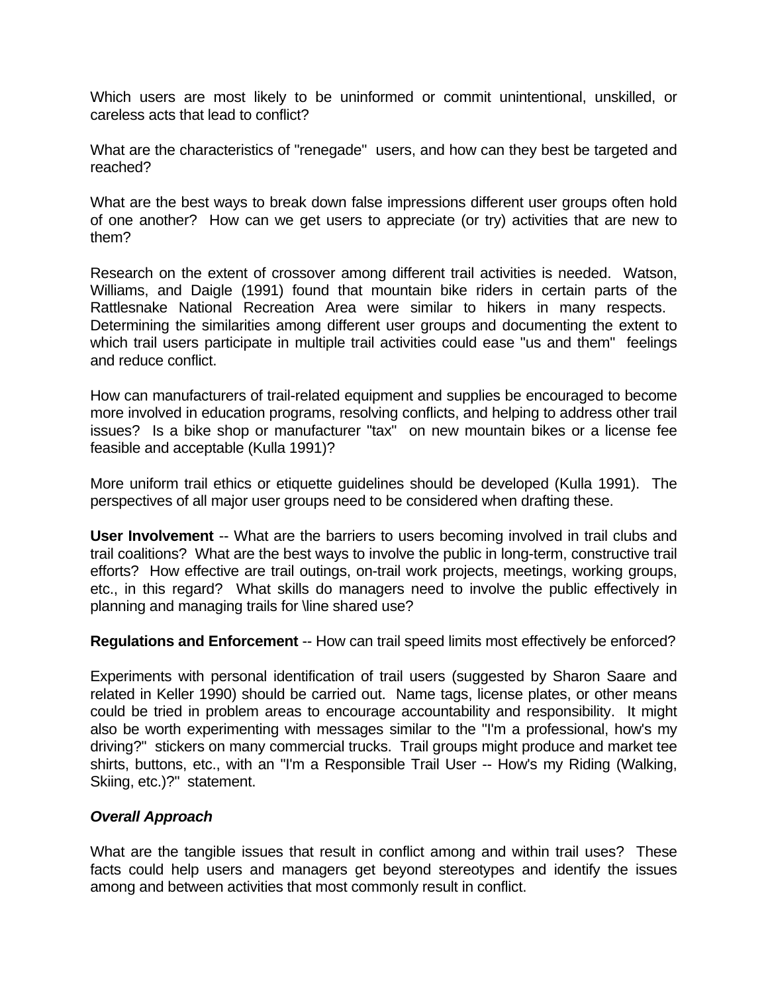Which users are most likely to be uninformed or commit unintentional, unskilled, or careless acts that lead to conflict?

What are the characteristics of "renegade" users, and how can they best be targeted and reached?

What are the best ways to break down false impressions different user groups often hold of one another? How can we get users to appreciate (or try) activities that are new to them?

Research on the extent of crossover among different trail activities is needed. Watson, Williams, and Daigle (1991) found that mountain bike riders in certain parts of the Rattlesnake National Recreation Area were similar to hikers in many respects. Determining the similarities among different user groups and documenting the extent to which trail users participate in multiple trail activities could ease "us and them" feelings and reduce conflict.

How can manufacturers of trail-related equipment and supplies be encouraged to become more involved in education programs, resolving conflicts, and helping to address other trail issues? Is a bike shop or manufacturer "tax" on new mountain bikes or a license fee feasible and acceptable (Kulla 1991)?

More uniform trail ethics or etiquette guidelines should be developed (Kulla 1991). The perspectives of all major user groups need to be considered when drafting these.

**User Involvement** -- What are the barriers to users becoming involved in trail clubs and trail coalitions? What are the best ways to involve the public in long-term, constructive trail efforts? How effective are trail outings, on-trail work projects, meetings, working groups, etc., in this regard? What skills do managers need to involve the public effectively in planning and managing trails for \line shared use?

**Regulations and Enforcement** -- How can trail speed limits most effectively be enforced?

Experiments with personal identification of trail users (suggested by Sharon Saare and related in Keller 1990) should be carried out. Name tags, license plates, or other means could be tried in problem areas to encourage accountability and responsibility. It might also be worth experimenting with messages similar to the "I'm a professional, how's my driving?" stickers on many commercial trucks. Trail groups might produce and market tee shirts, buttons, etc., with an "I'm a Responsible Trail User -- How's my Riding (Walking, Skiing, etc.)?" statement.

### *Overall Approach*

What are the tangible issues that result in conflict among and within trail uses? These facts could help users and managers get beyond stereotypes and identify the issues among and between activities that most commonly result in conflict.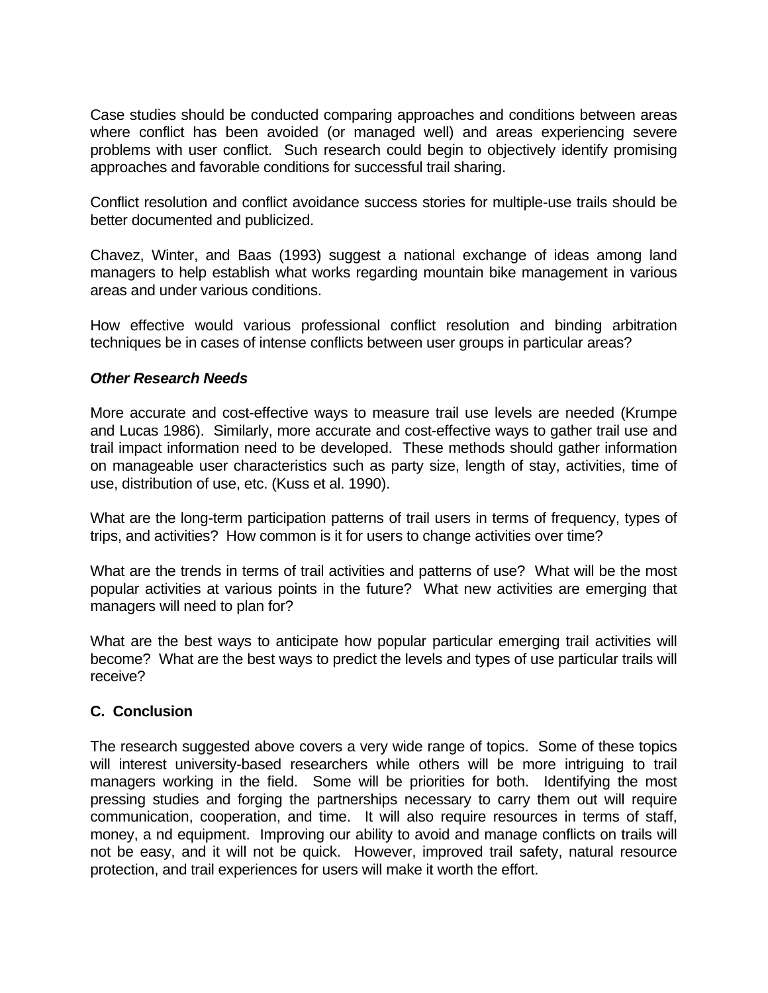Case studies should be conducted comparing approaches and conditions between areas where conflict has been avoided (or managed well) and areas experiencing severe problems with user conflict. Such research could begin to objectively identify promising approaches and favorable conditions for successful trail sharing.

Conflict resolution and conflict avoidance success stories for multiple-use trails should be better documented and publicized.

Chavez, Winter, and Baas (1993) suggest a national exchange of ideas among land managers to help establish what works regarding mountain bike management in various areas and under various conditions.

How effective would various professional conflict resolution and binding arbitration techniques be in cases of intense conflicts between user groups in particular areas?

### *Other Research Needs*

More accurate and cost-effective ways to measure trail use levels are needed (Krumpe and Lucas 1986). Similarly, more accurate and cost-effective ways to gather trail use and trail impact information need to be developed. These methods should gather information on manageable user characteristics such as party size, length of stay, activities, time of use, distribution of use, etc. (Kuss et al. 1990).

What are the long-term participation patterns of trail users in terms of frequency, types of trips, and activities? How common is it for users to change activities over time?

What are the trends in terms of trail activities and patterns of use? What will be the most popular activities at various points in the future? What new activities are emerging that managers will need to plan for?

What are the best ways to anticipate how popular particular emerging trail activities will become? What are the best ways to predict the levels and types of use particular trails will receive?

### **C. Conclusion**

The research suggested above covers a very wide range of topics. Some of these topics will interest university-based researchers while others will be more intriguing to trail managers working in the field. Some will be priorities for both. Identifying the most pressing studies and forging the partnerships necessary to carry them out will require communication, cooperation, and time. It will also require resources in terms of staff, money, a nd equipment. Improving our ability to avoid and manage conflicts on trails will not be easy, and it will not be quick. However, improved trail safety, natural resource protection, and trail experiences for users will make it worth the effort.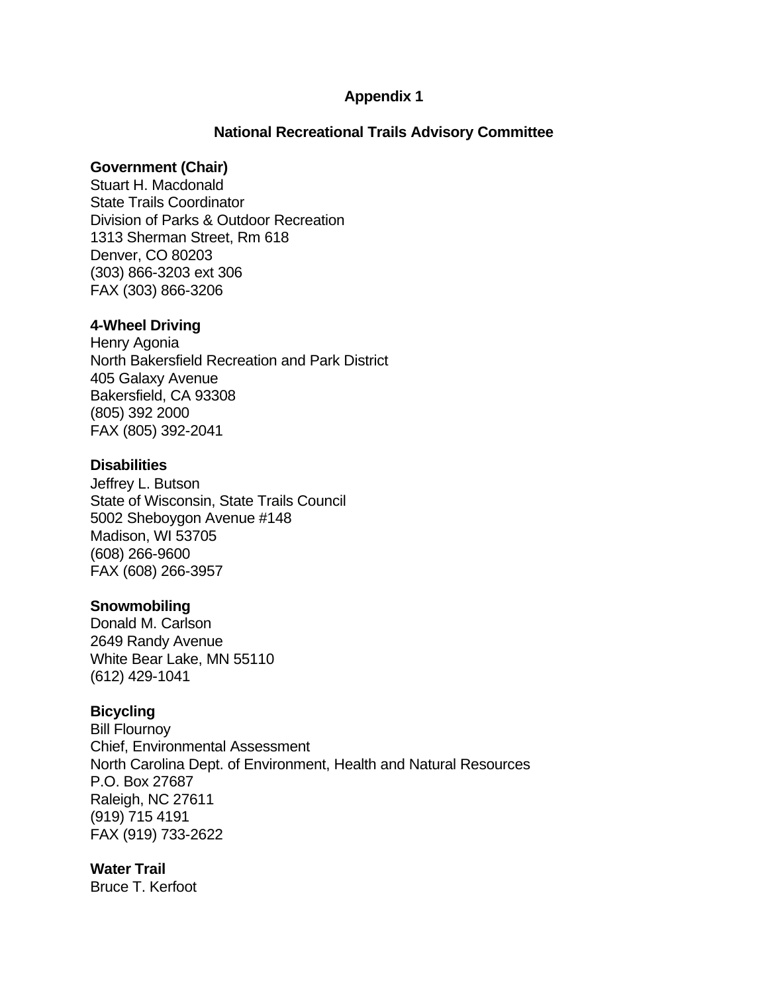### **Appendix 1**

### **National Recreational Trails Advisory Committee**

#### **Government (Chair)**

Stuart H. Macdonald State Trails Coordinator Division of Parks & Outdoor Recreation 1313 Sherman Street, Rm 618 Denver, CO 80203 (303) 866-3203 ext 306 FAX (303) 866-3206

#### **4-Wheel Driving**

Henry Agonia North Bakersfield Recreation and Park District 405 Galaxy Avenue Bakersfield, CA 93308 (805) 392 2000 FAX (805) 392-2041

#### **Disabilities**

Jeffrey L. Butson State of Wisconsin, State Trails Council 5002 Sheboygon Avenue #148 Madison, WI 53705 (608) 266-9600 FAX (608) 266-3957

#### **Snowmobiling**

Donald M. Carlson 2649 Randy Avenue White Bear Lake, MN 55110 (612) 429-1041

#### **Bicycling**

Bill Flournoy Chief, Environmental Assessment North Carolina Dept. of Environment, Health and Natural Resources P.O. Box 27687 Raleigh, NC 27611 (919) 715 4191 FAX (919) 733-2622

### **Water Trail**

Bruce T. Kerfoot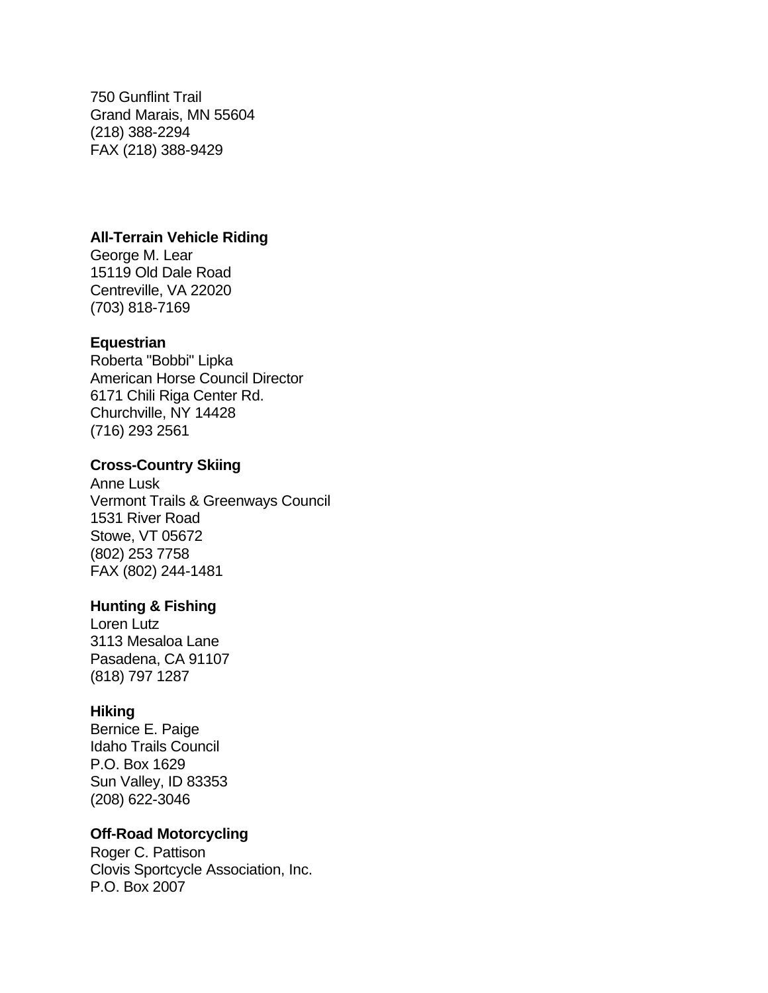750 Gunflint Trail Grand Marais, MN 55604 (218) 388-2294 FAX (218) 388-9429

### **All-Terrain Vehicle Riding**

George M. Lear 15119 Old Dale Road Centreville, VA 22020 (703) 818-7169

### **Equestrian**

Roberta "Bobbi" Lipka American Horse Council Director 6171 Chili Riga Center Rd. Churchville, NY 14428 (716) 293 2561

### **Cross-Country Skiing**

Anne Lusk Vermont Trails & Greenways Council 1531 River Road Stowe, VT 05672 (802) 253 7758 FAX (802) 244-1481

### **Hunting & Fishing**

Loren Lutz 3113 Mesaloa Lane Pasadena, CA 91107 (818) 797 1287

### **Hiking**

Bernice E. Paige Idaho Trails Council P.O. Box 1629 Sun Valley, ID 83353 (208) 622-3046

### **Off-Road Motorcycling**

Roger C. Pattison Clovis Sportcycle Association, Inc. P.O. Box 2007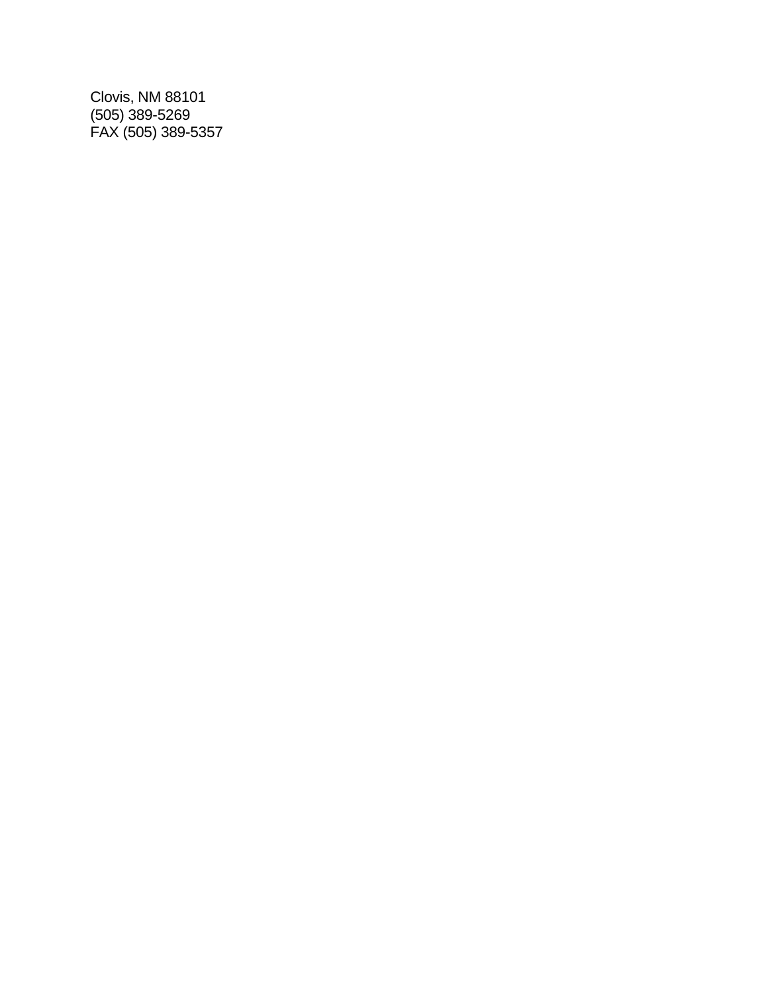Clovis, NM 88101 (505) 389-5269 FAX (505) 389-5357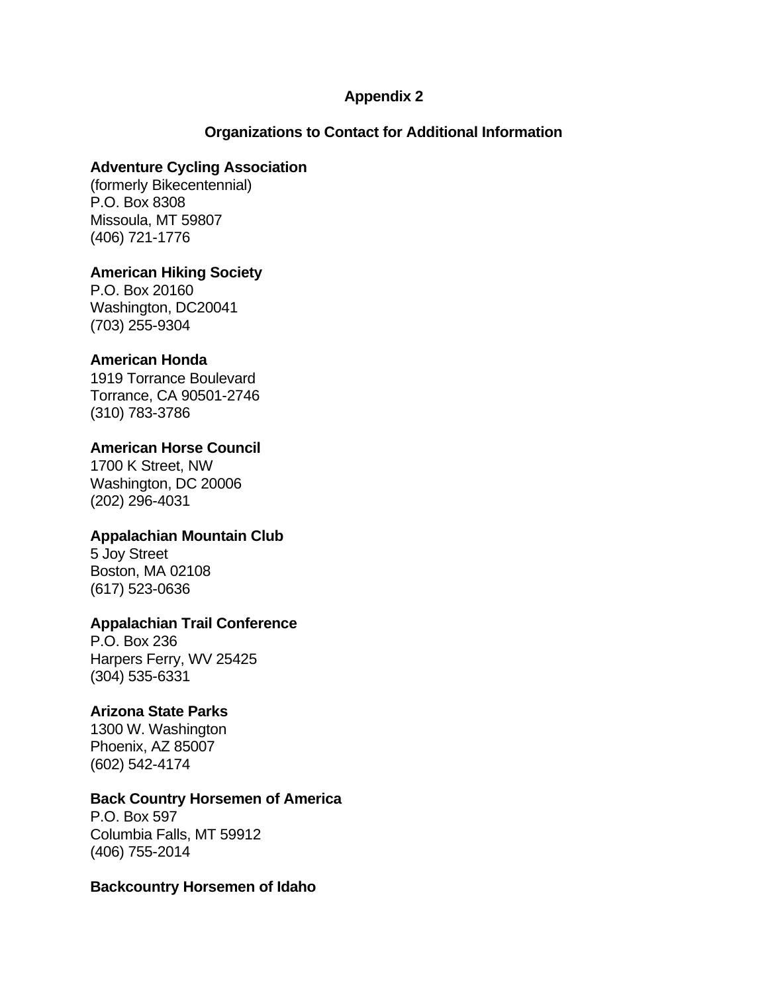### **Appendix 2**

### **Organizations to Contact for Additional Information**

### **Adventure Cycling Association**

(formerly Bikecentennial) P.O. Box 8308 Missoula, MT 59807 (406) 721-1776

### **American Hiking Society**

P.O. Box 20160 Washington, DC20041 (703) 255-9304

### **American Honda**

1919 Torrance Boulevard Torrance, CA 90501-2746 (310) 783-3786

### **American Horse Council**

1700 K Street, NW Washington, DC 20006 (202) 296-4031

### **Appalachian Mountain Club**

5 Joy Street Boston, MA 02108 (617) 523-0636

### **Appalachian Trail Conference**

P.O. Box 236 Harpers Ferry, WV 25425 (304) 535-6331

## **Arizona State Parks**

1300 W. Washington Phoenix, AZ 85007 (602) 542-4174

### **Back Country Horsemen of America**

P.O. Box 597 Columbia Falls, MT 59912 (406) 755-2014

#### **Backcountry Horsemen of Idaho**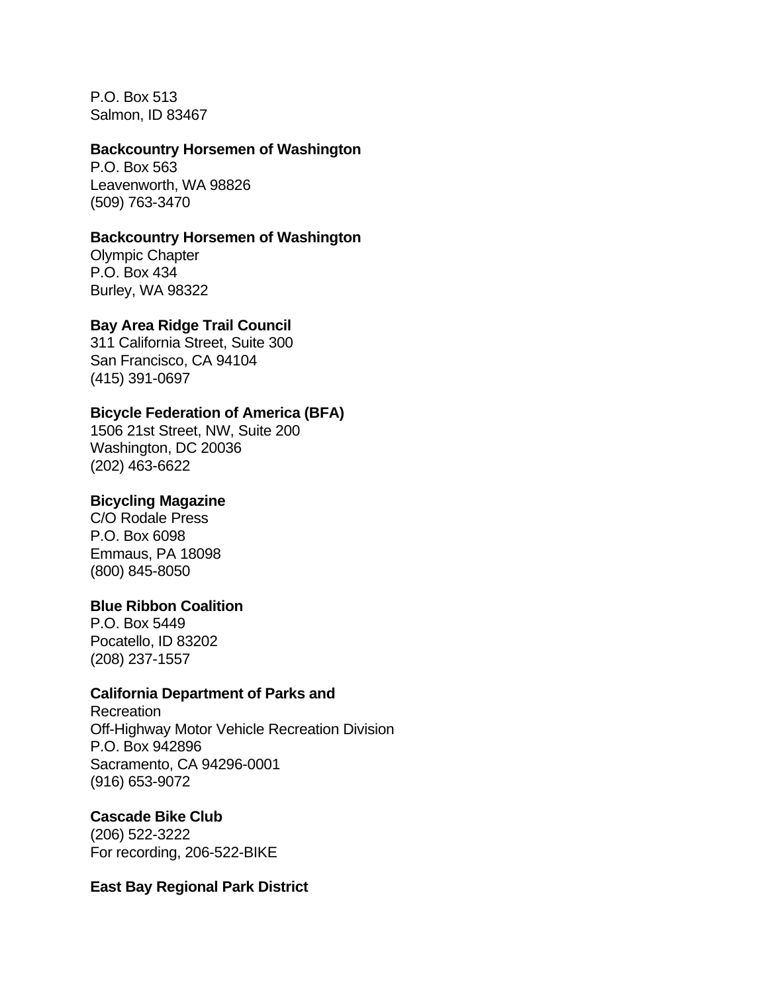P.O. Box 513 Salmon, ID 83467

#### **Backcountry Horsemen of Washington**

P.O. Box 563 Leavenworth, WA 98826 (509) 763-3470

### **Backcountry Horsemen of Washington**

Olympic Chapter P.O. Box 434 Burley, WA 98322

### **Bay Area Ridge Trail Council**

311 California Street, Suite 300 San Francisco, CA 94104 (415) 391-0697

### **Bicycle Federation of America (BFA)**

1506 21st Street, NW, Suite 200 Washington, DC 20036 (202) 463-6622

### **Bicycling Magazine**

C/O Rodale Press P.O. Box 6098 Emmaus, PA 18098 (800) 845-8050

#### **Blue Ribbon Coalition**

P.O. Box 5449 Pocatello, ID 83202 (208) 237-1557

### **California Department of Parks and**

Recreation Off-Highway Motor Vehicle Recreation Division P.O. Box 942896 Sacramento, CA 94296-0001 (916) 653-9072

### **Cascade Bike Club**

(206) 522-3222 For recording, 206-522-BIKE

#### **East Bay Regional Park District**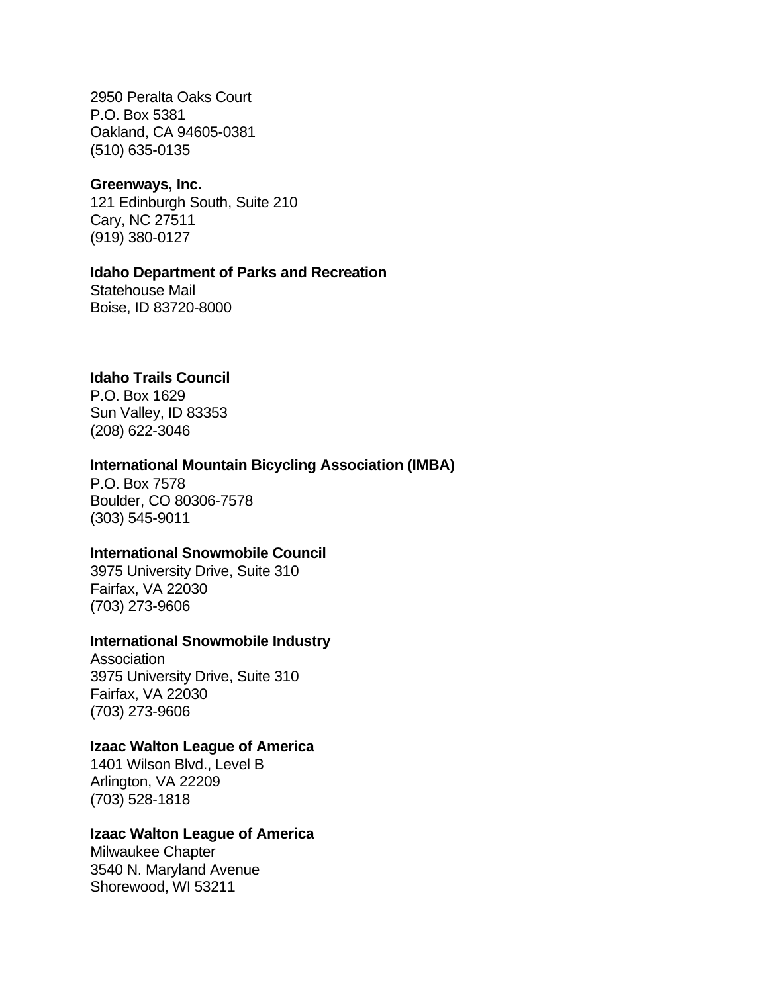2950 Peralta Oaks Court P.O. Box 5381 Oakland, CA 94605-0381 (510) 635-0135

#### **Greenways, Inc.**

121 Edinburgh South, Suite 210 Cary, NC 27511 (919) 380-0127

#### **Idaho Department of Parks and Recreation**

Statehouse Mail Boise, ID 83720-8000

#### **Idaho Trails Council**

P.O. Box 1629 Sun Valley, ID 83353 (208) 622-3046

#### **International Mountain Bicycling Association (IMBA)**

P.O. Box 7578 Boulder, CO 80306-7578 (303) 545-9011

#### **International Snowmobile Council**

3975 University Drive, Suite 310 Fairfax, VA 22030 (703) 273-9606

### **International Snowmobile Industry**

Association 3975 University Drive, Suite 310 Fairfax, VA 22030 (703) 273-9606

#### **Izaac Walton League of America**

1401 Wilson Blvd., Level B Arlington, VA 22209 (703) 528-1818

#### **Izaac Walton League of America**

Milwaukee Chapter 3540 N. Maryland Avenue Shorewood, WI 53211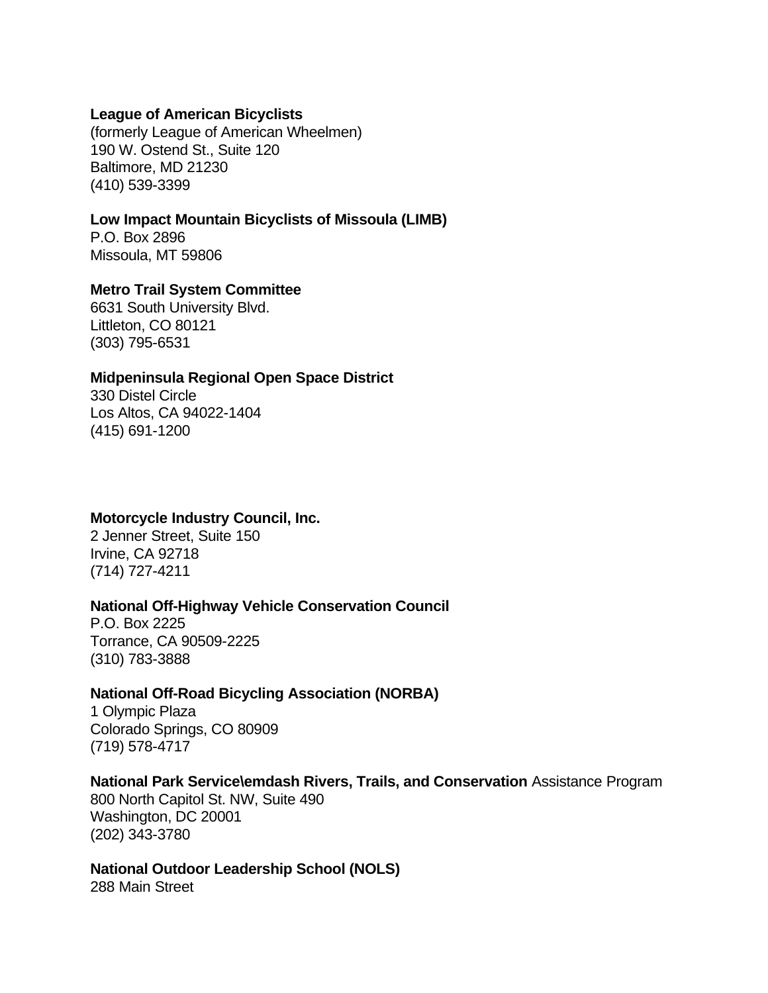#### **League of American Bicyclists**

(formerly League of American Wheelmen) 190 W. Ostend St., Suite 120 Baltimore, MD 21230 (410) 539-3399

#### **Low Impact Mountain Bicyclists of Missoula (LIMB)**

P.O. Box 2896 Missoula, MT 59806

#### **Metro Trail System Committee**

6631 South University Blvd. Littleton, CO 80121 (303) 795-6531

#### **Midpeninsula Regional Open Space District**

330 Distel Circle Los Altos, CA 94022-1404 (415) 691-1200

#### **Motorcycle Industry Council, Inc.**

2 Jenner Street, Suite 150 Irvine, CA 92718 (714) 727-4211

#### **National Off-Highway Vehicle Conservation Council**

P.O. Box 2225 Torrance, CA 90509-2225 (310) 783-3888

#### **National Off-Road Bicycling Association (NORBA)**

1 Olympic Plaza Colorado Springs, CO 80909 (719) 578-4717

#### **National Park Service\emdash Rivers, Trails, and Conservation** Assistance Program

800 North Capitol St. NW, Suite 490 Washington, DC 20001 (202) 343-3780

#### **National Outdoor Leadership School (NOLS)**

288 Main Street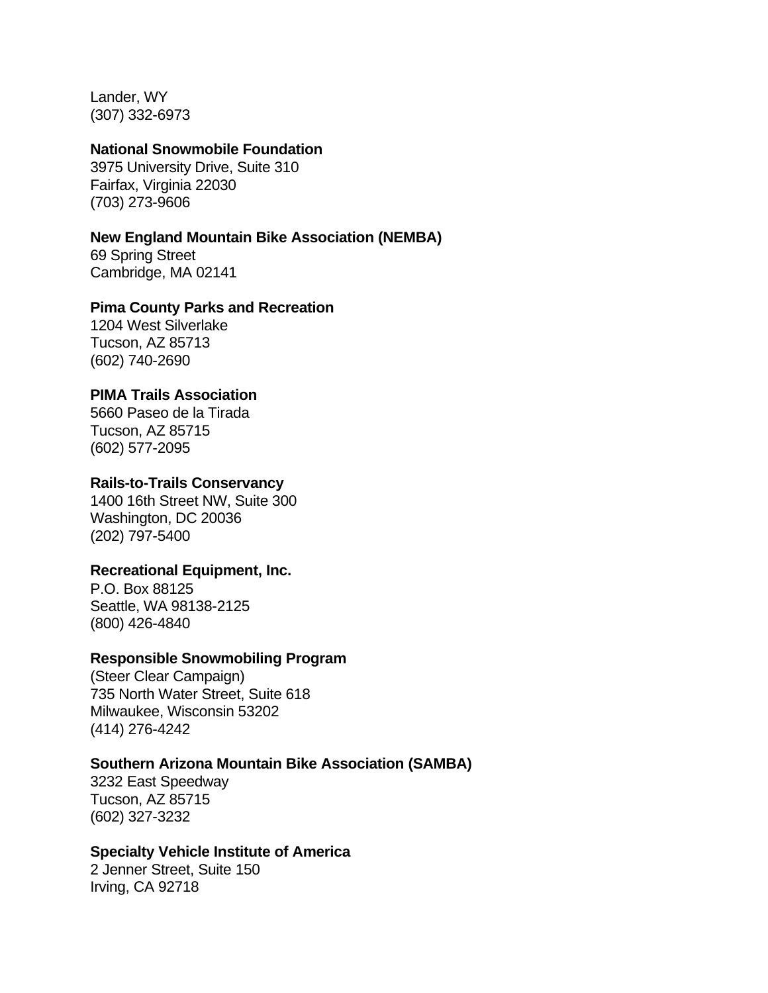Lander, WY (307) 332-6973

#### **National Snowmobile Foundation**

3975 University Drive, Suite 310 Fairfax, Virginia 22030 (703) 273-9606

#### **New England Mountain Bike Association (NEMBA)**

69 Spring Street Cambridge, MA 02141

#### **Pima County Parks and Recreation**

1204 West Silverlake Tucson, AZ 85713 (602) 740-2690

### **PIMA Trails Association**

5660 Paseo de la Tirada Tucson, AZ 85715 (602) 577-2095

#### **Rails-to-Trails Conservancy**

1400 16th Street NW, Suite 300 Washington, DC 20036 (202) 797-5400

#### **Recreational Equipment, Inc.**

P.O. Box 88125 Seattle, WA 98138-2125 (800) 426-4840

#### **Responsible Snowmobiling Program**

(Steer Clear Campaign) 735 North Water Street, Suite 618 Milwaukee, Wisconsin 53202 (414) 276-4242

#### **Southern Arizona Mountain Bike Association (SAMBA)**

3232 East Speedway Tucson, AZ 85715 (602) 327-3232

### **Specialty Vehicle Institute of America**

2 Jenner Street, Suite 150 Irving, CA 92718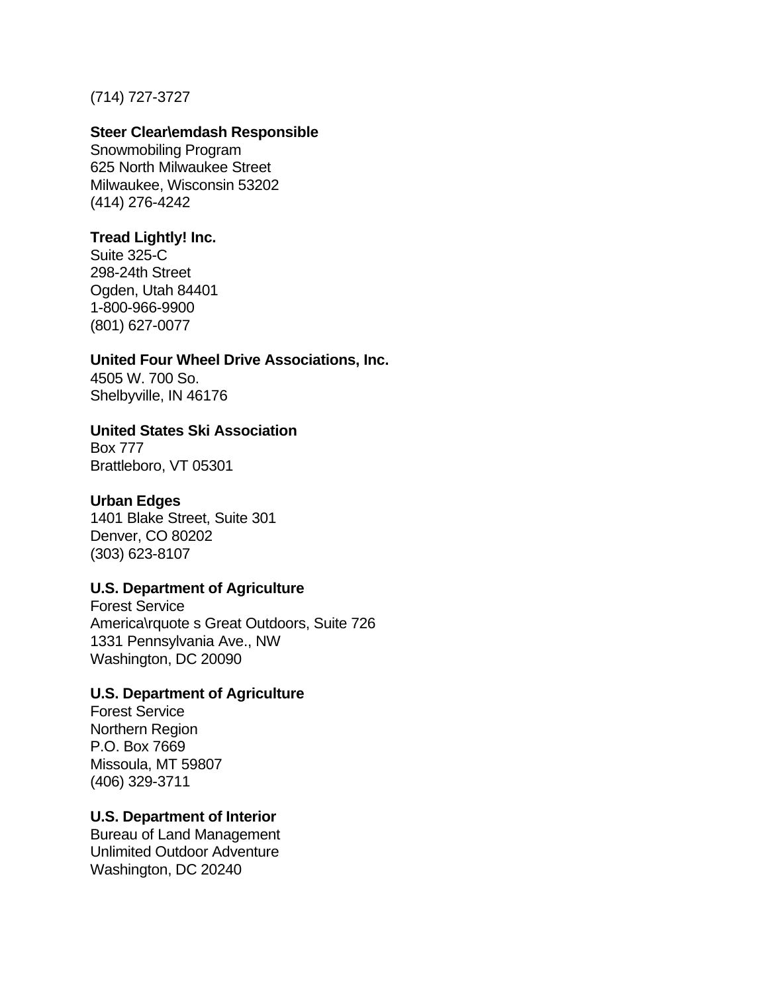### (714) 727-3727

#### **Steer Clear\emdash Responsible**

Snowmobiling Program 625 North Milwaukee Street Milwaukee, Wisconsin 53202 (414) 276-4242

### **Tread Lightly! Inc.**

Suite 325-C 298-24th Street Ogden, Utah 84401 1-800-966-9900 (801) 627-0077

#### **United Four Wheel Drive Associations, Inc.**

4505 W. 700 So. Shelbyville, IN 46176

### **United States Ski Association**

Box 777 Brattleboro, VT 05301

### **Urban Edges**

1401 Blake Street, Suite 301 Denver, CO 80202 (303) 623-8107

### **U.S. Department of Agriculture**

Forest Service America\rquote s Great Outdoors, Suite 726 1331 Pennsylvania Ave., NW Washington, DC 20090

### **U.S. Department of Agriculture**

Forest Service Northern Region P.O. Box 7669 Missoula, MT 59807 (406) 329-3711

### **U.S. Department of Interior**

Bureau of Land Management Unlimited Outdoor Adventure Washington, DC 20240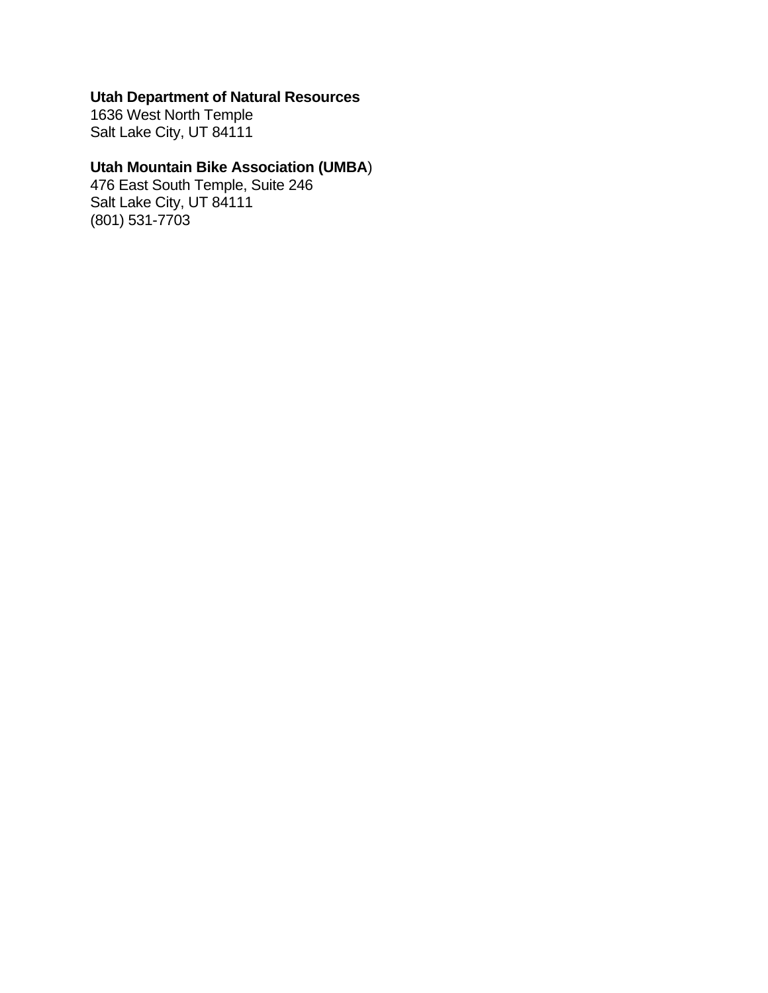## **Utah Department of Natural Resources**

1636 West North Temple Salt Lake City, UT 84111

## **Utah Mountain Bike Association (UMBA**)

476 East South Temple, Suite 246 Salt Lake City, UT 84111 (801) 531-7703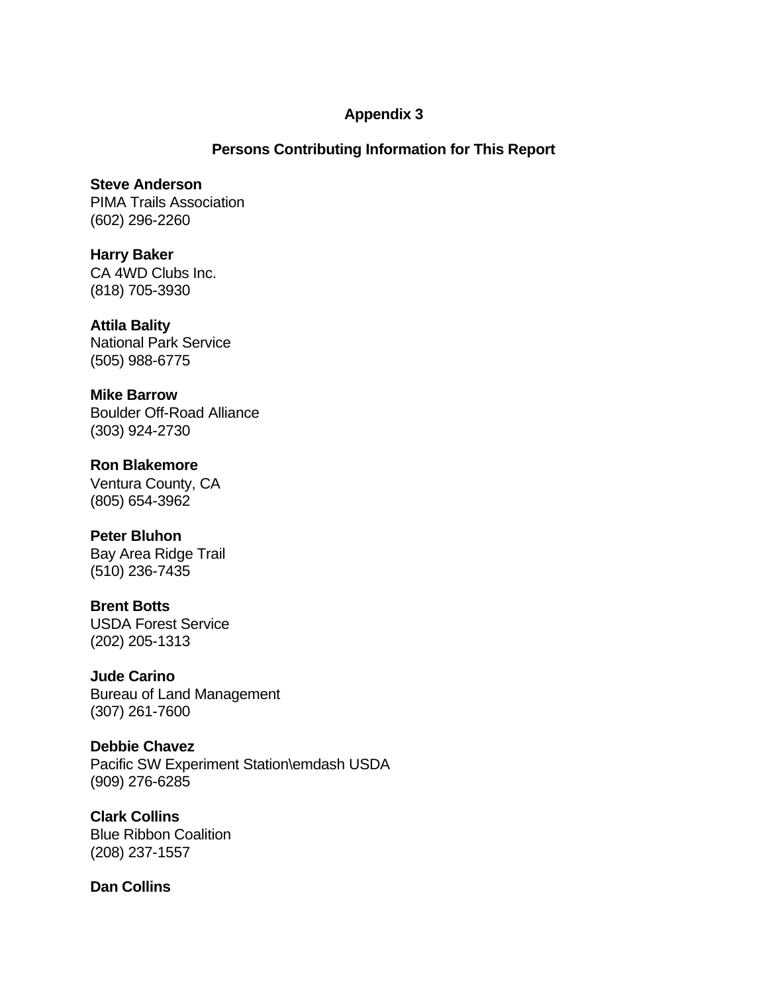### **Appendix 3**

### **Persons Contributing Information for This Report**

**Steve Anderson** PIMA Trails Association (602) 296-2260

**Harry Baker** CA 4WD Clubs Inc. (818) 705-3930

**Attila Bality** National Park Service (505) 988-6775

**Mike Barrow** Boulder Off-Road Alliance (303) 924-2730

**Ron Blakemore** Ventura County, CA (805) 654-3962

**Peter Bluhon** Bay Area Ridge Trail (510) 236-7435

**Brent Botts** USDA Forest Service (202) 205-1313

**Jude Carino** Bureau of Land Management (307) 261-7600

**Debbie Chavez** Pacific SW Experiment Station\emdash USDA (909) 276-6285

**Clark Collins** Blue Ribbon Coalition (208) 237-1557

**Dan Collins**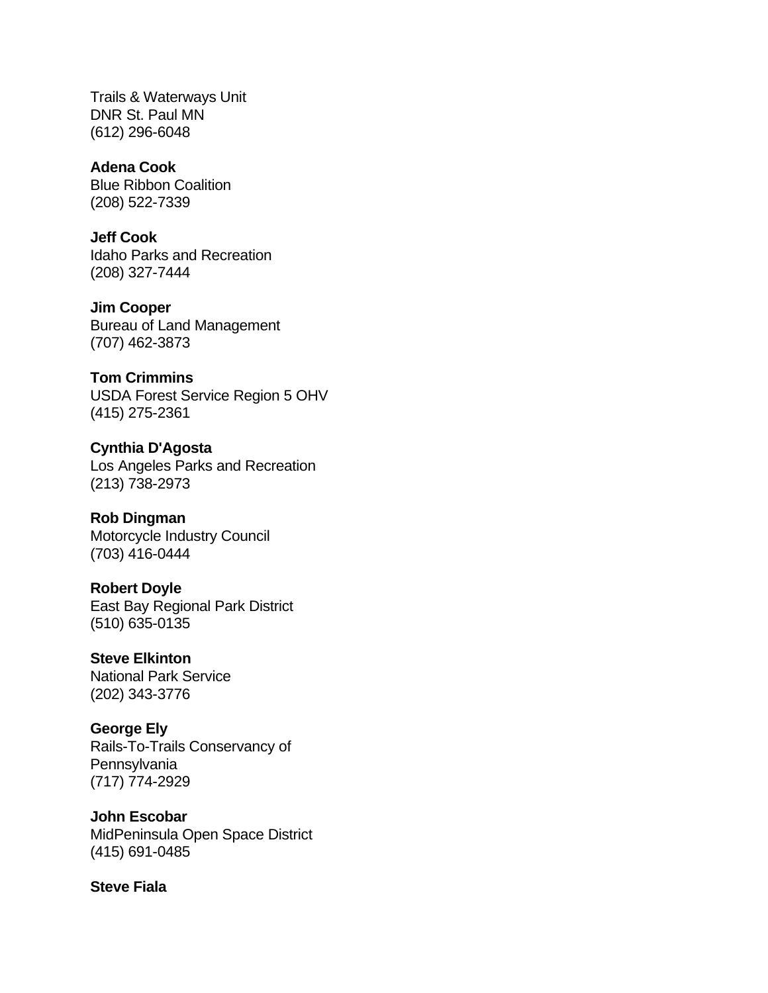Trails & Waterways Unit DNR St. Paul MN (612) 296-6048

**Adena Cook** Blue Ribbon Coalition (208) 522-7339

**Jeff Cook** Idaho Parks and Recreation (208) 327-7444

**Jim Cooper** Bureau of Land Management (707) 462-3873

**Tom Crimmins** USDA Forest Service Region 5 OHV (415) 275-2361

**Cynthia D'Agosta** Los Angeles Parks and Recreation (213) 738-2973

**Rob Dingman** Motorcycle Industry Council (703) 416-0444

**Robert Doyle** East Bay Regional Park District (510) 635-0135

**Steve Elkinton** National Park Service (202) 343-3776

**George Ely** Rails-To-Trails Conservancy of **Pennsylvania** (717) 774-2929

**John Escobar** MidPeninsula Open Space District (415) 691-0485

**Steve Fiala**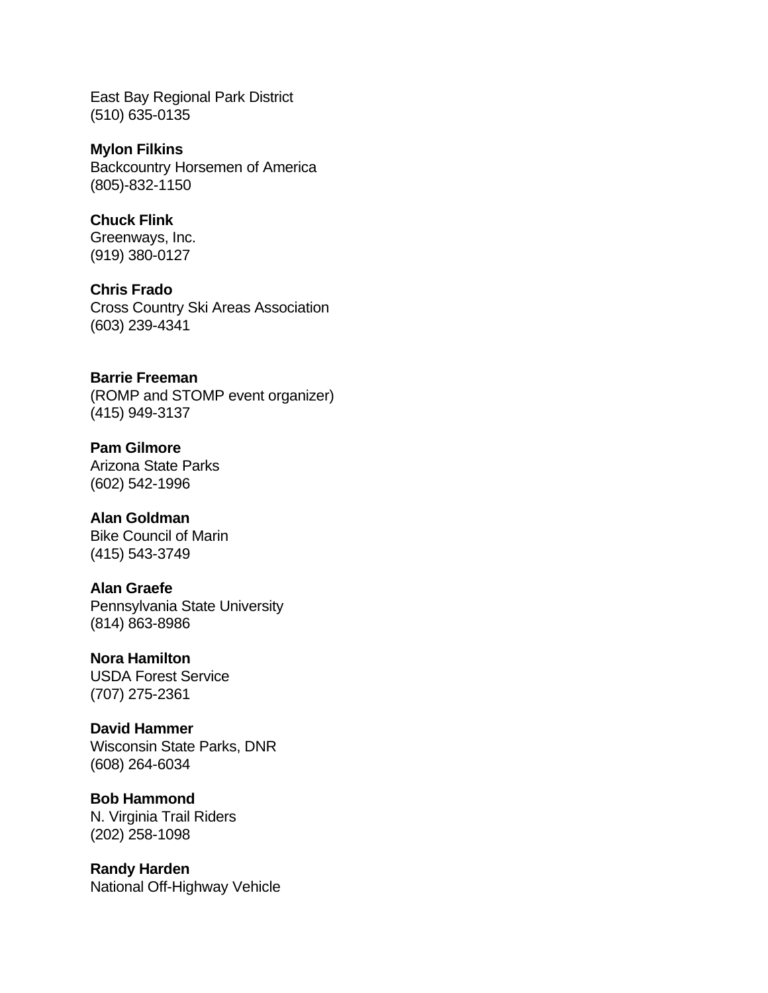East Bay Regional Park District (510) 635-0135

**Mylon Filkins** Backcountry Horsemen of America (805)-832-1150

**Chuck Flink** Greenways, Inc. (919) 380-0127

**Chris Frado** Cross Country Ski Areas Association (603) 239-4341

**Barrie Freeman** (ROMP and STOMP event organizer) (415) 949-3137

**Pam Gilmore** Arizona State Parks (602) 542-1996

**Alan Goldman** Bike Council of Marin (415) 543-3749

**Alan Graefe** Pennsylvania State University (814) 863-8986

**Nora Hamilton** USDA Forest Service (707) 275-2361

**David Hammer** Wisconsin State Parks, DNR (608) 264-6034

**Bob Hammond** N. Virginia Trail Riders (202) 258-1098

**Randy Harden** National Off-Highway Vehicle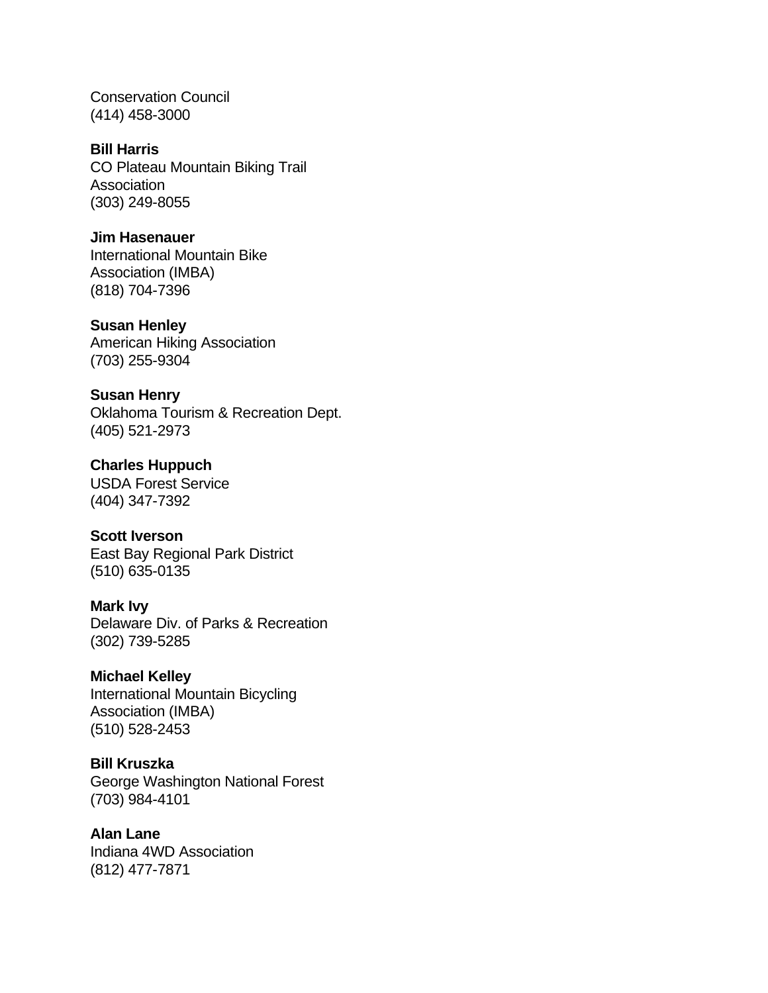Conservation Council (414) 458-3000

### **Bill Harris**

CO Plateau Mountain Biking Trail **Association** (303) 249-8055

#### **Jim Hasenauer**

International Mountain Bike Association (IMBA) (818) 704-7396

#### **Susan Henley**

American Hiking Association (703) 255-9304

#### **Susan Henry**

Oklahoma Tourism & Recreation Dept. (405) 521-2973

## **Charles Huppuch** USDA Forest Service

(404) 347-7392

### **Scott Iverson**

East Bay Regional Park District (510) 635-0135

### **Mark Ivy**

Delaware Div. of Parks & Recreation (302) 739-5285

### **Michael Kelley**

International Mountain Bicycling Association (IMBA) (510) 528-2453

#### **Bill Kruszka**

George Washington National Forest (703) 984-4101

### **Alan Lane**

Indiana 4WD Association (812) 477-7871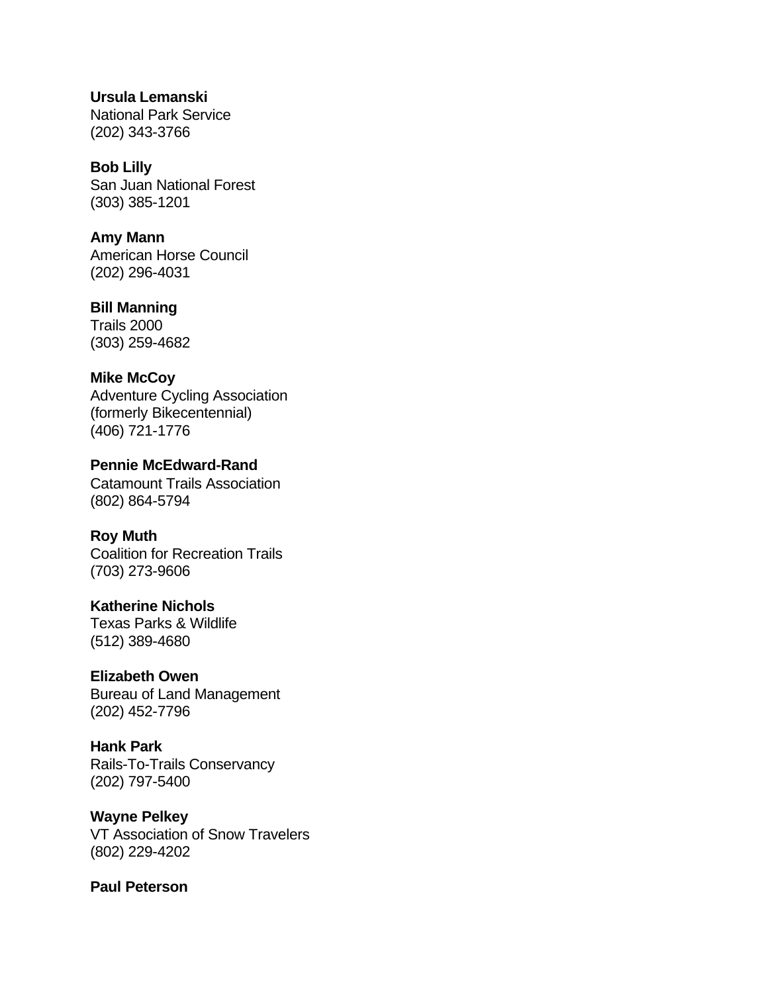**Ursula Lemanski** National Park Service (202) 343-3766

**Bob Lilly** San Juan National Forest (303) 385-1201

**Amy Mann** American Horse Council (202) 296-4031

**Bill Manning** Trails 2000 (303) 259-4682

**Mike McCoy** Adventure Cycling Association (formerly Bikecentennial) (406) 721-1776

**Pennie McEdward-Rand** Catamount Trails Association (802) 864-5794

**Roy Muth** Coalition for Recreation Trails (703) 273-9606

**Katherine Nichols** Texas Parks & Wildlife (512) 389-4680

**Elizabeth Owen** Bureau of Land Management (202) 452-7796

**Hank Park** Rails-To-Trails Conservancy (202) 797-5400

**Wayne Pelkey** VT Association of Snow Travelers (802) 229-4202

**Paul Peterson**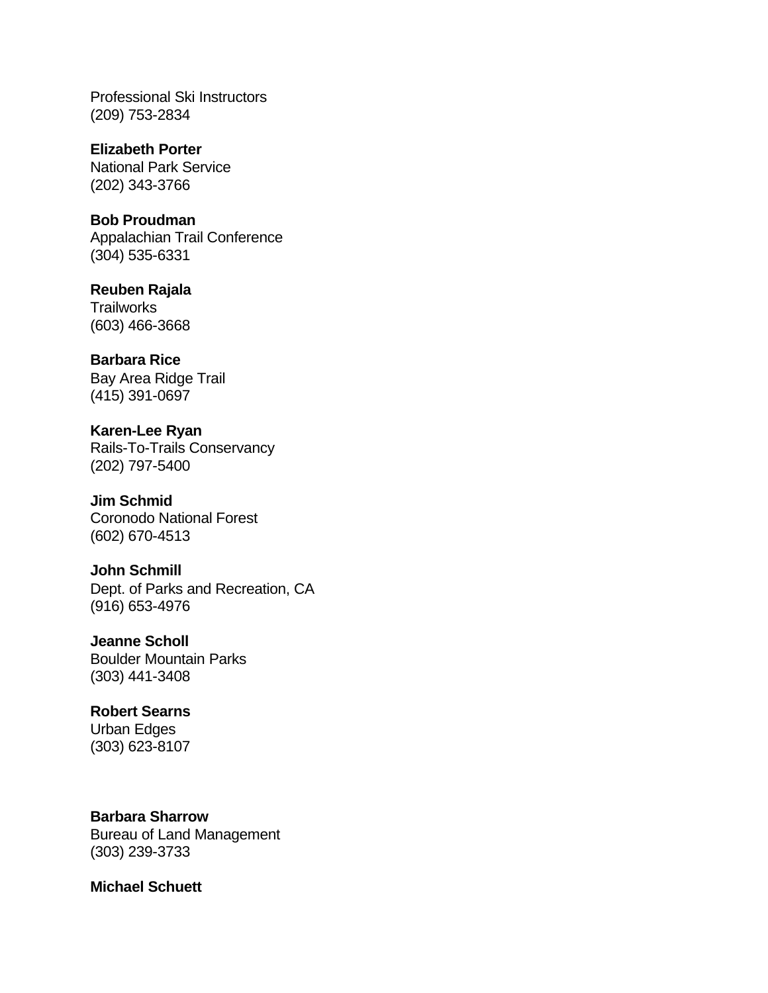Professional Ski Instructors (209) 753-2834

**Elizabeth Porter** National Park Service (202) 343-3766

**Bob Proudman** Appalachian Trail Conference (304) 535-6331

**Reuben Rajala Trailworks** (603) 466-3668

**Barbara Rice** Bay Area Ridge Trail (415) 391-0697

**Karen-Lee Ryan** Rails-To-Trails Conservancy (202) 797-5400

**Jim Schmid** Coronodo National Forest (602) 670-4513

**John Schmill** Dept. of Parks and Recreation, CA (916) 653-4976

**Jeanne Scholl** Boulder Mountain Parks (303) 441-3408

**Robert Searns** Urban Edges (303) 623-8107

**Barbara Sharrow** Bureau of Land Management (303) 239-3733

**Michael Schuett**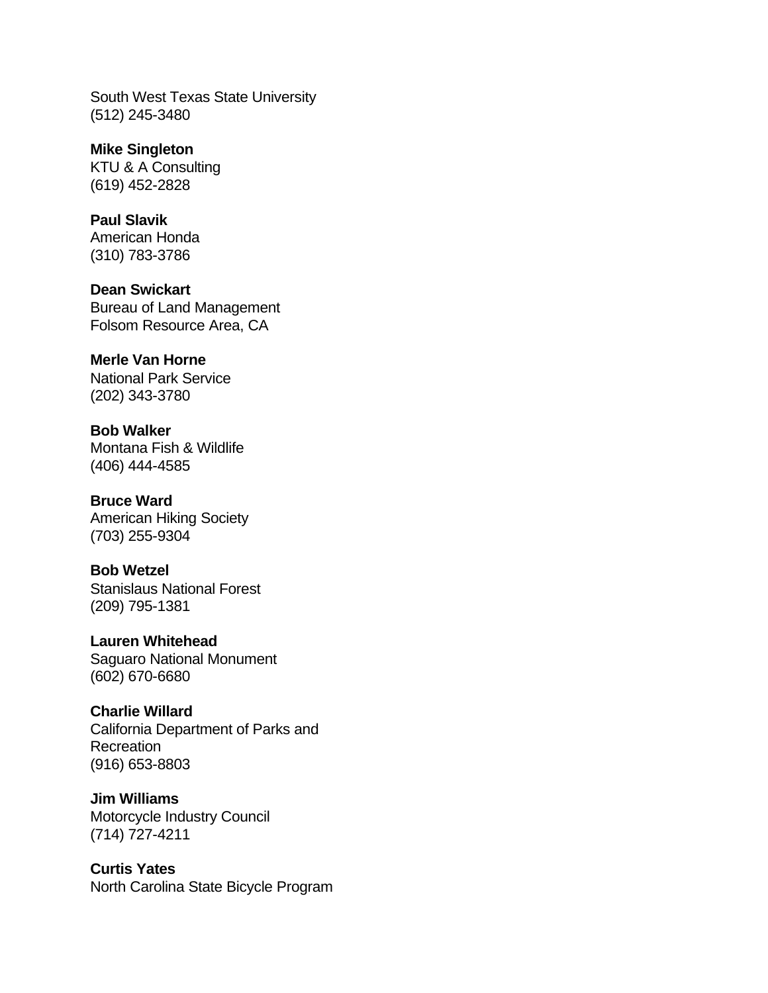South West Texas State University (512) 245-3480

**Mike Singleton** KTU & A Consulting (619) 452-2828

**Paul Slavik** American Honda (310) 783-3786

**Dean Swickart** Bureau of Land Management Folsom Resource Area, CA

### **Merle Van Horne** National Park Service

(202) 343-3780

**Bob Walker** Montana Fish & Wildlife (406) 444-4585

**Bruce Ward** American Hiking Society (703) 255-9304

**Bob Wetzel** Stanislaus National Forest (209) 795-1381

**Lauren Whitehead** Saguaro National Monument (602) 670-6680

## **Charlie Willard**

California Department of Parks and **Recreation** (916) 653-8803

**Jim Williams** Motorcycle Industry Council (714) 727-4211

**Curtis Yates** North Carolina State Bicycle Program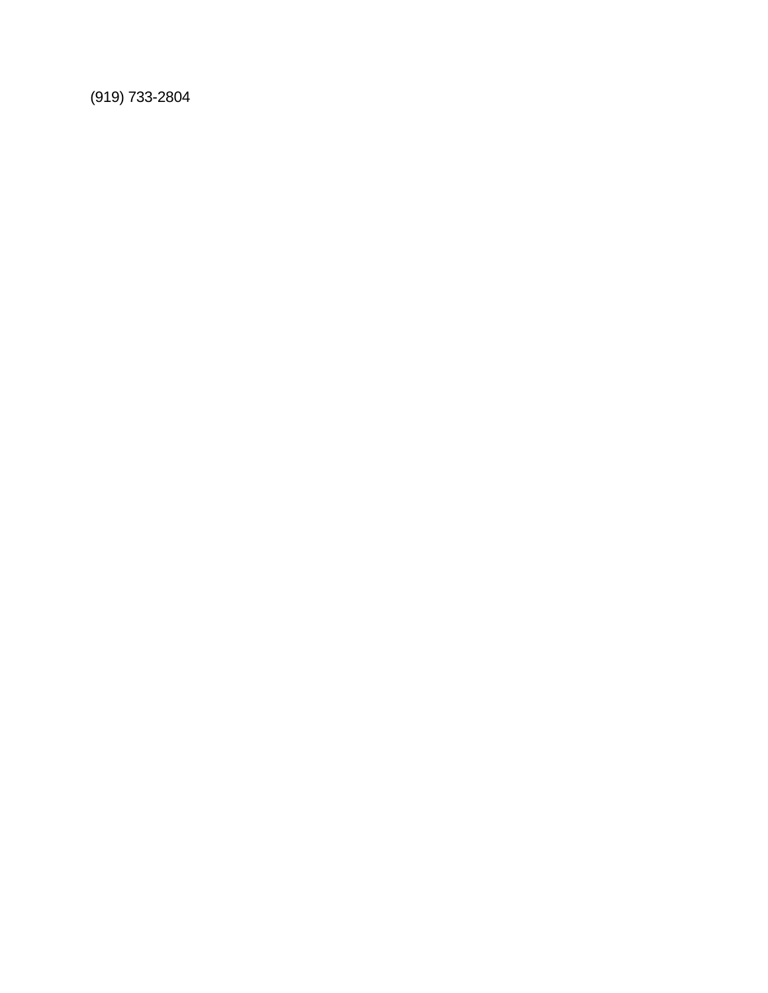(919) 733-2804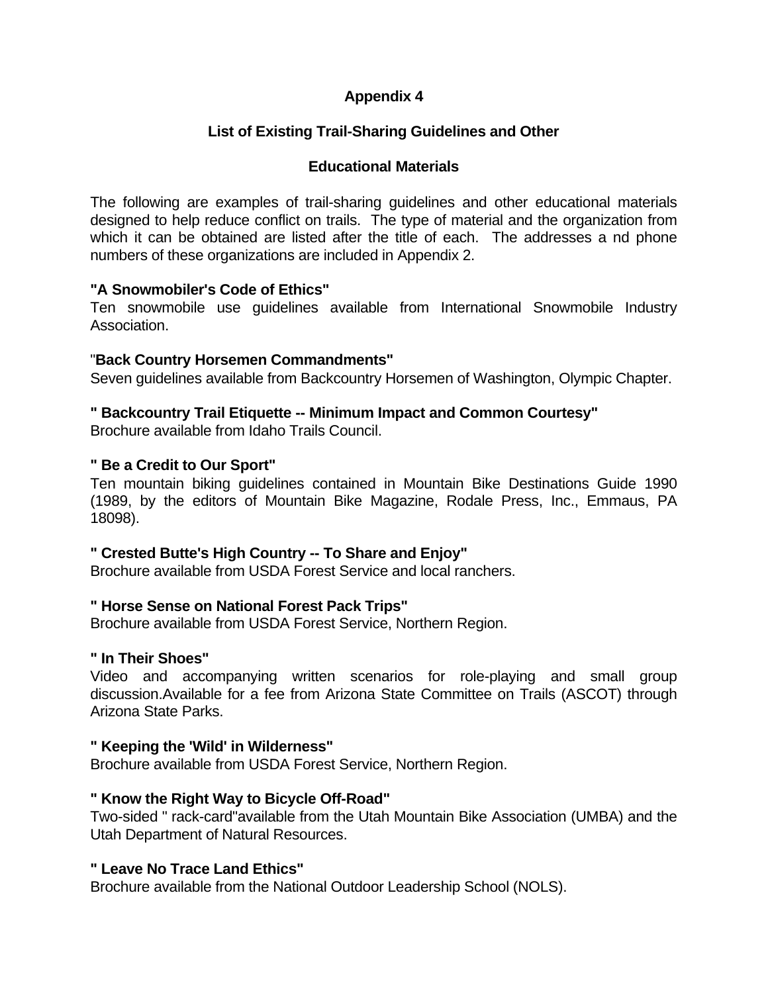## **Appendix 4**

## **List of Existing Trail-Sharing Guidelines and Other**

### **Educational Materials**

The following are examples of trail-sharing guidelines and other educational materials designed to help reduce conflict on trails. The type of material and the organization from which it can be obtained are listed after the title of each. The addresses a nd phone numbers of these organizations are included in Appendix 2.

### **"A Snowmobiler's Code of Ethics"**

Ten snowmobile use guidelines available from International Snowmobile Industry Association.

### "**Back Country Horsemen Commandments"**

Seven guidelines available from Backcountry Horsemen of Washington, Olympic Chapter.

### **" Backcountry Trail Etiquette -- Minimum Impact and Common Courtesy"**

Brochure available from Idaho Trails Council.

### **" Be a Credit to Our Sport"**

Ten mountain biking guidelines contained in Mountain Bike Destinations Guide 1990 (1989, by the editors of Mountain Bike Magazine, Rodale Press, Inc., Emmaus, PA 18098).

### **" Crested Butte's High Country -- To Share and Enjoy"**

Brochure available from USDA Forest Service and local ranchers.

### **" Horse Sense on National Forest Pack Trips"**

Brochure available from USDA Forest Service, Northern Region.

#### **" In Their Shoes"**

Video and accompanying written scenarios for role-playing and small group discussion.Available for a fee from Arizona State Committee on Trails (ASCOT) through Arizona State Parks.

#### **" Keeping the 'Wild' in Wilderness"**

Brochure available from USDA Forest Service, Northern Region.

### **" Know the Right Way to Bicycle Off-Road"**

Two-sided " rack-card"available from the Utah Mountain Bike Association (UMBA) and the Utah Department of Natural Resources.

### **" Leave No Trace Land Ethics"**

Brochure available from the National Outdoor Leadership School (NOLS).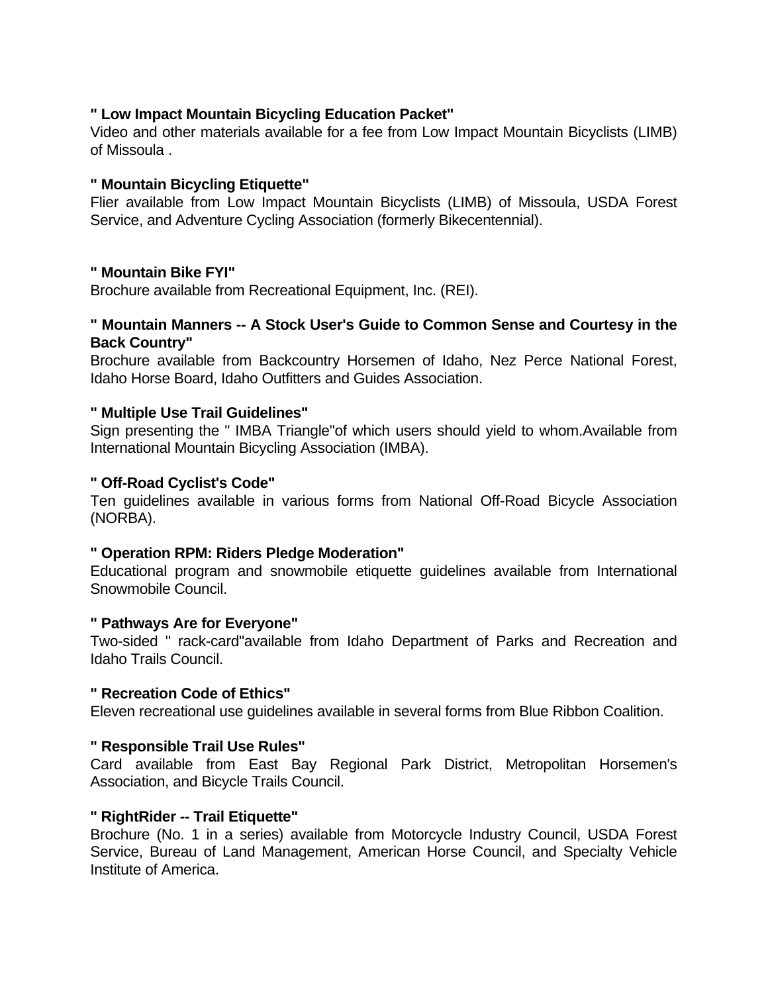### **" Low Impact Mountain Bicycling Education Packet"**

Video and other materials available for a fee from Low Impact Mountain Bicyclists (LIMB) of Missoula .

### **" Mountain Bicycling Etiquette"**

Flier available from Low Impact Mountain Bicyclists (LIMB) of Missoula, USDA Forest Service, and Adventure Cycling Association (formerly Bikecentennial).

### **" Mountain Bike FYI"**

Brochure available from Recreational Equipment, Inc. (REI).

### **" Mountain Manners -- A Stock User's Guide to Common Sense and Courtesy in the Back Country"**

Brochure available from Backcountry Horsemen of Idaho, Nez Perce National Forest, Idaho Horse Board, Idaho Outfitters and Guides Association.

### **" Multiple Use Trail Guidelines"**

Sign presenting the " IMBA Triangle"of which users should yield to whom.Available from International Mountain Bicycling Association (IMBA).

### **" Off-Road Cyclist's Code"**

Ten guidelines available in various forms from National Off-Road Bicycle Association (NORBA).

### **" Operation RPM: Riders Pledge Moderation"**

Educational program and snowmobile etiquette guidelines available from International Snowmobile Council.

### **" Pathways Are for Everyone"**

Two-sided " rack-card"available from Idaho Department of Parks and Recreation and Idaho Trails Council.

### **" Recreation Code of Ethics"**

Eleven recreational use guidelines available in several forms from Blue Ribbon Coalition.

### **" Responsible Trail Use Rules"**

Card available from East Bay Regional Park District, Metropolitan Horsemen's Association, and Bicycle Trails Council.

### **" RightRider -- Trail Etiquette"**

Brochure (No. 1 in a series) available from Motorcycle Industry Council, USDA Forest Service, Bureau of Land Management, American Horse Council, and Specialty Vehicle Institute of America.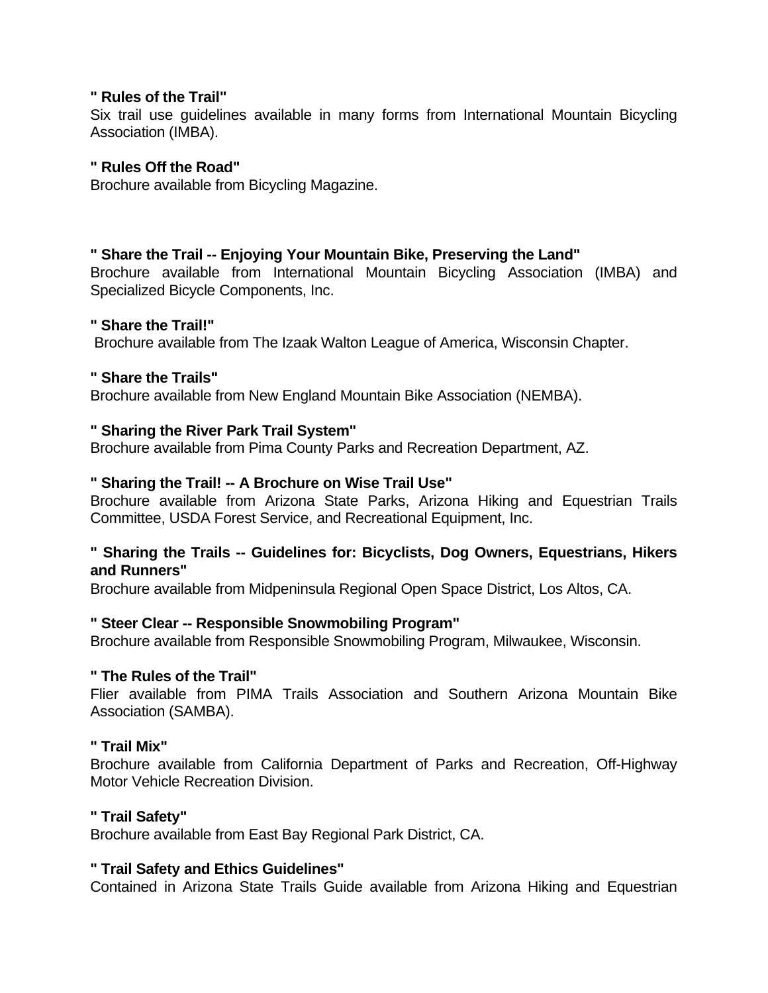### **" Rules of the Trail"**

Six trail use guidelines available in many forms from International Mountain Bicycling Association (IMBA).

### **" Rules Off the Road"**

Brochure available from Bicycling Magazine.

### **" Share the Trail -- Enjoying Your Mountain Bike, Preserving the Land"**

Brochure available from International Mountain Bicycling Association (IMBA) and Specialized Bicycle Components, Inc.

### **" Share the Trail!"**

Brochure available from The Izaak Walton League of America, Wisconsin Chapter.

### **" Share the Trails"**

Brochure available from New England Mountain Bike Association (NEMBA).

### **" Sharing the River Park Trail System"**

Brochure available from Pima County Parks and Recreation Department, AZ.

### **" Sharing the Trail! -- A Brochure on Wise Trail Use"**

Brochure available from Arizona State Parks, Arizona Hiking and Equestrian Trails Committee, USDA Forest Service, and Recreational Equipment, Inc.

### **" Sharing the Trails -- Guidelines for: Bicyclists, Dog Owners, Equestrians, Hikers and Runners"**

Brochure available from Midpeninsula Regional Open Space District, Los Altos, CA.

### **" Steer Clear -- Responsible Snowmobiling Program"**

Brochure available from Responsible Snowmobiling Program, Milwaukee, Wisconsin.

### **" The Rules of the Trail"**

Flier available from PIMA Trails Association and Southern Arizona Mountain Bike Association (SAMBA).

#### **" Trail Mix"**

Brochure available from California Department of Parks and Recreation, Off-Highway Motor Vehicle Recreation Division.

#### **" Trail Safety"**

Brochure available from East Bay Regional Park District, CA.

### **" Trail Safety and Ethics Guidelines"**

Contained in Arizona State Trails Guide available from Arizona Hiking and Equestrian